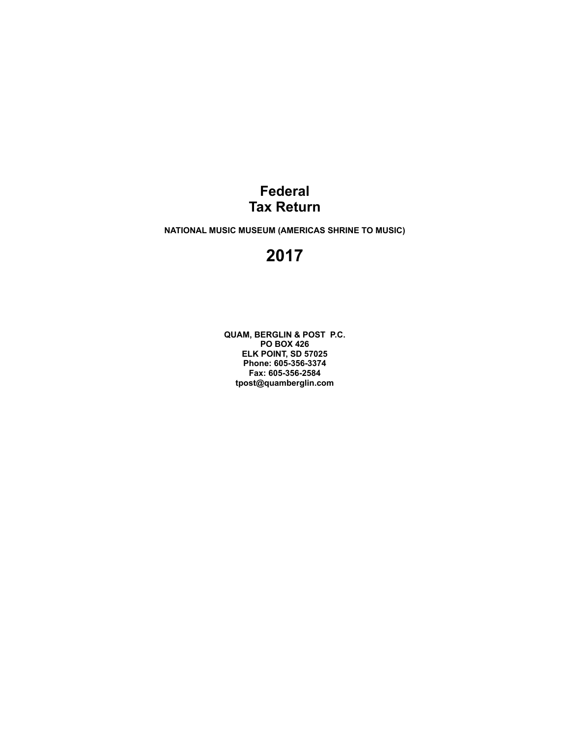### **Federal Tax Return**

**NATIONAL MUSIC MUSEUM (AMERICAS SHRINE TO MUSIC)**

## **2017**

**QUAM, BERGLIN & POST P.C. PO BOX 426 ELK POINT, SD 57025 Phone: 605-356-3374 Fax: 605-356-2584 tpost@quamberglin.com**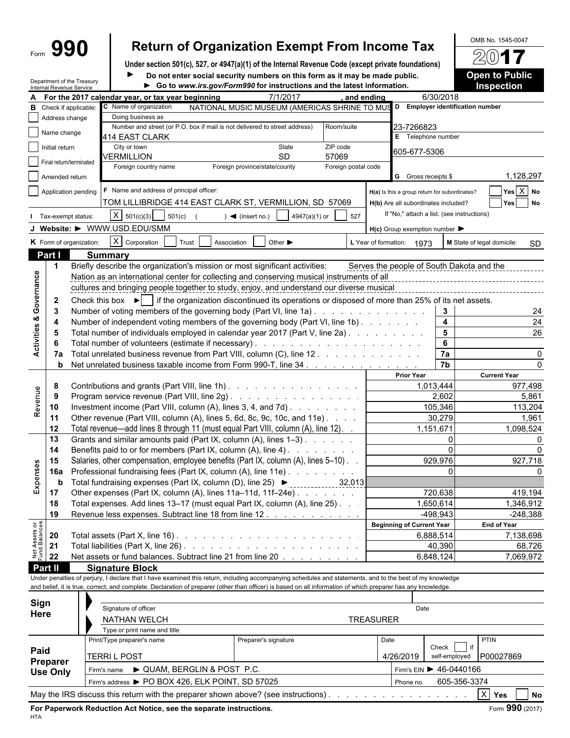|                                | Form $990$     | <b>Return of Organization Exempt From Income Tax</b>                                                                                                                               |                                                     |          | OMB No. 1545-0047                       |  |  |  |  |  |  |
|--------------------------------|----------------|------------------------------------------------------------------------------------------------------------------------------------------------------------------------------------|-----------------------------------------------------|----------|-----------------------------------------|--|--|--|--|--|--|
|                                |                |                                                                                                                                                                                    |                                                     |          | $201$ <b>7</b>                          |  |  |  |  |  |  |
|                                |                | Under section 501(c), 527, or 4947(a)(1) of the Internal Revenue Code (except private foundations)<br>Do not enter social security numbers on this form as it may be made public.  |                                                     |          | <b>Open to Public</b>                   |  |  |  |  |  |  |
|                                |                | Department of the Treasury<br>Go to www.irs.gov/Form990 for instructions and the latest information.<br>Internal Revenue Service                                                   |                                                     |          | <b>Inspection</b>                       |  |  |  |  |  |  |
|                                |                | 7/1/2017<br>A For the 2017 calendar year, or tax year beginning<br>and ending                                                                                                      | 6/30/2018                                           |          |                                         |  |  |  |  |  |  |
|                                |                | C Name of organization<br>NATIONAL MUSIC MUSEUM (AMERICAS SHRINE TO MUS<br><b>B</b> Check if applicable:                                                                           | D Employer identification number                    |          |                                         |  |  |  |  |  |  |
|                                | Address change | Doing business as                                                                                                                                                                  |                                                     |          |                                         |  |  |  |  |  |  |
|                                | Name change    | Number and street (or P.O. box if mail is not delivered to street address)<br>Room/suite                                                                                           | 23-7266823                                          |          |                                         |  |  |  |  |  |  |
|                                |                | 414 EAST CLARK<br>ZIP code                                                                                                                                                         | E Telephone number                                  |          |                                         |  |  |  |  |  |  |
|                                | Initial return | City or town<br>State<br>VERMILLION<br><b>SD</b><br>57069                                                                                                                          | 605-677-5306                                        |          |                                         |  |  |  |  |  |  |
|                                |                | Final return/terminated<br>Foreign country name<br>Foreign postal code<br>Foreign province/state/county                                                                            |                                                     |          |                                         |  |  |  |  |  |  |
|                                | Amended return |                                                                                                                                                                                    | <b>G</b> Gross receipts \$                          |          | 1,128,297                               |  |  |  |  |  |  |
|                                |                | F Name and address of principal officer:<br>Application pending                                                                                                                    | H(a) Is this a group return for subordinates?       |          | Yes X No                                |  |  |  |  |  |  |
|                                |                | TOM LILLIBRIDGE 414 EAST CLARK ST, VERMILLION, SD 57069                                                                                                                            | H(b) Are all subordinates included?                 |          | Yes<br><b>No</b>                        |  |  |  |  |  |  |
|                                |                | $X \ 501(c)(3)$                                                                                                                                                                    | If "No," attach a list. (see instructions)          |          |                                         |  |  |  |  |  |  |
|                                |                | 501(c)<br>4947(a)(1) or<br>527<br>Tax-exempt status:<br>$\blacktriangleleft$ (insert no.)                                                                                          |                                                     |          |                                         |  |  |  |  |  |  |
|                                |                | J Website: > WWW.USD.EDU/SMM                                                                                                                                                       | $H(c)$ Group exemption number $\blacktriangleright$ |          |                                         |  |  |  |  |  |  |
|                                |                | $X$ Corporation<br>K Form of organization:<br>Trust<br>Association<br>Other $\blacktriangleright$                                                                                  | L Year of formation: 1973                           |          | M State of legal domicile:<br><b>SD</b> |  |  |  |  |  |  |
|                                | Part I         | <b>Summary</b>                                                                                                                                                                     |                                                     |          |                                         |  |  |  |  |  |  |
|                                | $\mathbf 1$    | Briefly describe the organization's mission or most significant activities:                                                                                                        | Serves the people of South Dakota and the           |          |                                         |  |  |  |  |  |  |
| Governance                     |                | Nation as an international center for collecting and conserving musical instruments of all                                                                                         |                                                     |          |                                         |  |  |  |  |  |  |
|                                |                | cultures and bringing people together to study, enjoy, and understand our diverse musical                                                                                          |                                                     |          |                                         |  |  |  |  |  |  |
|                                | $\mathbf{2}$   | Check this box $\blacktriangleright$   if the organization discontinued its operations or disposed of more than 25% of its net assets.                                             |                                                     |          |                                         |  |  |  |  |  |  |
|                                | 3              | Number of voting members of the governing body (Part VI, line 1a)                                                                                                                  |                                                     | 3        |                                         |  |  |  |  |  |  |
|                                | -4             | Number of independent voting members of the governing body (Part VI, line 1b)                                                                                                      |                                                     | 4        | 24                                      |  |  |  |  |  |  |
| Activities &                   | 5              | Total number of individuals employed in calendar year 2017 (Part V, line 2a)                                                                                                       |                                                     | 5        | 26                                      |  |  |  |  |  |  |
|                                | 6              |                                                                                                                                                                                    |                                                     | 6        |                                         |  |  |  |  |  |  |
|                                | 7a             | Total unrelated business revenue from Part VIII, column (C), line 12                                                                                                               | $\overline{7a}$                                     |          | 0                                       |  |  |  |  |  |  |
|                                | b              | Net unrelated business taxable income from Form 990-T, line 34                                                                                                                     | $\overline{7b}$                                     |          | $\Omega$                                |  |  |  |  |  |  |
|                                |                |                                                                                                                                                                                    | <b>Prior Year</b>                                   |          | <b>Current Year</b>                     |  |  |  |  |  |  |
|                                | 8              | Contributions and grants (Part VIII, line 1h)                                                                                                                                      | 1,013,444                                           |          | 977,498                                 |  |  |  |  |  |  |
|                                | 9              | Program service revenue (Part VIII, line 2g)                                                                                                                                       | 2,602                                               |          | 5,861                                   |  |  |  |  |  |  |
| Revenue                        | 10             | Investment income (Part VIII, column (A), lines 3, 4, and 7d)                                                                                                                      | 105,346                                             |          | 113,204                                 |  |  |  |  |  |  |
|                                | 11             | Other revenue (Part VIII, column (A), lines 5, 6d, 8c, 9c, 10c, and 11e)                                                                                                           | 30,279                                              |          | 1,961                                   |  |  |  |  |  |  |
|                                | 12             | Total revenue—add lines 8 through 11 (must equal Part VIII, column (A), line 12). .                                                                                                | 1,151,671                                           |          | 1,098,524                               |  |  |  |  |  |  |
|                                | 13             | Grants and similar amounts paid (Part IX, column (A), lines 1-3)                                                                                                                   |                                                     | $\Omega$ |                                         |  |  |  |  |  |  |
|                                | 14             | Benefits paid to or for members (Part IX, column (A), line 4)                                                                                                                      |                                                     | $\Omega$ | 0                                       |  |  |  |  |  |  |
| Expenses                       | 15             | Salaries, other compensation, employee benefits (Part IX, column (A), lines 5-10).                                                                                                 | 929,976                                             |          | 927,718                                 |  |  |  |  |  |  |
|                                | <b>16a</b>     | Professional fundraising fees (Part IX, column (A), line 11e)                                                                                                                      |                                                     |          |                                         |  |  |  |  |  |  |
|                                | b              | Total fundraising expenses (Part IX, column (D), line 25) $\blacktriangleright$<br>32,013                                                                                          |                                                     |          |                                         |  |  |  |  |  |  |
|                                | 17             | Other expenses (Part IX, column (A), lines 11a-11d, 11f-24e)                                                                                                                       | 720,638                                             |          | 419,194                                 |  |  |  |  |  |  |
|                                | 18             | Total expenses. Add lines 13-17 (must equal Part IX, column (A), line 25).                                                                                                         | 1,650,614                                           |          | 1,346,912                               |  |  |  |  |  |  |
|                                | 19             | Revenue less expenses. Subtract line 18 from line 12.                                                                                                                              | $-498,943$                                          |          | $-248,388$                              |  |  |  |  |  |  |
| Net Assets or<br>Fund Balances |                |                                                                                                                                                                                    | <b>Beginning of Current Year</b>                    |          | <b>End of Year</b>                      |  |  |  |  |  |  |
|                                | 20             |                                                                                                                                                                                    | 6,888,514                                           |          | 7,138,698                               |  |  |  |  |  |  |
|                                | 21             |                                                                                                                                                                                    | 40,390                                              |          | 68,726                                  |  |  |  |  |  |  |
|                                | 22             | Net assets or fund balances. Subtract line 21 from line 20                                                                                                                         | 6,848,124                                           |          | 7,069,972                               |  |  |  |  |  |  |
|                                | Part II        | <b>Signature Block</b><br>Under penalties of perjury, I declare that I have examined this return, including accompanying schedules and statements, and to the best of my knowledge |                                                     |          |                                         |  |  |  |  |  |  |
|                                |                | and belief, it is true, correct, and complete. Declaration of preparer (other than officer) is based on all information of which preparer has any knowledge.                       |                                                     |          |                                         |  |  |  |  |  |  |
|                                |                |                                                                                                                                                                                    |                                                     |          |                                         |  |  |  |  |  |  |
| Sign                           |                | Signature of officer                                                                                                                                                               | Date                                                |          |                                         |  |  |  |  |  |  |
| Here                           |                |                                                                                                                                                                                    |                                                     |          |                                         |  |  |  |  |  |  |

| .                           | NATHAN WELCH                                                                       | <b>TREASURER</b>     |           |                            |
|-----------------------------|------------------------------------------------------------------------------------|----------------------|-----------|----------------------------|
|                             | Type or print name and title                                                       |                      |           |                            |
| Paid                        | Print/Type preparer's name                                                         | Preparer's signature | Date      | <b>PTIN</b><br>Check       |
|                             | <b>TERRIL POST</b>                                                                 |                      | 4/26/2019 | self-employed<br>P00027869 |
| Preparer<br><b>Use Only</b> | ► QUAM, BERGLIN & POST P.C.<br>Firm's name                                         |                      |           | Firm's EIN > 46-0440166    |
|                             | Firm's address > PO BOX 426, ELK POINT, SD 57025                                   |                      | Phone no. | 605-356-3374               |
|                             | May the IRS discuss this return with the preparer shown above? (see instructions). |                      |           | X<br>Yes<br><b>No</b>      |

For Paperwork Reduction Act Notice, see the separate instructions.<br>
Form 990 (2017)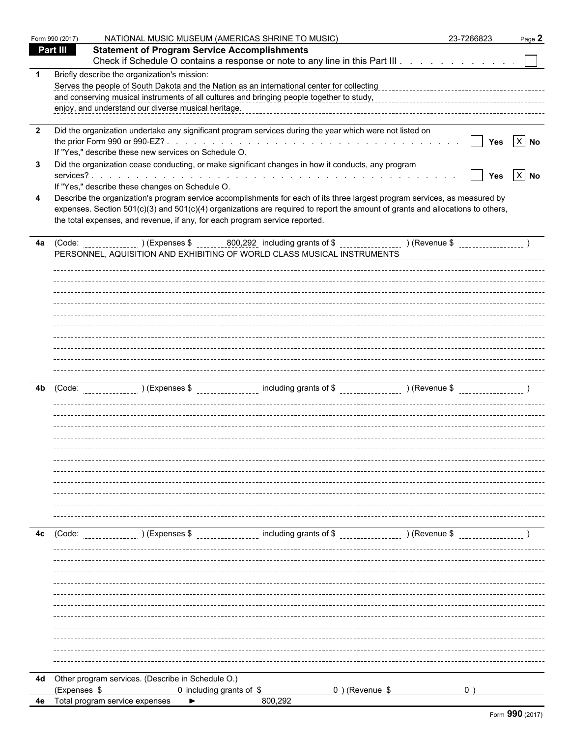| <b>Statement of Program Service Accomplishments</b><br>Part III<br>Check if Schedule O contains a response or note to any line in this Part III<br>Briefly describe the organization's mission:<br>$\mathbf 1$<br>enjoy, and understand our diverse musical heritage.<br>Did the organization undertake any significant program services during the year which were not listed on<br>$\overline{\mathbf{2}}$<br>$\boxed{\phantom{1}}$ Yes $\boxed{\phantom{1}}$ No<br>If "Yes," describe these new services on Schedule O.<br>Did the organization cease conducting, or make significant changes in how it conducts, any program<br>3<br>Yes $X$ No<br>If "Yes," describe these changes on Schedule O.<br>Describe the organization's program service accomplishments for each of its three largest program services, as measured by<br>4<br>expenses. Section 501(c)(3) and 501(c)(4) organizations are required to report the amount of grants and allocations to others,<br>the total expenses, and revenue, if any, for each program service reported.<br>4a<br>PERSONNEL, AQUISITION AND EXHIBITING OF WORLD CLASS MUSICAL INSTRUMENTS<br>4b<br>) (Expenses $\frac{1}{2}$ set of $\frac{1}{2}$ including grants of $\frac{1}{2}$ set of $\frac{1}{2}$ (Revenue $\frac{1}{2}$ )<br>4c<br>(Code:<br>4d Other program services. (Describe in Schedule O.)<br>(Expenses \$<br>0 including grants of \$<br>$0$ ) (Revenue \$<br>Total program service expenses<br>800,292<br>4e<br>▶ | Form 990 (2017) | NATIONAL MUSIC MUSEUM (AMERICAS SHRINE TO MUSIC) | 23-7266823 | Page 2 |
|--------------------------------------------------------------------------------------------------------------------------------------------------------------------------------------------------------------------------------------------------------------------------------------------------------------------------------------------------------------------------------------------------------------------------------------------------------------------------------------------------------------------------------------------------------------------------------------------------------------------------------------------------------------------------------------------------------------------------------------------------------------------------------------------------------------------------------------------------------------------------------------------------------------------------------------------------------------------------------------------------------------------------------------------------------------------------------------------------------------------------------------------------------------------------------------------------------------------------------------------------------------------------------------------------------------------------------------------------------------------------------------------------------------------------------------------------------------------------------------|-----------------|--------------------------------------------------|------------|--------|
|                                                                                                                                                                                                                                                                                                                                                                                                                                                                                                                                                                                                                                                                                                                                                                                                                                                                                                                                                                                                                                                                                                                                                                                                                                                                                                                                                                                                                                                                                      |                 |                                                  |            |        |
|                                                                                                                                                                                                                                                                                                                                                                                                                                                                                                                                                                                                                                                                                                                                                                                                                                                                                                                                                                                                                                                                                                                                                                                                                                                                                                                                                                                                                                                                                      |                 |                                                  |            |        |
|                                                                                                                                                                                                                                                                                                                                                                                                                                                                                                                                                                                                                                                                                                                                                                                                                                                                                                                                                                                                                                                                                                                                                                                                                                                                                                                                                                                                                                                                                      |                 |                                                  |            |        |
|                                                                                                                                                                                                                                                                                                                                                                                                                                                                                                                                                                                                                                                                                                                                                                                                                                                                                                                                                                                                                                                                                                                                                                                                                                                                                                                                                                                                                                                                                      |                 |                                                  |            |        |
|                                                                                                                                                                                                                                                                                                                                                                                                                                                                                                                                                                                                                                                                                                                                                                                                                                                                                                                                                                                                                                                                                                                                                                                                                                                                                                                                                                                                                                                                                      |                 |                                                  |            |        |
|                                                                                                                                                                                                                                                                                                                                                                                                                                                                                                                                                                                                                                                                                                                                                                                                                                                                                                                                                                                                                                                                                                                                                                                                                                                                                                                                                                                                                                                                                      |                 |                                                  |            |        |
|                                                                                                                                                                                                                                                                                                                                                                                                                                                                                                                                                                                                                                                                                                                                                                                                                                                                                                                                                                                                                                                                                                                                                                                                                                                                                                                                                                                                                                                                                      |                 |                                                  |            |        |
|                                                                                                                                                                                                                                                                                                                                                                                                                                                                                                                                                                                                                                                                                                                                                                                                                                                                                                                                                                                                                                                                                                                                                                                                                                                                                                                                                                                                                                                                                      |                 |                                                  |            |        |
|                                                                                                                                                                                                                                                                                                                                                                                                                                                                                                                                                                                                                                                                                                                                                                                                                                                                                                                                                                                                                                                                                                                                                                                                                                                                                                                                                                                                                                                                                      |                 |                                                  |            |        |
|                                                                                                                                                                                                                                                                                                                                                                                                                                                                                                                                                                                                                                                                                                                                                                                                                                                                                                                                                                                                                                                                                                                                                                                                                                                                                                                                                                                                                                                                                      |                 |                                                  |            |        |
|                                                                                                                                                                                                                                                                                                                                                                                                                                                                                                                                                                                                                                                                                                                                                                                                                                                                                                                                                                                                                                                                                                                                                                                                                                                                                                                                                                                                                                                                                      |                 |                                                  |            |        |
|                                                                                                                                                                                                                                                                                                                                                                                                                                                                                                                                                                                                                                                                                                                                                                                                                                                                                                                                                                                                                                                                                                                                                                                                                                                                                                                                                                                                                                                                                      |                 |                                                  |            |        |
|                                                                                                                                                                                                                                                                                                                                                                                                                                                                                                                                                                                                                                                                                                                                                                                                                                                                                                                                                                                                                                                                                                                                                                                                                                                                                                                                                                                                                                                                                      |                 |                                                  |            |        |
|                                                                                                                                                                                                                                                                                                                                                                                                                                                                                                                                                                                                                                                                                                                                                                                                                                                                                                                                                                                                                                                                                                                                                                                                                                                                                                                                                                                                                                                                                      |                 |                                                  |            |        |
|                                                                                                                                                                                                                                                                                                                                                                                                                                                                                                                                                                                                                                                                                                                                                                                                                                                                                                                                                                                                                                                                                                                                                                                                                                                                                                                                                                                                                                                                                      |                 |                                                  |            |        |
|                                                                                                                                                                                                                                                                                                                                                                                                                                                                                                                                                                                                                                                                                                                                                                                                                                                                                                                                                                                                                                                                                                                                                                                                                                                                                                                                                                                                                                                                                      |                 |                                                  |            |        |
|                                                                                                                                                                                                                                                                                                                                                                                                                                                                                                                                                                                                                                                                                                                                                                                                                                                                                                                                                                                                                                                                                                                                                                                                                                                                                                                                                                                                                                                                                      |                 |                                                  |            |        |
|                                                                                                                                                                                                                                                                                                                                                                                                                                                                                                                                                                                                                                                                                                                                                                                                                                                                                                                                                                                                                                                                                                                                                                                                                                                                                                                                                                                                                                                                                      |                 |                                                  |            |        |
|                                                                                                                                                                                                                                                                                                                                                                                                                                                                                                                                                                                                                                                                                                                                                                                                                                                                                                                                                                                                                                                                                                                                                                                                                                                                                                                                                                                                                                                                                      |                 |                                                  |            |        |
|                                                                                                                                                                                                                                                                                                                                                                                                                                                                                                                                                                                                                                                                                                                                                                                                                                                                                                                                                                                                                                                                                                                                                                                                                                                                                                                                                                                                                                                                                      |                 |                                                  |            |        |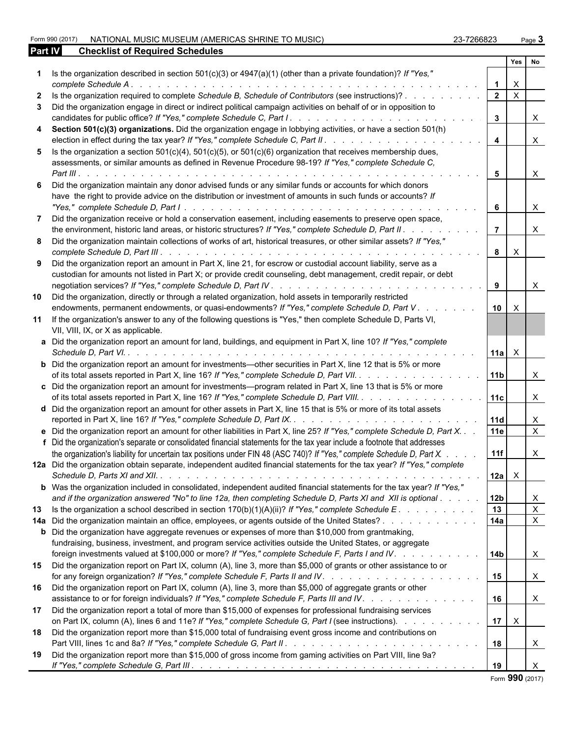Form 990 (2017) NATIONAL MUSIC MUSEUM (AMERICAS SHRINE TO MUSIC) 23-7266823 Page **3**

| 23-7266823 | Pа |
|------------|----|

| Part IV | <b>Checklist of Required Schedules</b>                                                                                                                                                                                                                                                                                    |                       |              |                                |  |
|---------|---------------------------------------------------------------------------------------------------------------------------------------------------------------------------------------------------------------------------------------------------------------------------------------------------------------------------|-----------------------|--------------|--------------------------------|--|
|         |                                                                                                                                                                                                                                                                                                                           |                       | Yes          | No.                            |  |
|         | Is the organization described in section $501(c)(3)$ or $4947(a)(1)$ (other than a private foundation)? If "Yes,"<br>complete Schedule A.                                                                                                                                                                                 |                       | $\times$     |                                |  |
|         | Is the organization required to complete Schedule B, Schedule of Contributors (see instructions)?                                                                                                                                                                                                                         | $\overline{2}$        | $\mathsf{X}$ |                                |  |
| 3.      |                                                                                                                                                                                                                                                                                                                           |                       |              |                                |  |
|         | Did the organization engage in direct or indirect political campaign activities on behalf of or in opposition to                                                                                                                                                                                                          | $\mathbf{3}$          |              | $\times$                       |  |
| 4       | Section 501(c)(3) organizations. Did the organization engage in lobbying activities, or have a section 501(h)                                                                                                                                                                                                             | $\overline{4}$        |              | $\times$                       |  |
| 5.      | Is the organization a section $501(c)(4)$ , $501(c)(5)$ , or $501(c)(6)$ organization that receives membership dues,<br>assessments, or similar amounts as defined in Revenue Procedure 98-19? If "Yes," complete Schedule C,                                                                                             |                       |              |                                |  |
|         | Part III $\cdots$ $\cdots$ $\cdots$ $\cdots$ $\cdots$ $\cdots$                                                                                                                                                                                                                                                            | 5                     |              | $\mathsf{X}$                   |  |
| 6.      | Did the organization maintain any donor advised funds or any similar funds or accounts for which donors<br>have the right to provide advice on the distribution or investment of amounts in such funds or accounts? If                                                                                                    | 6                     |              | $\times$                       |  |
|         | Did the organization receive or hold a conservation easement, including easements to preserve open space,                                                                                                                                                                                                                 |                       |              |                                |  |
|         | the environment, historic land areas, or historic structures? If "Yes," complete Schedule D, Part II.<br>8 Did the organization maintain collections of works of art, historical treasures, or other similar assets? If "Yes,"                                                                                            | $\overline{7}$        |              | $\times$                       |  |
|         |                                                                                                                                                                                                                                                                                                                           | 8                     | $\mathsf{X}$ |                                |  |
|         | 9 Did the organization report an amount in Part X, line 21, for escrow or custodial account liability, serve as a<br>custodian for amounts not listed in Part X; or provide credit counseling, debt management, credit repair, or debt                                                                                    |                       |              |                                |  |
|         |                                                                                                                                                                                                                                                                                                                           | 9                     |              | $\times$                       |  |
| 10      | Did the organization, directly or through a related organization, hold assets in temporarily restricted<br>endowments, permanent endowments, or quasi-endowments? If "Yes," complete Schedule D, Part V.                                                                                                                  | 10 <sup>1</sup>       | $\mathsf{X}$ |                                |  |
|         | 11 If the organization's answer to any of the following questions is "Yes," then complete Schedule D, Parts VI,<br>VII, VIII, IX, or X as applicable.                                                                                                                                                                     |                       |              |                                |  |
|         | a Did the organization report an amount for land, buildings, and equipment in Part X, line 10? If "Yes," complete                                                                                                                                                                                                         | $11a$ $\times$        |              |                                |  |
|         | <b>b</b> Did the organization report an amount for investments—other securities in Part X, line 12 that is 5% or more<br>of its total assets reported in Part X, line 16? If "Yes," complete Schedule D, Part VII.                                                                                                        | 11 <sub>b</sub>       |              | $\times$                       |  |
|         | c Did the organization report an amount for investments—program related in Part X, line 13 that is 5% or more<br>of its total assets reported in Part X, line 16? If "Yes," complete Schedule D, Part VIII.                                                                                                               | 11c                   |              | $\times$                       |  |
|         | d Did the organization report an amount for other assets in Part X, line 15 that is 5% or more of its total assets                                                                                                                                                                                                        | 11d                   |              | X                              |  |
|         | e Did the organization report an amount for other liabilities in Part X, line 25? If "Yes," complete Schedule D, Part X<br>f Did the organization's separate or consolidated financial statements for the tax year include a footnote that addresses                                                                      | <b>11e</b>            |              | $\mathsf{x}$                   |  |
|         | the organization's liability for uncertain tax positions under FIN 48 (ASC 740)? If "Yes," complete Schedule D, Part X.                                                                                                                                                                                                   | 11f                   |              | X                              |  |
|         | 12a Did the organization obtain separate, independent audited financial statements for the tax year? If "Yes," complete                                                                                                                                                                                                   | $12a$ $\times$        |              |                                |  |
|         | <b>b</b> Was the organization included in consolidated, independent audited financial statements for the tax year? If "Yes,"                                                                                                                                                                                              |                       |              |                                |  |
|         | and if the organization answered "No" to line 12a, then completing Schedule D, Parts XI and XII is optional                                                                                                                                                                                                               | 12 <sub>b</sub><br>13 |              | X<br>$\boldsymbol{\mathsf{X}}$ |  |
| 13      | Is the organization a school described in section $170(b)(1)(A)(ii)$ ? If "Yes," complete Schedule E.                                                                                                                                                                                                                     | 14a                   |              | $\boldsymbol{\mathsf{X}}$      |  |
|         | 14a Did the organization maintain an office, employees, or agents outside of the United States?<br><b>b</b> Did the organization have aggregate revenues or expenses of more than \$10,000 from grantmaking,<br>fundraising, business, investment, and program service activities outside the United States, or aggregate |                       |              |                                |  |
|         | foreign investments valued at \$100,000 or more? If "Yes," complete Schedule F, Parts I and IV.<br>15 Did the organization report on Part IX, column (A), line 3, more than \$5,000 of grants or other assistance to or                                                                                                   | l 14b<br>15           |              | X<br>$\mathsf{X}$              |  |
|         | 16 Did the organization report on Part IX, column (A), line 3, more than \$5,000 of aggregate grants or other<br>assistance to or for foreign individuals? If "Yes," complete Schedule F, Parts III and IV.                                                                                                               | 16                    |              | $\mathsf{X}$                   |  |
| 17      | Did the organization report a total of more than \$15,000 of expenses for professional fundraising services<br>on Part IX, column (A), lines 6 and 11e? If "Yes," complete Schedule G, Part I (see instructions).                                                                                                         |                       | $17 \mid X$  |                                |  |
| 18      | Did the organization report more than \$15,000 total of fundraising event gross income and contributions on                                                                                                                                                                                                               | 18                    |              | $\boldsymbol{\mathsf{X}}$      |  |
| 19      | Did the organization report more than \$15,000 of gross income from gaming activities on Part VIII, line 9a?                                                                                                                                                                                                              |                       |              | $\times$                       |  |

Form **990** (2017)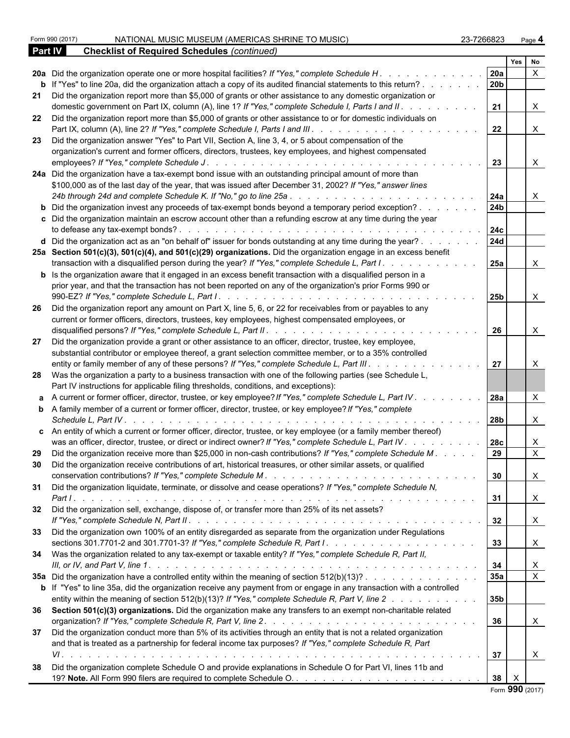|    | Form 990 (2017)<br>NATIONAL MUSIC MUSEUM (AMERICAS SHRINE TO MUSIC)<br>23-7266823                                                                                                                                                                                                                                                                                                |                 |                 | Page 4       |  |
|----|----------------------------------------------------------------------------------------------------------------------------------------------------------------------------------------------------------------------------------------------------------------------------------------------------------------------------------------------------------------------------------|-----------------|-----------------|--------------|--|
|    | <b>Checklist of Required Schedules (continued)</b><br><b>Part IV</b>                                                                                                                                                                                                                                                                                                             |                 |                 |              |  |
|    |                                                                                                                                                                                                                                                                                                                                                                                  |                 | Yes             | No           |  |
|    | 20a Did the organization operate one or more hospital facilities? If "Yes," complete Schedule H.                                                                                                                                                                                                                                                                                 | 20a             |                 | $\mathsf{x}$ |  |
|    | <b>b</b> If "Yes" to line 20a, did the organization attach a copy of its audited financial statements to this return?                                                                                                                                                                                                                                                            | 20b             |                 |              |  |
|    | 21 Did the organization report more than \$5,000 of grants or other assistance to any domestic organization or<br>domestic government on Part IX, column (A), line 1? If "Yes," complete Schedule I, Parts I and II.                                                                                                                                                             | 21              |                 | $\times$     |  |
|    | 22 Did the organization report more than \$5,000 of grants or other assistance to or for domestic individuals on<br>Part IX, column (A), line 2? If "Yes," complete Schedule I, Parts I and III.                                                                                                                                                                                 | 22              |                 | $\times$     |  |
| 23 | Did the organization answer "Yes" to Part VII, Section A, line 3, 4, or 5 about compensation of the                                                                                                                                                                                                                                                                              |                 |                 |              |  |
|    | organization's current and former officers, directors, trustees, key employees, and highest compensated<br>employees? If "Yes," complete Schedule J.<br>.                                                                                                                                                                                                                        | 23              |                 | X            |  |
|    | 24a Did the organization have a tax-exempt bond issue with an outstanding principal amount of more than<br>\$100,000 as of the last day of the year, that was issued after December 31, 2002? If "Yes," answer lines                                                                                                                                                             |                 |                 |              |  |
|    | 24b through 24d and complete Schedule K. If "No," go to line 25a<br>and a straight and a straight and                                                                                                                                                                                                                                                                            | 24a             |                 | X            |  |
|    | <b>b</b> Did the organization invest any proceeds of tax-exempt bonds beyond a temporary period exception?                                                                                                                                                                                                                                                                       | 24b             |                 |              |  |
|    | c Did the organization maintain an escrow account other than a refunding escrow at any time during the year<br>to defease any tax-exempt bonds?<br>and a construction of the construction of the construction of the construction of the construction of the construction of the construction of the construction of the construction of the construction of the construction of | 24c             |                 |              |  |
|    | d Did the organization act as an "on behalf of" issuer for bonds outstanding at any time during the year?                                                                                                                                                                                                                                                                        | <b>24d</b>      |                 |              |  |
|    | 25a Section 501(c)(3), 501(c)(4), and 501(c)(29) organizations. Did the organization engage in an excess benefit<br>transaction with a disqualified person during the year? If "Yes," complete Schedule L, Part I.                                                                                                                                                               | <b>25a</b>      |                 |              |  |
|    | <b>b</b> Is the organization aware that it engaged in an excess benefit transaction with a disqualified person in a                                                                                                                                                                                                                                                              |                 |                 |              |  |
|    | prior year, and that the transaction has not been reported on any of the organization's prior Forms 990 or                                                                                                                                                                                                                                                                       | 25b             |                 | X            |  |
| 26 | Did the organization report any amount on Part X, line 5, 6, or 22 for receivables from or payables to any                                                                                                                                                                                                                                                                       |                 |                 |              |  |
|    | current or former officers, directors, trustees, key employees, highest compensated employees, or                                                                                                                                                                                                                                                                                | 26              |                 | X            |  |
| 27 | Did the organization provide a grant or other assistance to an officer, director, trustee, key employee,<br>substantial contributor or employee thereof, a grant selection committee member, or to a 35% controlled                                                                                                                                                              |                 |                 |              |  |
|    | entity or family member of any of these persons? If "Yes," complete Schedule L, Part III. .                                                                                                                                                                                                                                                                                      | 27              |                 |              |  |
|    | 28 Was the organization a party to a business transaction with one of the following parties (see Schedule L,<br>Part IV instructions for applicable filing thresholds, conditions, and exceptions):                                                                                                                                                                              |                 |                 |              |  |
|    | a A current or former officer, director, trustee, or key employee? If "Yes," complete Schedule L, Part IV.                                                                                                                                                                                                                                                                       | 28a             |                 | $\times$     |  |
|    | <b>b</b> A family member of a current or former officer, director, trustee, or key employee? If "Yes," complete<br>Schedule L, Part IV.                                                                                                                                                                                                                                          | 28b             |                 | X            |  |
|    | c An entity of which a current or former officer, director, trustee, or key employee (or a family member thereof)<br>was an officer, director, trustee, or direct or indirect owner? If "Yes," complete Schedule L, Part IV                                                                                                                                                      | 28c             |                 | X            |  |
| 29 | Did the organization receive more than \$25,000 in non-cash contributions? If "Yes," complete Schedule M. 29                                                                                                                                                                                                                                                                     |                 |                 | $\mathsf{X}$ |  |
| 30 | Did the organization receive contributions of art, historical treasures, or other similar assets, or qualified                                                                                                                                                                                                                                                                   | 30              |                 | $\times$     |  |
| 31 | Did the organization liquidate, terminate, or dissolve and cease operations? If "Yes," complete Schedule N,                                                                                                                                                                                                                                                                      |                 |                 |              |  |
|    |                                                                                                                                                                                                                                                                                                                                                                                  | 31              |                 | X            |  |
|    | 32 Did the organization sell, exchange, dispose of, or transfer more than 25% of its net assets?                                                                                                                                                                                                                                                                                 | 32              |                 | $\times$     |  |
|    | 33 Did the organization own 100% of an entity disregarded as separate from the organization under Regulations                                                                                                                                                                                                                                                                    | 33              |                 | $\mathsf{X}$ |  |
|    | 34 Was the organization related to any tax-exempt or taxable entity? If "Yes," complete Schedule R, Part II,                                                                                                                                                                                                                                                                     |                 |                 |              |  |
|    |                                                                                                                                                                                                                                                                                                                                                                                  | 34              |                 | $\mathsf{X}$ |  |
|    | 35a Did the organization have a controlled entity within the meaning of section 512(b)(13)?                                                                                                                                                                                                                                                                                      | 35a             |                 | $\mathsf{X}$ |  |
|    | <b>b</b> If "Yes" to line 35a, did the organization receive any payment from or engage in any transaction with a controlled<br>entity within the meaning of section 512(b)(13)? If "Yes," complete Schedule R, Part V, line 2                                                                                                                                                    | 35 <sub>b</sub> |                 |              |  |
|    | 36 Section 501(c)(3) organizations. Did the organization make any transfers to an exempt non-charitable related                                                                                                                                                                                                                                                                  |                 |                 |              |  |
|    |                                                                                                                                                                                                                                                                                                                                                                                  | 36              |                 | $\mathsf{X}$ |  |
| 37 | Did the organization conduct more than 5% of its activities through an entity that is not a related organization                                                                                                                                                                                                                                                                 |                 |                 |              |  |
|    | and that is treated as a partnership for federal income tax purposes? If "Yes," complete Schedule R, Part                                                                                                                                                                                                                                                                        |                 |                 |              |  |
|    |                                                                                                                                                                                                                                                                                                                                                                                  | 37              |                 | $\mathsf{X}$ |  |
| 38 | Did the organization complete Schedule O and provide explanations in Schedule O for Part VI, lines 11b and                                                                                                                                                                                                                                                                       |                 |                 |              |  |
|    |                                                                                                                                                                                                                                                                                                                                                                                  | $38$ $\times$   |                 |              |  |
|    |                                                                                                                                                                                                                                                                                                                                                                                  |                 | Form 990 (2017) |              |  |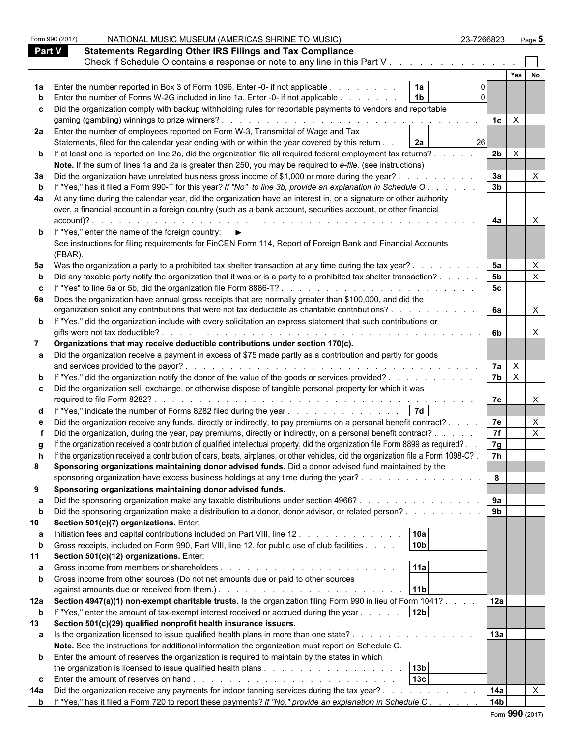|             | Form 990 (2017)<br>NATIONAL MUSIC MUSEUM (AMERICAS SHRINE TO MUSIC)                                                                                                                                                                    | 23-7266823      | Page 5                  |
|-------------|----------------------------------------------------------------------------------------------------------------------------------------------------------------------------------------------------------------------------------------|-----------------|-------------------------|
|             | <b>Statements Regarding Other IRS Filings and Tax Compliance</b><br><b>Part V</b>                                                                                                                                                      |                 |                         |
|             | Check if Schedule O contains a response or note to any line in this Part V                                                                                                                                                             |                 |                         |
|             |                                                                                                                                                                                                                                        |                 | Yes                     |
|             | <b>1a</b> Enter the number reported in Box 3 of Form 1096. Enter -0- if not applicable<br>1a                                                                                                                                           |                 |                         |
|             | 1 <sub>b</sub><br>Enter the number of Forms W-2G included in line 1a. Enter -0- if not applicable                                                                                                                                      |                 |                         |
|             | c Did the organization comply with backup withholding rules for reportable payments to vendors and reportable                                                                                                                          |                 |                         |
|             |                                                                                                                                                                                                                                        | 1c              | $\mathsf{X}$            |
|             | 2a Enter the number of employees reported on Form W-3, Transmittal of Wage and Tax                                                                                                                                                     |                 |                         |
|             | Statements, filed for the calendar year ending with or within the year covered by this return .<br>2a                                                                                                                                  |                 |                         |
|             |                                                                                                                                                                                                                                        | <b>26</b>       | $\times$                |
|             | <b>b</b> If at least one is reported on line 2a, did the organization file all required federal employment tax returns?                                                                                                                | 2 <sub>b</sub>  |                         |
|             | Note. If the sum of lines 1a and 2a is greater than 250, you may be required to e-file. (see instructions)                                                                                                                             |                 |                         |
|             | 3a Did the organization have unrelated business gross income of \$1,000 or more during the year?.                                                                                                                                      | 3a              |                         |
| b           | If "Yes," has it filed a Form 990-T for this year? If "No" to line 3b, provide an explanation in Schedule O.                                                                                                                           | 3 <sub>b</sub>  |                         |
|             | 4a At any time during the calendar year, did the organization have an interest in, or a signature or other authority                                                                                                                   |                 |                         |
|             | over, a financial account in a foreign country (such as a bank account, securities account, or other financial                                                                                                                         |                 |                         |
|             | $account$ $?$ .                                                                                                                                                                                                                        | 4a              |                         |
|             | <b>b</b> If "Yes," enter the name of the foreign country: $\blacktriangleright$                                                                                                                                                        |                 |                         |
|             | See instructions for filing requirements for FinCEN Form 114, Report of Foreign Bank and Financial Accounts                                                                                                                            |                 |                         |
|             | (FBAR).                                                                                                                                                                                                                                |                 |                         |
|             | 5a Was the organization a party to a prohibited tax shelter transaction at any time during the tax year?.                                                                                                                              | 5a              |                         |
|             | Did any taxable party notify the organization that it was or is a party to a prohibited tax shelter transaction?.                                                                                                                      | 5b              |                         |
|             |                                                                                                                                                                                                                                        | 5 <sub>c</sub>  |                         |
|             | 6a Does the organization have annual gross receipts that are normally greater than \$100,000, and did the                                                                                                                              |                 |                         |
|             | organization solicit any contributions that were not tax deductible as charitable contributions?.                                                                                                                                      | 6a              | X                       |
|             | <b>b</b> If "Yes," did the organization include with every solicitation an express statement that such contributions or                                                                                                                |                 |                         |
|             | gifts were not tax deductible?                                                                                                                                                                                                         | 6b              |                         |
|             | Organizations that may receive deductible contributions under section 170(c).                                                                                                                                                          |                 |                         |
|             | a Did the organization receive a payment in excess of \$75 made partly as a contribution and partly for goods                                                                                                                          |                 |                         |
|             | and services provided to the payor?.<br>and the contract of the contract of the con-                                                                                                                                                   | 7a              | $\mathsf{X}$            |
|             | <b>b</b> If "Yes," did the organization notify the donor of the value of the goods or services provided?                                                                                                                               | 7 <sub>b</sub>  | $\overline{\mathbf{x}}$ |
|             | c Did the organization sell, exchange, or otherwise dispose of tangible personal property for which it was                                                                                                                             |                 |                         |
|             | required to file Form 8282?.<br>de la caractería de la caractería de la caractería                                                                                                                                                     | 7c              |                         |
|             | d If "Yes," indicate the number of Forms 8282 filed during the year 7d                                                                                                                                                                 |                 |                         |
|             | Did the organization receive any funds, directly or indirectly, to pay premiums on a personal benefit contract?                                                                                                                        | 7e              |                         |
|             | Did the organization, during the year, pay premiums, directly or indirectly, on a personal benefit contract? .                                                                                                                         | 7f              |                         |
|             | If the organization received a contribution of qualified intellectual property, did the organization file Form 8899 as required?.                                                                                                      | 7g              |                         |
|             | If the organization received a contribution of cars, boats, airplanes, or other vehicles, did the organization file a Form 1098-C?.                                                                                                    | 7h              |                         |
| 8           | Sponsoring organizations maintaining donor advised funds. Did a donor advised fund maintained by the                                                                                                                                   |                 |                         |
|             | sponsoring organization have excess business holdings at any time during the year?                                                                                                                                                     | 8               |                         |
| 9           | Sponsoring organizations maintaining donor advised funds.                                                                                                                                                                              |                 |                         |
|             | Did the sponsoring organization make any taxable distributions under section 4966?                                                                                                                                                     | 9a              |                         |
| b           | Did the sponsoring organization make a distribution to a donor, donor advisor, or related person?                                                                                                                                      | 9 <sub>b</sub>  |                         |
| 10          | Section 501(c)(7) organizations. Enter:                                                                                                                                                                                                |                 |                         |
|             | 10a<br>Initiation fees and capital contributions included on Part VIII, line 12.                                                                                                                                                       |                 |                         |
| b           | 10 <sub>b</sub><br>Gross receipts, included on Form 990, Part VIII, line 12, for public use of club facilities                                                                                                                         |                 |                         |
| 11          | Section 501(c)(12) organizations. Enter:                                                                                                                                                                                               |                 |                         |
|             | 11a                                                                                                                                                                                                                                    |                 |                         |
| b           | Gross income from other sources (Do not net amounts due or paid to other sources                                                                                                                                                       |                 |                         |
|             | 11 <sub>b</sub>                                                                                                                                                                                                                        |                 |                         |
|             | 12a Section 4947(a)(1) non-exempt charitable trusts. Is the organization filing Form 990 in lieu of Form 1041?                                                                                                                         | 12a             |                         |
| $\mathbf b$ | 12 <sub>b</sub><br>If "Yes," enter the amount of tax-exempt interest received or accrued during the year                                                                                                                               |                 |                         |
| 13          | Section 501(c)(29) qualified nonprofit health insurance issuers.                                                                                                                                                                       |                 |                         |
|             | a Is the organization licensed to issue qualified health plans in more than one state?                                                                                                                                                 | 13a             |                         |
|             | Note. See the instructions for additional information the organization must report on Schedule O.                                                                                                                                      |                 |                         |
|             | <b>b</b> Enter the amount of reserves the organization is required to maintain by the states in which                                                                                                                                  |                 |                         |
|             | 13 <sub>b</sub>                                                                                                                                                                                                                        |                 |                         |
|             | 13 <sub>c</sub>                                                                                                                                                                                                                        |                 |                         |
| 14a         | Did the organization receive any payments for indoor tanning services during the tax year?                                                                                                                                             | 14a             |                         |
|             | the contract of the contract of the contract of the contract of the contract of the contract of the contract of<br><b>b</b> If "Yes," has it filed a Form 720 to report these payments? If "No," provide an explanation in Schedule O. | 14 <sub>b</sub> |                         |
|             |                                                                                                                                                                                                                                        |                 |                         |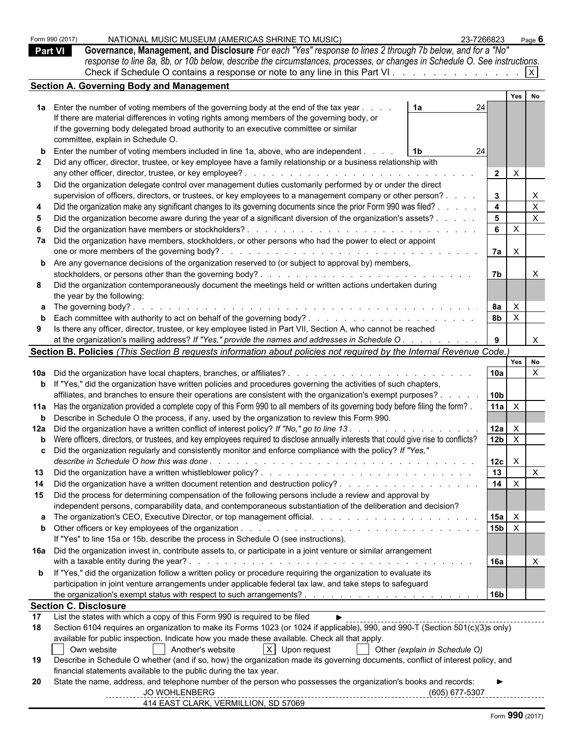|                | Form 990 (2017)              | NATIONAL MUSIC MUSEUM (AMERICAS SHRINE TO MUSIC)                                                                                                                       | 23-7266823                       | Page $6$                  |  |  |
|----------------|------------------------------|------------------------------------------------------------------------------------------------------------------------------------------------------------------------|----------------------------------|---------------------------|--|--|
| <b>Part VI</b> |                              | Governance, Management, and Disclosure For each "Yes" response to lines 2 through 7b below, and for a "No"                                                             |                                  |                           |  |  |
|                |                              | response to line 8a, 8b, or 10b below, describe the circumstances, processes, or changes in Schedule O. See instructions.                                              |                                  |                           |  |  |
|                |                              | Check if Schedule O contains a response or note to any line in this Part VI. $\ldots$ . $\ldots$ . $\ldots$                                                            |                                  |                           |  |  |
|                |                              | <b>Section A. Governing Body and Management</b>                                                                                                                        |                                  |                           |  |  |
|                |                              |                                                                                                                                                                        | Yes                              | No                        |  |  |
|                |                              | 1a Enter the number of voting members of the governing body at the end of the tax year.<br>1a                                                                          | 24                               |                           |  |  |
|                |                              | If there are material differences in voting rights among members of the governing body, or                                                                             |                                  |                           |  |  |
|                |                              | if the governing body delegated broad authority to an executive committee or similar                                                                                   |                                  |                           |  |  |
|                |                              | committee, explain in Schedule O.                                                                                                                                      |                                  |                           |  |  |
|                |                              | <b>b</b> Enter the number of voting members included in line 1a, above, who are independent.<br>  1b                                                                   | 24                               |                           |  |  |
|                |                              | 2 Did any officer, director, trustee, or key employee have a family relationship or a business relationship with                                                       |                                  |                           |  |  |
|                |                              | any other officer, director, trustee, or key employee?<br>de la caractería de la caractería de la caractería de                                                        | $\overline{2}$<br>$\mathsf{X}$   |                           |  |  |
|                |                              | Did the organization delegate control over management duties customarily performed by or under the direct                                                              |                                  |                           |  |  |
|                |                              | supervision of officers, directors, or trustees, or key employees to a management company or other person?.                                                            | $\mathbf{3}$                     | $\mathsf{X}$              |  |  |
|                |                              | Did the organization make any significant changes to its governing documents since the prior Form 990 was filed? .                                                     | $\overline{\mathbf{4}}$          | $\mathsf X$               |  |  |
|                |                              | Did the organization become aware during the year of a significant diversion of the organization's assets?.                                                            | 5 <sup>5</sup>                   | $\boldsymbol{\mathsf{X}}$ |  |  |
|                |                              | Did the organization have members or stockholders?.<br>and the state of the state of the state of the state of the state of the state of the state of the state of the | $6\overline{6}$<br>$\mathsf{X}$  |                           |  |  |
|                |                              | 7a Did the organization have members, stockholders, or other persons who had the power to elect or appoint                                                             |                                  |                           |  |  |
|                |                              | one or more members of the governing body?.                                                                                                                            | 7a<br>$\mathsf{X}$               |                           |  |  |
|                |                              | <b>b</b> Are any governance decisions of the organization reserved to (or subject to approval by) members,                                                             |                                  |                           |  |  |
|                |                              | stockholders, or persons other than the governing body?.<br>and the state of the state of the state of the                                                             | 7b                               | $\boldsymbol{\mathsf{X}}$ |  |  |
|                |                              | Did the organization contemporaneously document the meetings held or written actions undertaken during                                                                 |                                  |                           |  |  |
|                |                              | the year by the following:                                                                                                                                             |                                  |                           |  |  |
|                |                              | a The governing body?.                                                                                                                                                 | 8a<br>$\mathsf{X}$               |                           |  |  |
|                |                              |                                                                                                                                                                        | 8 <sub>b</sub><br>$\overline{X}$ |                           |  |  |
| 9              |                              | Is there any officer, director, trustee, or key employee listed in Part VII, Section A, who cannot be reached                                                          |                                  |                           |  |  |
|                |                              | at the organization's mailing address? If "Yes," provide the names and addresses in Schedule O.                                                                        |                                  | $\mathsf{X}$              |  |  |
|                |                              | Section B. Policies (This Section B requests information about policies not required by the Internal Revenue Code.)                                                    |                                  |                           |  |  |
|                |                              |                                                                                                                                                                        |                                  | Yes No                    |  |  |
|                |                              |                                                                                                                                                                        | 10a                              | $\boldsymbol{\mathsf{X}}$ |  |  |
|                |                              | <b>b</b> If "Yes," did the organization have written policies and procedures governing the activities of such chapters,                                                |                                  |                           |  |  |
|                |                              | affiliates, and branches to ensure their operations are consistent with the organization's exempt purposes?.                                                           | 10 <sub>b</sub>                  |                           |  |  |
|                |                              | 11a Has the organization provided a complete copy of this Form 990 to all members of its governing body before filing the form?.                                       | 11a<br>$\mathsf{X}$              |                           |  |  |
|                |                              | <b>b</b> Describe in Schedule O the process, if any, used by the organization to review this Form 990.                                                                 |                                  |                           |  |  |
|                |                              | 12a Did the organization have a written conflict of interest policy? If "No," go to line 13.                                                                           | 12a<br>$\mathsf{X}$              |                           |  |  |
|                |                              | <b>b</b> Were officers, directors, or trustees, and key employees required to disclose annually interests that could give rise to conflicts?                           | 12 <sub>b</sub><br>$\mathsf{X}$  |                           |  |  |
|                |                              | Did the organization regularly and consistently monitor and enforce compliance with the policy? If "Yes,"                                                              |                                  |                           |  |  |
|                |                              |                                                                                                                                                                        | $\mathsf{X}$<br>12c              |                           |  |  |
| 13             |                              |                                                                                                                                                                        | 13                               | $\mathsf{X}$              |  |  |
| 14             |                              |                                                                                                                                                                        | 14<br>$\mathsf{X}$               |                           |  |  |
|                |                              | 15 Did the process for determining compensation of the following persons include a review and approval by                                                              |                                  |                           |  |  |
|                |                              | independent persons, comparability data, and contemporaneous substantiation of the deliberation and decision?                                                          |                                  |                           |  |  |
|                |                              |                                                                                                                                                                        | 15a<br>$\mathsf{X}$              |                           |  |  |
|                |                              |                                                                                                                                                                        | 15 <sub>b</sub><br>$\mathsf{X}$  |                           |  |  |
|                |                              | If "Yes" to line 15a or 15b, describe the process in Schedule O (see instructions).                                                                                    |                                  |                           |  |  |
|                |                              | 16a Did the organization invest in, contribute assets to, or participate in a joint venture or similar arrangement                                                     |                                  |                           |  |  |
|                |                              |                                                                                                                                                                        | 16a                              |                           |  |  |
|                |                              | <b>b</b> If "Yes," did the organization follow a written policy or procedure requiring the organization to evaluate its                                                |                                  |                           |  |  |
|                |                              | participation in joint venture arrangements under applicable federal tax law, and take steps to safeguard                                                              |                                  |                           |  |  |
|                |                              |                                                                                                                                                                        | 16b                              |                           |  |  |
| 17             | <b>Section C. Disclosure</b> | List the states with which a copy of this Form 990 is required to be filed                                                                                             |                                  |                           |  |  |
| 18             |                              | Section 6104 requires an organization to make its Forms 1023 (or 1024 if applicable), 990, and 990-T (Section 501(c)(3)s only)                                         |                                  |                           |  |  |
|                |                              | available for public inspection. Indicate how you made these available. Check all that apply.                                                                          |                                  |                           |  |  |
|                |                              | $X$ Upon request<br>Own website<br>Another's website<br>Other (explain in Schedule O)                                                                                  |                                  |                           |  |  |
| 19             |                              | Describe in Schedule O whether (and if so, how) the organization made its governing documents, conflict of interest policy, and                                        |                                  |                           |  |  |
|                |                              | financial statements available to the public during the tax year.                                                                                                      |                                  |                           |  |  |
| 20             |                              | State the name, address, and telephone number of the person who possesses the organization's books and records:                                                        |                                  |                           |  |  |
|                |                              | <b>JO WOHLENBERG</b>                                                                                                                                                   | (605) 677-5307                   |                           |  |  |
|                |                              | 414 EAST CLARK, VERMILLION, SD 57069                                                                                                                                   |                                  |                           |  |  |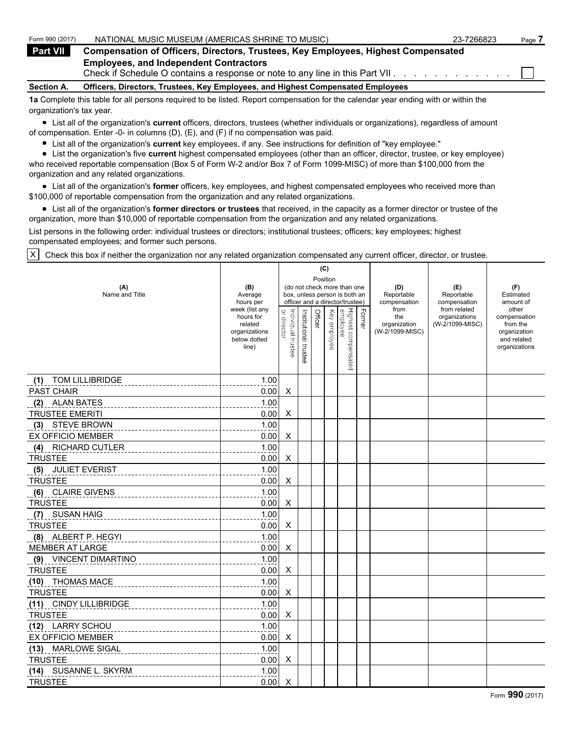| Form 990 (2017)   | NATIONAL MUSIC MUSEUM (AMERICAS SHRINE TO MUSIC)                                                                                  | 23-7266823 | Page |
|-------------------|-----------------------------------------------------------------------------------------------------------------------------------|------------|------|
| <b>Part VII</b>   | <b>Compensation of Officers, Directors, Trustees, Key Employees, Highest Compensated</b>                                          |            |      |
|                   | <b>Employees, and Independent Contractors</b><br>Check if Schedule O contains a response or note to any line in this Part VII.    |            |      |
| <b>Section A.</b> | Officers, Directors, Trustees, Key Employees, and Highest Compensated Employees                                                   |            |      |
|                   | An Complete this topic for all persons required to be listed. Depart componention for the selender vegrapeding with or within the |            |      |

**1a** Complete this table for all persons required to be listed. Report compensation for the calendar year ending with or within the organization's tax year.

List all of the organization's **current** officers, directors, trustees (whether individuals or organizations), regardless of amount of compensation. Enter -0- in columns (D), (E), and (F) if no compensation was paid.

List all of the organization's **current** key employees, if any. See instructions for definition of "key employee."

List the organization's five **current** highest compensated employees (other than an officer, director, trustee, or key employee) who received reportable compensation (Box 5 of Form W-2 and/or Box 7 of Form 1099-MISC) of more than \$100,000 from the organization and any related organizations.

List all of the organization's **former** officers, key employees, and highest compensated employees who received more than \$100,000 of reportable compensation from the organization and any related organizations.

List all of the organization's **former directors or trustees** that received, in the capacity as a former director or trustee of the organization, more than \$10,000 of reportable compensation from the organization and any related organizations.

List persons in the following order: individual trustees or directors; institutional trustees; officers; key employees; highest compensated employees; and former such persons.

X Check this box if neither the organization nor any related organization compensated any current officer, director, or trustee.

|                               |                                                                                  |                                   |                       | (C)      |                 |                                                                                                 |        |                                                |                                                  |                                                                                   |
|-------------------------------|----------------------------------------------------------------------------------|-----------------------------------|-----------------------|----------|-----------------|-------------------------------------------------------------------------------------------------|--------|------------------------------------------------|--------------------------------------------------|-----------------------------------------------------------------------------------|
| (A)<br>Name and Title         | (B)<br>Average<br>hours per                                                      |                                   |                       | Position |                 | (do not check more than one<br>box, unless person is both an<br>officer and a director/trustee) |        | (D)<br>Reportable<br>compensation              | (E)<br>Reportable<br>compensation                | (F)<br>Estimated<br>amount of                                                     |
|                               | week (list any<br>hours for<br>related<br>organizations<br>below dotted<br>line) | or director<br>Individual trustee | Institutional trustee | Officer  | Key<br>employee | Highest compensated<br>employee                                                                 | Former | from<br>the<br>organization<br>(W-2/1099-MISC) | from related<br>organizations<br>(W-2/1099-MISC) | other<br>compensation<br>from the<br>organization<br>and related<br>organizations |
| <b>TOM LILLIBRIDGE</b><br>(1) | 1.00                                                                             |                                   |                       |          |                 |                                                                                                 |        |                                                |                                                  |                                                                                   |
| PAST CHAIR                    | 0.00                                                                             | X                                 |                       |          |                 |                                                                                                 |        |                                                |                                                  |                                                                                   |
| (2) ALAN BATES                | 1.00                                                                             |                                   |                       |          |                 |                                                                                                 |        |                                                |                                                  |                                                                                   |
| <b>TRUSTEE EMERITI</b>        | 0.00                                                                             | X                                 |                       |          |                 |                                                                                                 |        |                                                |                                                  |                                                                                   |
| (3) STEVE BROWN               | 1.00                                                                             |                                   |                       |          |                 |                                                                                                 |        |                                                |                                                  |                                                                                   |
| <b>EX OFFICIO MEMBER</b>      | 0.00                                                                             | X                                 |                       |          |                 |                                                                                                 |        |                                                |                                                  |                                                                                   |
| (4)<br><b>RICHARD CUTLER</b>  | 1.00                                                                             |                                   |                       |          |                 |                                                                                                 |        |                                                |                                                  |                                                                                   |
| <b>TRUSTEE</b>                | 0.00                                                                             | X                                 |                       |          |                 |                                                                                                 |        |                                                |                                                  |                                                                                   |
| (5) JULIET EVERIST            | 1.00                                                                             |                                   |                       |          |                 |                                                                                                 |        |                                                |                                                  |                                                                                   |
| <b>TRUSTEE</b>                | 0.00                                                                             | X                                 |                       |          |                 |                                                                                                 |        |                                                |                                                  |                                                                                   |
| (6) CLAIRE GIVENS             | 1.00                                                                             |                                   |                       |          |                 |                                                                                                 |        |                                                |                                                  |                                                                                   |
| <b>TRUSTEE</b>                | 0.00                                                                             | X                                 |                       |          |                 |                                                                                                 |        |                                                |                                                  |                                                                                   |
| <b>SUSAN HAIG</b><br>(7)      | 1.00                                                                             |                                   |                       |          |                 |                                                                                                 |        |                                                |                                                  |                                                                                   |
| <b>TRUSTEE</b>                | 0.00                                                                             | X                                 |                       |          |                 |                                                                                                 |        |                                                |                                                  |                                                                                   |
| (8) ALBERT P. HEGYI           | 1.00                                                                             |                                   |                       |          |                 |                                                                                                 |        |                                                |                                                  |                                                                                   |
| <b>MEMBER AT LARGE</b>        | 0.00                                                                             | X                                 |                       |          |                 |                                                                                                 |        |                                                |                                                  |                                                                                   |
| (9) VINCENT DIMARTINO         | 1.00                                                                             |                                   |                       |          |                 |                                                                                                 |        |                                                |                                                  |                                                                                   |
| <b>TRUSTEE</b>                | 0.00                                                                             | X                                 |                       |          |                 |                                                                                                 |        |                                                |                                                  |                                                                                   |
| (10) THOMAS MACE              | 1.00                                                                             |                                   |                       |          |                 |                                                                                                 |        |                                                |                                                  |                                                                                   |
| <b>TRUSTEE</b>                | 0.00                                                                             | X                                 |                       |          |                 |                                                                                                 |        |                                                |                                                  |                                                                                   |
| (11) CINDY LILLIBRIDGE        | 1.00                                                                             |                                   |                       |          |                 |                                                                                                 |        |                                                |                                                  |                                                                                   |
| <b>TRUSTEE</b>                | 0.00                                                                             | X                                 |                       |          |                 |                                                                                                 |        |                                                |                                                  |                                                                                   |
| (12) LARRY SCHOU              | 1.00                                                                             |                                   |                       |          |                 |                                                                                                 |        |                                                |                                                  |                                                                                   |
| <b>EX OFFICIO MEMBER</b>      | 0.00                                                                             | X                                 |                       |          |                 |                                                                                                 |        |                                                |                                                  |                                                                                   |
| (13) MARLOWE SIGAL            | 1.00                                                                             |                                   |                       |          |                 |                                                                                                 |        |                                                |                                                  |                                                                                   |
| <b>TRUSTEE</b>                | 0.00                                                                             | X                                 |                       |          |                 |                                                                                                 |        |                                                |                                                  |                                                                                   |
| (14) SUSANNE L. SKYRM         | 1.00                                                                             |                                   |                       |          |                 |                                                                                                 |        |                                                |                                                  |                                                                                   |
| <b>TRUSTEE</b>                | 0.00                                                                             | X                                 |                       |          |                 |                                                                                                 |        |                                                |                                                  |                                                                                   |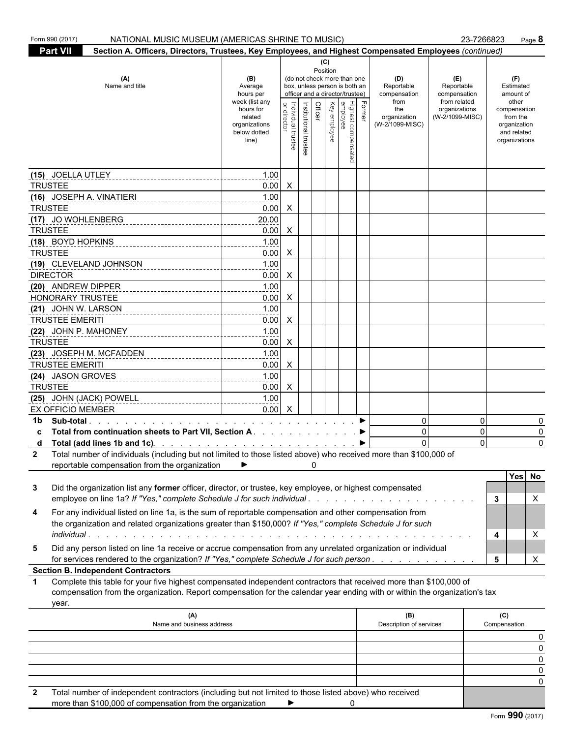|                      | Form 990 (2017)<br>NATIONAL MUSIC MUSEUM (AMERICAS SHRINE TO MUSIC)                                                                                                                                                                                       |                                                                                                                 |                                |                                                                                                        |         |                                 |                                                                                                                                    |        |                                                                                     |                                                                                       | 23-7266823<br>Page 8                                                                                               |  |  |  |  |  |
|----------------------|-----------------------------------------------------------------------------------------------------------------------------------------------------------------------------------------------------------------------------------------------------------|-----------------------------------------------------------------------------------------------------------------|--------------------------------|--------------------------------------------------------------------------------------------------------|---------|---------------------------------|------------------------------------------------------------------------------------------------------------------------------------|--------|-------------------------------------------------------------------------------------|---------------------------------------------------------------------------------------|--------------------------------------------------------------------------------------------------------------------|--|--|--|--|--|
|                      | <b>Part VII</b>                                                                                                                                                                                                                                           |                                                                                                                 |                                | Section A. Officers, Directors, Trustees, Key Employees, and Highest Compensated Employees (continued) |         |                                 |                                                                                                                                    |        |                                                                                     |                                                                                       |                                                                                                                    |  |  |  |  |  |
|                      | (A)<br>Name and title                                                                                                                                                                                                                                     | (B)<br>Average<br>hours per<br>week (list any<br>hours for<br>related<br>organizations<br>below dotted<br>line) | Individual trustee<br>director | Institutional trustee                                                                                  | Officer | (C)<br>Position<br>Key employee | (do not check more than one<br>box, unless person is both an<br>officer and a director/trustee)<br>Highest compensated<br>employee | Former | (D)<br>Reportable<br>compensation<br>from<br>the<br>organization<br>(W-2/1099-MISC) | (E)<br>Reportable<br>compensation<br>from related<br>organizations<br>(W-2/1099-MISC) | (F)<br>Estimated<br>amount of<br>other<br>compensation<br>from the<br>organization<br>and related<br>organizations |  |  |  |  |  |
|                      | (15) JOELLA UTLEY                                                                                                                                                                                                                                         | 1.00                                                                                                            |                                |                                                                                                        |         |                                 |                                                                                                                                    |        |                                                                                     |                                                                                       |                                                                                                                    |  |  |  |  |  |
|                      | <b>TRUSTEE</b>                                                                                                                                                                                                                                            | 0.00                                                                                                            | $\mathsf{X}$                   |                                                                                                        |         |                                 |                                                                                                                                    |        |                                                                                     |                                                                                       |                                                                                                                    |  |  |  |  |  |
|                      | (16) JOSEPH A. VINATIERI                                                                                                                                                                                                                                  | 1.00                                                                                                            |                                |                                                                                                        |         |                                 |                                                                                                                                    |        |                                                                                     |                                                                                       |                                                                                                                    |  |  |  |  |  |
|                      | <b>TRUSTEE</b>                                                                                                                                                                                                                                            | 0.00                                                                                                            | $\mathsf{X}$                   |                                                                                                        |         |                                 |                                                                                                                                    |        |                                                                                     |                                                                                       |                                                                                                                    |  |  |  |  |  |
|                      |                                                                                                                                                                                                                                                           | 20.00                                                                                                           |                                |                                                                                                        |         |                                 |                                                                                                                                    |        |                                                                                     |                                                                                       |                                                                                                                    |  |  |  |  |  |
|                      | (17) JO WOHLENBERG<br><b>TRUSTEE</b>                                                                                                                                                                                                                      | 0.00                                                                                                            | $\mathsf{X}$                   |                                                                                                        |         |                                 |                                                                                                                                    |        |                                                                                     |                                                                                       |                                                                                                                    |  |  |  |  |  |
|                      | (18) BOYD HOPKINS                                                                                                                                                                                                                                         |                                                                                                                 |                                |                                                                                                        |         |                                 |                                                                                                                                    |        |                                                                                     |                                                                                       |                                                                                                                    |  |  |  |  |  |
|                      | <b>TRUSTEE</b>                                                                                                                                                                                                                                            | 1.00<br>0.00                                                                                                    | $\mathsf{X}$                   |                                                                                                        |         |                                 |                                                                                                                                    |        |                                                                                     |                                                                                       |                                                                                                                    |  |  |  |  |  |
|                      | (19) CLEVELAND JOHNSON                                                                                                                                                                                                                                    | 1.00                                                                                                            |                                |                                                                                                        |         |                                 |                                                                                                                                    |        |                                                                                     |                                                                                       |                                                                                                                    |  |  |  |  |  |
|                      |                                                                                                                                                                                                                                                           |                                                                                                                 |                                |                                                                                                        |         |                                 |                                                                                                                                    |        |                                                                                     |                                                                                       |                                                                                                                    |  |  |  |  |  |
|                      | <b>DIRECTOR</b>                                                                                                                                                                                                                                           | 0.00                                                                                                            | $\mathsf{X}$                   |                                                                                                        |         |                                 |                                                                                                                                    |        |                                                                                     |                                                                                       |                                                                                                                    |  |  |  |  |  |
|                      | (20) ANDREW DIPPER<br><b>HONORARY TRUSTEE</b>                                                                                                                                                                                                             | 1.00                                                                                                            |                                |                                                                                                        |         |                                 |                                                                                                                                    |        |                                                                                     |                                                                                       |                                                                                                                    |  |  |  |  |  |
|                      |                                                                                                                                                                                                                                                           | 0.00                                                                                                            | $\mathsf{X}$                   |                                                                                                        |         |                                 |                                                                                                                                    |        |                                                                                     |                                                                                       |                                                                                                                    |  |  |  |  |  |
|                      | (21) JOHN W. LARSON                                                                                                                                                                                                                                       | 1.00                                                                                                            |                                |                                                                                                        |         |                                 |                                                                                                                                    |        |                                                                                     |                                                                                       |                                                                                                                    |  |  |  |  |  |
|                      | <b>TRUSTEE EMERITI</b>                                                                                                                                                                                                                                    | 0.00                                                                                                            | $\mathsf{X}$                   |                                                                                                        |         |                                 |                                                                                                                                    |        |                                                                                     |                                                                                       |                                                                                                                    |  |  |  |  |  |
|                      |                                                                                                                                                                                                                                                           | 1.00                                                                                                            |                                |                                                                                                        |         |                                 |                                                                                                                                    |        |                                                                                     |                                                                                       |                                                                                                                    |  |  |  |  |  |
|                      | <b>TRUSTEE</b>                                                                                                                                                                                                                                            | 0.00                                                                                                            | $\mathsf{X}$                   |                                                                                                        |         |                                 |                                                                                                                                    |        |                                                                                     |                                                                                       |                                                                                                                    |  |  |  |  |  |
|                      | (23) JOSEPH M. MCFADDEN                                                                                                                                                                                                                                   | 1.00                                                                                                            |                                |                                                                                                        |         |                                 |                                                                                                                                    |        |                                                                                     |                                                                                       |                                                                                                                    |  |  |  |  |  |
|                      | <b>TRUSTEE EMERITI</b>                                                                                                                                                                                                                                    | 0.00                                                                                                            | $\mathsf{X}$                   |                                                                                                        |         |                                 |                                                                                                                                    |        |                                                                                     |                                                                                       |                                                                                                                    |  |  |  |  |  |
|                      | (24) JASON GROVES                                                                                                                                                                                                                                         | 1.00                                                                                                            |                                |                                                                                                        |         |                                 |                                                                                                                                    |        |                                                                                     |                                                                                       |                                                                                                                    |  |  |  |  |  |
|                      | <b>TRUSTEE</b>                                                                                                                                                                                                                                            | $0.00\quad$ X                                                                                                   |                                |                                                                                                        |         |                                 |                                                                                                                                    |        |                                                                                     |                                                                                       |                                                                                                                    |  |  |  |  |  |
|                      |                                                                                                                                                                                                                                                           | 1.00                                                                                                            |                                |                                                                                                        |         |                                 |                                                                                                                                    |        |                                                                                     |                                                                                       |                                                                                                                    |  |  |  |  |  |
|                      | <b>EX OFFICIO MEMBER</b>                                                                                                                                                                                                                                  | 0.00                                                                                                            | $\mathsf{X}$                   |                                                                                                        |         |                                 |                                                                                                                                    |        |                                                                                     |                                                                                       |                                                                                                                    |  |  |  |  |  |
| 1b.                  | Sub-total Present and Contract and Contract of Present and Present and Present and Present and Present and Present and Present and Present and Present and Present and Present and Present and Present and Present and Presen                             |                                                                                                                 |                                |                                                                                                        |         |                                 |                                                                                                                                    |        | $\overline{0}$                                                                      |                                                                                       | 0<br>0                                                                                                             |  |  |  |  |  |
|                      | Total from continuation sheets to Part VII, Section A.                                                                                                                                                                                                    |                                                                                                                 |                                |                                                                                                        |         |                                 |                                                                                                                                    |        | $\overline{0}$                                                                      |                                                                                       | 0<br>0                                                                                                             |  |  |  |  |  |
| d                    |                                                                                                                                                                                                                                                           |                                                                                                                 |                                |                                                                                                        |         |                                 |                                                                                                                                    |        | $\Omega$                                                                            |                                                                                       | $\Omega$<br>0                                                                                                      |  |  |  |  |  |
| 2                    | Total number of individuals (including but not limited to those listed above) who received more than \$100,000 of                                                                                                                                         |                                                                                                                 |                                |                                                                                                        |         |                                 |                                                                                                                                    |        |                                                                                     |                                                                                       |                                                                                                                    |  |  |  |  |  |
|                      | reportable compensation from the organization                                                                                                                                                                                                             |                                                                                                                 |                                |                                                                                                        | 0       |                                 |                                                                                                                                    |        |                                                                                     |                                                                                       |                                                                                                                    |  |  |  |  |  |
| 3                    | Did the organization list any former officer, director, or trustee, key employee, or highest compensated<br>employee on line 1a? If "Yes," complete Schedule J for such individual                                                                        |                                                                                                                 |                                |                                                                                                        |         |                                 |                                                                                                                                    |        |                                                                                     |                                                                                       | Yes No<br>Х<br>3                                                                                                   |  |  |  |  |  |
| 4                    | For any individual listed on line 1a, is the sum of reportable compensation and other compensation from<br>the organization and related organizations greater than \$150,000? If "Yes," complete Schedule J for such                                      |                                                                                                                 |                                |                                                                                                        |         |                                 |                                                                                                                                    |        |                                                                                     |                                                                                       | X<br>4                                                                                                             |  |  |  |  |  |
| 5                    | Did any person listed on line 1a receive or accrue compensation from any unrelated organization or individual<br>for services rendered to the organization? If "Yes," complete Schedule J for such person                                                 |                                                                                                                 |                                |                                                                                                        |         |                                 |                                                                                                                                    |        |                                                                                     |                                                                                       | X<br>5                                                                                                             |  |  |  |  |  |
|                      | <b>Section B. Independent Contractors</b>                                                                                                                                                                                                                 |                                                                                                                 |                                |                                                                                                        |         |                                 |                                                                                                                                    |        |                                                                                     |                                                                                       |                                                                                                                    |  |  |  |  |  |
| $\blacktriangleleft$ | Complete this table for your five highest compensated independent contractors that received more than \$100,000 of<br>compensation from the organization. Report compensation for the calendar year ending with or within the organization's tax<br>year. |                                                                                                                 |                                |                                                                                                        |         |                                 |                                                                                                                                    |        |                                                                                     |                                                                                       |                                                                                                                    |  |  |  |  |  |
|                      | (A)                                                                                                                                                                                                                                                       |                                                                                                                 |                                |                                                                                                        |         |                                 |                                                                                                                                    |        | (B)                                                                                 |                                                                                       | (C)                                                                                                                |  |  |  |  |  |
|                      | Name and business address                                                                                                                                                                                                                                 |                                                                                                                 |                                |                                                                                                        |         |                                 |                                                                                                                                    |        | Description of services                                                             |                                                                                       | Compensation                                                                                                       |  |  |  |  |  |
|                      |                                                                                                                                                                                                                                                           |                                                                                                                 |                                |                                                                                                        |         |                                 |                                                                                                                                    |        |                                                                                     |                                                                                       |                                                                                                                    |  |  |  |  |  |
|                      |                                                                                                                                                                                                                                                           |                                                                                                                 |                                |                                                                                                        |         |                                 |                                                                                                                                    |        |                                                                                     |                                                                                       | $\Omega$                                                                                                           |  |  |  |  |  |
|                      |                                                                                                                                                                                                                                                           |                                                                                                                 |                                |                                                                                                        |         |                                 |                                                                                                                                    |        |                                                                                     |                                                                                       | $\Omega$                                                                                                           |  |  |  |  |  |
|                      |                                                                                                                                                                                                                                                           |                                                                                                                 |                                |                                                                                                        |         |                                 |                                                                                                                                    |        |                                                                                     |                                                                                       | $\Omega$                                                                                                           |  |  |  |  |  |
|                      |                                                                                                                                                                                                                                                           |                                                                                                                 |                                |                                                                                                        |         |                                 |                                                                                                                                    |        |                                                                                     |                                                                                       | 0                                                                                                                  |  |  |  |  |  |
| $\mathbf{2}$         | Total number of independent contractors (including but not limited to those listed above) who received                                                                                                                                                    |                                                                                                                 |                                |                                                                                                        |         |                                 |                                                                                                                                    |        |                                                                                     |                                                                                       |                                                                                                                    |  |  |  |  |  |
|                      |                                                                                                                                                                                                                                                           |                                                                                                                 |                                |                                                                                                        |         |                                 |                                                                                                                                    |        |                                                                                     |                                                                                       |                                                                                                                    |  |  |  |  |  |

| more than \$100,000 of compensation from the organization |  |
|-----------------------------------------------------------|--|
|                                                           |  |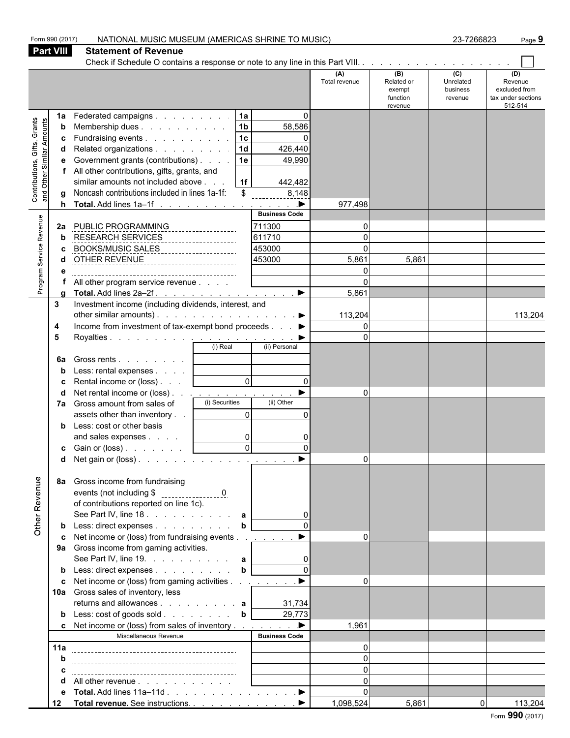|                                                           | Form 990 (2017)              | NATIONAL MUSIC MUSEUM (AMERICAS SHRINE TO MUSIC)                                                                                                                                                                                                                                                     |                                                                      |                                                                                                                                            |                                                                |                                                    | 23-7266823                                         | Page 9                                                           |
|-----------------------------------------------------------|------------------------------|------------------------------------------------------------------------------------------------------------------------------------------------------------------------------------------------------------------------------------------------------------------------------------------------------|----------------------------------------------------------------------|--------------------------------------------------------------------------------------------------------------------------------------------|----------------------------------------------------------------|----------------------------------------------------|----------------------------------------------------|------------------------------------------------------------------|
|                                                           | <b>Part VIII</b>             | <b>Statement of Revenue</b>                                                                                                                                                                                                                                                                          |                                                                      |                                                                                                                                            |                                                                |                                                    |                                                    |                                                                  |
|                                                           |                              |                                                                                                                                                                                                                                                                                                      |                                                                      |                                                                                                                                            |                                                                |                                                    |                                                    |                                                                  |
|                                                           |                              |                                                                                                                                                                                                                                                                                                      |                                                                      |                                                                                                                                            | (A)<br>Total revenue                                           | (B)<br>Related or<br>exempt<br>function<br>revenue | $\overline{c}$<br>Unrelated<br>business<br>revenue | (D)<br>Revenue<br>excluded from<br>tax under sections<br>512-514 |
| Contributions, Gifts, Grants<br>and Other Similar Amounts | 1a<br>b<br>c<br>d<br>е<br>h. | Federated campaigns<br>Membership dues<br>Fundraising events<br>Related organizations<br>Government grants (contributions)<br>All other contributions, gifts, grants, and<br>similar amounts not included above<br>Noncash contributions included in lines 1a-1f:<br>Total. Add lines 1a-1f <u>.</u> | 1a<br> 1 <sub>b</sub><br> 1c <br>1d<br>  1e<br> 1f <br>$\mathbb{S}$  | $\mathbf{0}$<br>58,586<br>$\Omega$<br>426,440<br>49,990<br>442,482<br>8,148<br>$\qquad \qquad \blacktriangleright$<br><b>Business Code</b> | 977,498                                                        |                                                    |                                                    |                                                                  |
| Program Service Revenue                                   | 2a<br>b                      | PUBLIC PROGRAMMING<br>RESEARCH SERVICES<br>BOOKS/MUSIC SALES<br>OTHER REVENUE<br>OTHER REVENUE<br>1<br>All other program service revenue                                                                                                                                                             |                                                                      | 711300<br>611710<br>453000<br>453000                                                                                                       | $\Omega$<br>$\Omega$<br>$\Omega$<br>5,861<br>$\Omega$<br>5,861 | 5,861                                              |                                                    |                                                                  |
|                                                           | 3<br>4<br>5<br>6a            | Investment income (including dividends, interest, and<br>other similar amounts). $\ldots$ $\ldots$ $\ldots$ $\ldots$ $\ldots$ $\ldots$<br>Income from investment of tax-exempt bond proceeds ▶<br>Gross rents  <br>Rental income or (loss)                                                           | $\overline{0}$                                                       | $\Omega$                                                                                                                                   | 113,204<br>$\Omega$<br>$\Omega$                                |                                                    |                                                    | 113,204                                                          |
|                                                           |                              | Net rental income or (loss) <u>.</u><br>7a Gross amount from sales of<br>assets other than inventory<br>Less: cost or other basis<br>and sales expenses<br><b>c</b> Gain or (loss) $\ldots$ $\ldots$<br>d Net gain or (loss). <u>.</u>                                                               | (i) Securities<br>$\overline{0}$<br>$\overline{0}$<br>$\overline{0}$ | (ii) Other<br>$\Omega$<br>0<br>$\Omega$                                                                                                    | $\Omega$<br>$\Omega$                                           |                                                    |                                                    |                                                                  |
| Other Revenue                                             | 8а                           | Gross income from fundraising<br>of contributions reported on line 1c).<br>See Part IV, line 18. $\therefore$ $\therefore$ $\therefore$ $\therefore$ $\therefore$ a<br>Less: direct expenses<br>Net income or (loss) from fundraising events<br>9a Gross income from gaming activities.              | $\mathbf b$                                                          |                                                                                                                                            | $\Omega$                                                       |                                                    |                                                    |                                                                  |
|                                                           | c                            | See Part IV, line 19. $\ldots$ $\ldots$ $\ldots$ $\ldots$ a<br>Less: direct expenses<br>Net income or (loss) from gaming activities <u>. ▶</u><br>10a Gross sales of inventory, less<br>Less: cost of goods sold b<br>Net income or (loss) from sales of inventory ▶                                 | b                                                                    | 31,734<br>29,773                                                                                                                           | $\Omega$<br>1,961                                              |                                                    |                                                    |                                                                  |
|                                                           |                              |                                                                                                                                                                                                                                                                                                      |                                                                      | <b>Business Code</b>                                                                                                                       |                                                                |                                                    |                                                    |                                                                  |
|                                                           | 11a                          | Miscellaneous Revenue                                                                                                                                                                                                                                                                                |                                                                      |                                                                                                                                            | $\Omega$                                                       |                                                    |                                                    |                                                                  |
|                                                           |                              |                                                                                                                                                                                                                                                                                                      |                                                                      |                                                                                                                                            | $\Omega$                                                       |                                                    |                                                    |                                                                  |
|                                                           |                              |                                                                                                                                                                                                                                                                                                      |                                                                      |                                                                                                                                            | $\Omega$                                                       |                                                    |                                                    |                                                                  |
|                                                           | е                            | All other revenue<br>Total. Add lines 11a–11d ▶                                                                                                                                                                                                                                                      |                                                                      |                                                                                                                                            | $\Omega$<br>$\Omega$                                           |                                                    |                                                    |                                                                  |
|                                                           | 12                           |                                                                                                                                                                                                                                                                                                      |                                                                      |                                                                                                                                            | 1,098,524                                                      | 5,861                                              | $\overline{0}$                                     | 113,204                                                          |
|                                                           |                              |                                                                                                                                                                                                                                                                                                      |                                                                      |                                                                                                                                            |                                                                |                                                    |                                                    |                                                                  |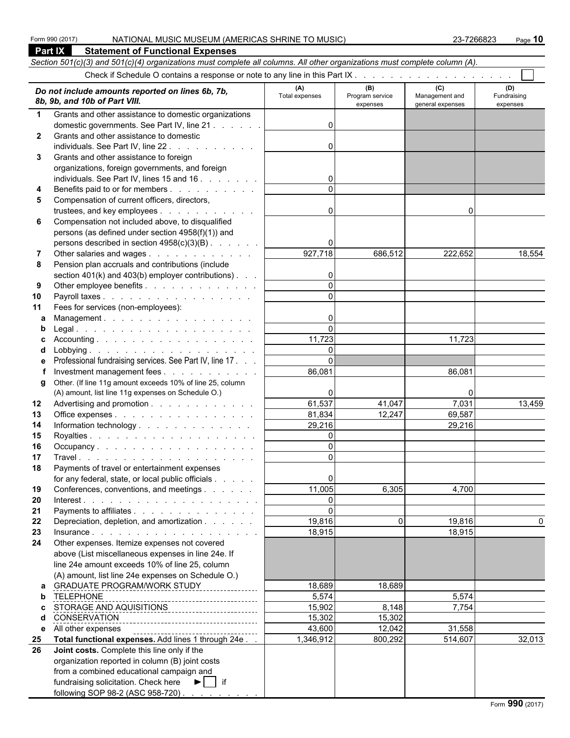**Part IX Statement of Functional Expenses**

|              | Section 501(c)(3) and 501(c)(4) organizations must complete all columns. All other organizations must complete column (A). |                       |                                    |                                           |                                |  |  |  |  |  |  |  |
|--------------|----------------------------------------------------------------------------------------------------------------------------|-----------------------|------------------------------------|-------------------------------------------|--------------------------------|--|--|--|--|--|--|--|
|              |                                                                                                                            |                       |                                    |                                           |                                |  |  |  |  |  |  |  |
|              | Do not include amounts reported on lines 6b, 7b,<br>8b, 9b, and 10b of Part VIII.                                          | (A)<br>Total expenses | (B)<br>Program service<br>expenses | (C)<br>Management and<br>general expenses | (D)<br>Fundraising<br>expenses |  |  |  |  |  |  |  |
| 1            | Grants and other assistance to domestic organizations                                                                      |                       |                                    |                                           |                                |  |  |  |  |  |  |  |
|              | domestic governments. See Part IV, line 21                                                                                 | $\Omega$              |                                    |                                           |                                |  |  |  |  |  |  |  |
| $\mathbf{2}$ | Grants and other assistance to domestic                                                                                    |                       |                                    |                                           |                                |  |  |  |  |  |  |  |
|              | individuals. See Part IV, line 22.                                                                                         | $\Omega$              |                                    |                                           |                                |  |  |  |  |  |  |  |
| 3            | Grants and other assistance to foreign                                                                                     |                       |                                    |                                           |                                |  |  |  |  |  |  |  |
|              | organizations, foreign governments, and foreign                                                                            |                       |                                    |                                           |                                |  |  |  |  |  |  |  |
| 4            | individuals. See Part IV, lines 15 and 16<br>Benefits paid to or for members                                               | $\overline{0}$        |                                    |                                           |                                |  |  |  |  |  |  |  |
| 5            | Compensation of current officers, directors,                                                                               |                       |                                    |                                           |                                |  |  |  |  |  |  |  |
|              | trustees, and key employees                                                                                                | $\overline{0}$        |                                    | $\Omega$                                  |                                |  |  |  |  |  |  |  |
| 6            | Compensation not included above, to disqualified                                                                           |                       |                                    |                                           |                                |  |  |  |  |  |  |  |
|              | persons (as defined under section 4958(f)(1)) and                                                                          |                       |                                    |                                           |                                |  |  |  |  |  |  |  |
|              | persons described in section 4958(c)(3)(B)                                                                                 | 0                     |                                    |                                           |                                |  |  |  |  |  |  |  |
|              | Other salaries and wages                                                                                                   | 927,718               | 686,512                            | 222,652                                   | 18,554                         |  |  |  |  |  |  |  |
| 8            | Pension plan accruals and contributions (include                                                                           |                       |                                    |                                           |                                |  |  |  |  |  |  |  |
|              | section $401(k)$ and $403(b)$ employer contributions).                                                                     | $\overline{0}$        |                                    |                                           |                                |  |  |  |  |  |  |  |
| 9            | Other employee benefits                                                                                                    | $\Omega$              |                                    |                                           |                                |  |  |  |  |  |  |  |
| 10           |                                                                                                                            |                       |                                    |                                           |                                |  |  |  |  |  |  |  |
| 11           | Fees for services (non-employees):                                                                                         |                       |                                    |                                           |                                |  |  |  |  |  |  |  |
| a            | Management.                                                                                                                | 0<br>$\Omega$         |                                    |                                           |                                |  |  |  |  |  |  |  |
|              |                                                                                                                            | 11,723                |                                    | 11,723                                    |                                |  |  |  |  |  |  |  |
| d            |                                                                                                                            | $\Omega$              |                                    |                                           |                                |  |  |  |  |  |  |  |
| е            | Professional fundraising services. See Part IV, line 17                                                                    | $\Omega$              |                                    |                                           |                                |  |  |  |  |  |  |  |
|              | Investment management fees                                                                                                 | 86,081                |                                    | 86,081                                    |                                |  |  |  |  |  |  |  |
| g            | Other. (If line 11g amount exceeds 10% of line 25, column                                                                  |                       |                                    |                                           |                                |  |  |  |  |  |  |  |
|              | (A) amount, list line 11g expenses on Schedule O.)                                                                         | 0                     |                                    | O                                         |                                |  |  |  |  |  |  |  |
| 12           | Advertising and promotion                                                                                                  | 61,537                | 41,047                             | 7,031                                     | 13,459                         |  |  |  |  |  |  |  |
| 13           | Office expenses                                                                                                            | 81,834                | 12,247                             | 69,587                                    |                                |  |  |  |  |  |  |  |
| 14           | Information technology                                                                                                     | 29,216                |                                    | 29,216                                    |                                |  |  |  |  |  |  |  |
| 15           |                                                                                                                            | $\Omega$              |                                    |                                           |                                |  |  |  |  |  |  |  |
| 16<br>17     |                                                                                                                            | $\Omega$<br>$\Omega$  |                                    |                                           |                                |  |  |  |  |  |  |  |
| 18           | Payments of travel or entertainment expenses                                                                               |                       |                                    |                                           |                                |  |  |  |  |  |  |  |
|              | for any federal, state, or local public officials                                                                          | $\overline{0}$        |                                    |                                           |                                |  |  |  |  |  |  |  |
| 19           | Conferences, conventions, and meetings                                                                                     | 11,005                | 6,305                              | 4,700                                     |                                |  |  |  |  |  |  |  |
| 20           |                                                                                                                            | $\Omega$              |                                    |                                           |                                |  |  |  |  |  |  |  |
| 21           | Payments to affiliates                                                                                                     | $\Omega$              |                                    |                                           |                                |  |  |  |  |  |  |  |
| 22           | Depreciation, depletion, and amortization                                                                                  | 19,816                | $\Omega$                           | 19,816                                    | 0                              |  |  |  |  |  |  |  |
| 23           |                                                                                                                            | 18,915                |                                    | 18,915                                    |                                |  |  |  |  |  |  |  |
| 24           | Other expenses. Itemize expenses not covered                                                                               |                       |                                    |                                           |                                |  |  |  |  |  |  |  |
|              | above (List miscellaneous expenses in line 24e. If                                                                         |                       |                                    |                                           |                                |  |  |  |  |  |  |  |
|              | line 24e amount exceeds 10% of line 25, column                                                                             |                       |                                    |                                           |                                |  |  |  |  |  |  |  |
|              | (A) amount, list line 24e expenses on Schedule O.)                                                                         |                       |                                    |                                           |                                |  |  |  |  |  |  |  |
| a<br>b       | GRADUATE PROGRAM/WORK STUDY<br><b>TELEPHONE</b>                                                                            | 18,689<br>5,574       | 18,689                             | 5,574                                     |                                |  |  |  |  |  |  |  |
| C            | STORAGE AND AQUISITIONS ________________________                                                                           | 15,902                | 8,148                              | 7,754                                     |                                |  |  |  |  |  |  |  |
| d            | CONSERVATION                                                                                                               | 15,302                | 15,302                             |                                           |                                |  |  |  |  |  |  |  |
| e            | All other expenses<br>--------------------------------------                                                               | 43,600                | 12,042                             | 31,558                                    |                                |  |  |  |  |  |  |  |
| 25           | Total functional expenses. Add lines 1 through 24e                                                                         | 1,346,912             | 800,292                            | 514,607                                   | 32,013                         |  |  |  |  |  |  |  |
| 26           | Joint costs. Complete this line only if the                                                                                |                       |                                    |                                           |                                |  |  |  |  |  |  |  |
|              | organization reported in column (B) joint costs                                                                            |                       |                                    |                                           |                                |  |  |  |  |  |  |  |
|              | from a combined educational campaign and                                                                                   |                       |                                    |                                           |                                |  |  |  |  |  |  |  |
|              | fundraising solicitation. Check here ▶   if                                                                                |                       |                                    |                                           |                                |  |  |  |  |  |  |  |
|              | following SOP 98-2 (ASC 958-720)                                                                                           |                       |                                    |                                           |                                |  |  |  |  |  |  |  |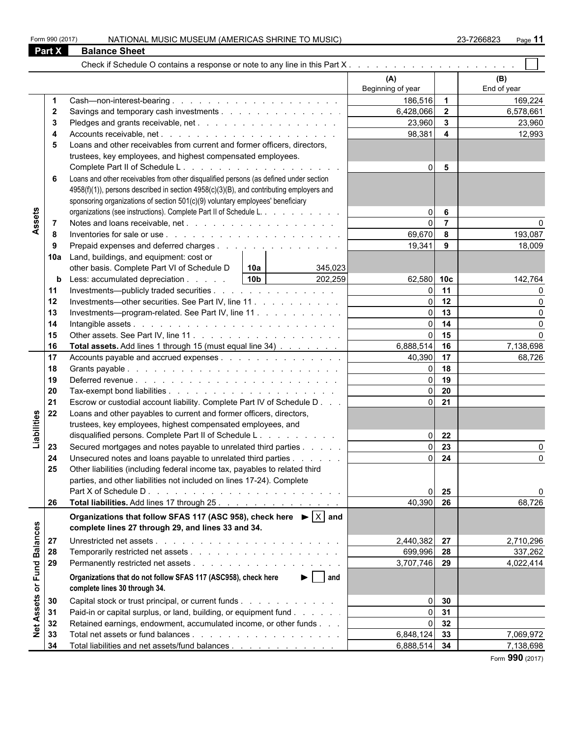|                                                                                                                                                                                                                                                          | <b>Balance Sheet</b>                                                                            |                                                                                                                                                                                                                                                                                                                                                                                                                                                                                                                                                                                            |                |                    |
|----------------------------------------------------------------------------------------------------------------------------------------------------------------------------------------------------------------------------------------------------------|-------------------------------------------------------------------------------------------------|--------------------------------------------------------------------------------------------------------------------------------------------------------------------------------------------------------------------------------------------------------------------------------------------------------------------------------------------------------------------------------------------------------------------------------------------------------------------------------------------------------------------------------------------------------------------------------------------|----------------|--------------------|
|                                                                                                                                                                                                                                                          |                                                                                                 |                                                                                                                                                                                                                                                                                                                                                                                                                                                                                                                                                                                            |                |                    |
|                                                                                                                                                                                                                                                          |                                                                                                 | (A)<br>Beginning of year                                                                                                                                                                                                                                                                                                                                                                                                                                                                                                                                                                   |                | (B)<br>End of year |
|                                                                                                                                                                                                                                                          |                                                                                                 |                                                                                                                                                                                                                                                                                                                                                                                                                                                                                                                                                                                            | $\overline{1}$ | 169,224            |
| $\mathbf{2}$                                                                                                                                                                                                                                             |                                                                                                 |                                                                                                                                                                                                                                                                                                                                                                                                                                                                                                                                                                                            | $\overline{2}$ | 6,578,661          |
| 3                                                                                                                                                                                                                                                        |                                                                                                 |                                                                                                                                                                                                                                                                                                                                                                                                                                                                                                                                                                                            |                | 23,960             |
| 4                                                                                                                                                                                                                                                        |                                                                                                 | 186,516<br>6,428,066<br>$\mathbf{3}$<br>23,960<br>98,381<br>$\overline{\mathbf{4}}$<br>5<br>$\Omega$<br>6<br>$\Omega$<br>$\overline{7}$<br>$\Omega$<br>69,670<br>8<br>19,341<br>9<br>345,023<br>202,259<br>62,580 10c<br>11<br>13<br>$\Omega$<br>$\Omega$<br>6,888,514<br>17<br>40,390<br>18<br>19<br>$\Omega$<br>20<br>$\Omega$<br>21<br>$\Omega$<br>22<br>$\Omega$<br>23<br>$\Omega$<br>24<br>25<br>40,390<br>26<br>2,440,382 27<br>699,996<br>28<br>3,707,746 29<br>$\blacktriangleright$   and<br>30<br>$\Omega$<br>31<br>$\Omega$<br>32<br>$\Omega$<br>$6,848,124$ 33<br>6,888,514 34 |                | 12,993             |
|                                                                                                                                                                                                                                                          | Loans and other receivables from current and former officers, directors,                        |                                                                                                                                                                                                                                                                                                                                                                                                                                                                                                                                                                                            |                |                    |
| <b>Part X</b><br>5<br>6<br>Assets<br>7<br>8<br>9<br>10a<br>b<br>11<br>12<br>13<br>14<br>15<br>16<br>17<br>18<br>19<br>20<br>21<br>22<br>Liabilities<br>23<br>24<br>25<br>26<br>or Fund Balances<br>27<br>28<br>29<br><b>Net Assets</b><br>30<br>31<br>32 | trustees, key employees, and highest compensated employees.                                     |                                                                                                                                                                                                                                                                                                                                                                                                                                                                                                                                                                                            |                |                    |
|                                                                                                                                                                                                                                                          |                                                                                                 |                                                                                                                                                                                                                                                                                                                                                                                                                                                                                                                                                                                            |                |                    |
|                                                                                                                                                                                                                                                          | Loans and other receivables from other disqualified persons (as defined under section           |                                                                                                                                                                                                                                                                                                                                                                                                                                                                                                                                                                                            |                |                    |
|                                                                                                                                                                                                                                                          | 4958(f)(1)), persons described in section 4958(c)(3)(B), and contributing employers and         |                                                                                                                                                                                                                                                                                                                                                                                                                                                                                                                                                                                            |                |                    |
|                                                                                                                                                                                                                                                          | sponsoring organizations of section 501(c)(9) voluntary employees' beneficiary                  |                                                                                                                                                                                                                                                                                                                                                                                                                                                                                                                                                                                            |                |                    |
|                                                                                                                                                                                                                                                          | organizations (see instructions). Complete Part II of Schedule L.                               |                                                                                                                                                                                                                                                                                                                                                                                                                                                                                                                                                                                            |                |                    |
|                                                                                                                                                                                                                                                          |                                                                                                 |                                                                                                                                                                                                                                                                                                                                                                                                                                                                                                                                                                                            |                |                    |
|                                                                                                                                                                                                                                                          |                                                                                                 |                                                                                                                                                                                                                                                                                                                                                                                                                                                                                                                                                                                            |                | 193,087            |
|                                                                                                                                                                                                                                                          | Prepaid expenses and deferred charges                                                           |                                                                                                                                                                                                                                                                                                                                                                                                                                                                                                                                                                                            |                | 18,009             |
|                                                                                                                                                                                                                                                          | Land, buildings, and equipment: cost or                                                         |                                                                                                                                                                                                                                                                                                                                                                                                                                                                                                                                                                                            |                |                    |
|                                                                                                                                                                                                                                                          | other basis. Complete Part VI of Schedule D<br>  10a                                            |                                                                                                                                                                                                                                                                                                                                                                                                                                                                                                                                                                                            |                |                    |
|                                                                                                                                                                                                                                                          | 10 <sub>b</sub><br>Less: accumulated depreciation                                               |                                                                                                                                                                                                                                                                                                                                                                                                                                                                                                                                                                                            |                | 142,764            |
|                                                                                                                                                                                                                                                          | Investments—publicly traded securities                                                          |                                                                                                                                                                                                                                                                                                                                                                                                                                                                                                                                                                                            |                | U                  |
|                                                                                                                                                                                                                                                          | Investments—other securities. See Part IV, line 11                                              |                                                                                                                                                                                                                                                                                                                                                                                                                                                                                                                                                                                            | 12             | $\Omega$           |
|                                                                                                                                                                                                                                                          | Investments-program-related. See Part IV, line 11                                               |                                                                                                                                                                                                                                                                                                                                                                                                                                                                                                                                                                                            |                | $\Omega$           |
|                                                                                                                                                                                                                                                          |                                                                                                 |                                                                                                                                                                                                                                                                                                                                                                                                                                                                                                                                                                                            | 14             | $\Omega$           |
|                                                                                                                                                                                                                                                          |                                                                                                 |                                                                                                                                                                                                                                                                                                                                                                                                                                                                                                                                                                                            | 15             | $\Omega$           |
|                                                                                                                                                                                                                                                          | Total assets. Add lines 1 through 15 (must equal line 34)                                       |                                                                                                                                                                                                                                                                                                                                                                                                                                                                                                                                                                                            | 16             | 7,138,698          |
|                                                                                                                                                                                                                                                          | Accounts payable and accrued expenses                                                           |                                                                                                                                                                                                                                                                                                                                                                                                                                                                                                                                                                                            |                | 68,726             |
|                                                                                                                                                                                                                                                          |                                                                                                 |                                                                                                                                                                                                                                                                                                                                                                                                                                                                                                                                                                                            |                |                    |
|                                                                                                                                                                                                                                                          |                                                                                                 |                                                                                                                                                                                                                                                                                                                                                                                                                                                                                                                                                                                            |                |                    |
|                                                                                                                                                                                                                                                          |                                                                                                 |                                                                                                                                                                                                                                                                                                                                                                                                                                                                                                                                                                                            |                |                    |
|                                                                                                                                                                                                                                                          | Escrow or custodial account liability. Complete Part IV of Schedule D                           |                                                                                                                                                                                                                                                                                                                                                                                                                                                                                                                                                                                            |                |                    |
|                                                                                                                                                                                                                                                          | Loans and other payables to current and former officers, directors,                             |                                                                                                                                                                                                                                                                                                                                                                                                                                                                                                                                                                                            |                |                    |
|                                                                                                                                                                                                                                                          | trustees, key employees, highest compensated employees, and                                     |                                                                                                                                                                                                                                                                                                                                                                                                                                                                                                                                                                                            |                |                    |
|                                                                                                                                                                                                                                                          | disqualified persons. Complete Part II of Schedule L.                                           |                                                                                                                                                                                                                                                                                                                                                                                                                                                                                                                                                                                            |                |                    |
|                                                                                                                                                                                                                                                          | Secured mortgages and notes payable to unrelated third parties                                  |                                                                                                                                                                                                                                                                                                                                                                                                                                                                                                                                                                                            |                |                    |
|                                                                                                                                                                                                                                                          | Unsecured notes and loans payable to unrelated third parties                                    |                                                                                                                                                                                                                                                                                                                                                                                                                                                                                                                                                                                            |                | O                  |
|                                                                                                                                                                                                                                                          | Other liabilities (including federal income tax, payables to related third                      |                                                                                                                                                                                                                                                                                                                                                                                                                                                                                                                                                                                            |                |                    |
|                                                                                                                                                                                                                                                          | parties, and other liabilities not included on lines 17-24). Complete                           |                                                                                                                                                                                                                                                                                                                                                                                                                                                                                                                                                                                            |                |                    |
|                                                                                                                                                                                                                                                          |                                                                                                 |                                                                                                                                                                                                                                                                                                                                                                                                                                                                                                                                                                                            |                | O                  |
|                                                                                                                                                                                                                                                          | Total liabilities. Add lines 17 through 25.                                                     |                                                                                                                                                                                                                                                                                                                                                                                                                                                                                                                                                                                            |                | 68,726             |
|                                                                                                                                                                                                                                                          | Organizations that follow SFAS 117 (ASC 958), check here $\blacktriangleright$ $ \times $ and   |                                                                                                                                                                                                                                                                                                                                                                                                                                                                                                                                                                                            |                |                    |
|                                                                                                                                                                                                                                                          | complete lines 27 through 29, and lines 33 and 34.                                              |                                                                                                                                                                                                                                                                                                                                                                                                                                                                                                                                                                                            |                |                    |
|                                                                                                                                                                                                                                                          |                                                                                                 |                                                                                                                                                                                                                                                                                                                                                                                                                                                                                                                                                                                            |                |                    |
|                                                                                                                                                                                                                                                          |                                                                                                 |                                                                                                                                                                                                                                                                                                                                                                                                                                                                                                                                                                                            |                | 2,710,296          |
|                                                                                                                                                                                                                                                          |                                                                                                 |                                                                                                                                                                                                                                                                                                                                                                                                                                                                                                                                                                                            |                | 337,262            |
|                                                                                                                                                                                                                                                          |                                                                                                 |                                                                                                                                                                                                                                                                                                                                                                                                                                                                                                                                                                                            |                | 4,022,414          |
|                                                                                                                                                                                                                                                          | Organizations that do not follow SFAS 117 (ASC958), check here<br>complete lines 30 through 34. |                                                                                                                                                                                                                                                                                                                                                                                                                                                                                                                                                                                            |                |                    |
|                                                                                                                                                                                                                                                          | Capital stock or trust principal, or current funds                                              |                                                                                                                                                                                                                                                                                                                                                                                                                                                                                                                                                                                            |                |                    |
|                                                                                                                                                                                                                                                          | Paid-in or capital surplus, or land, building, or equipment fund                                |                                                                                                                                                                                                                                                                                                                                                                                                                                                                                                                                                                                            |                |                    |
|                                                                                                                                                                                                                                                          | Retained earnings, endowment, accumulated income, or other funds                                |                                                                                                                                                                                                                                                                                                                                                                                                                                                                                                                                                                                            |                |                    |
| 33                                                                                                                                                                                                                                                       |                                                                                                 |                                                                                                                                                                                                                                                                                                                                                                                                                                                                                                                                                                                            |                | 7,069,972          |
| 34                                                                                                                                                                                                                                                       | Total liabilities and net assets/fund balances                                                  |                                                                                                                                                                                                                                                                                                                                                                                                                                                                                                                                                                                            |                | 7,138,698          |
|                                                                                                                                                                                                                                                          |                                                                                                 |                                                                                                                                                                                                                                                                                                                                                                                                                                                                                                                                                                                            |                |                    |

Form **990** (2017)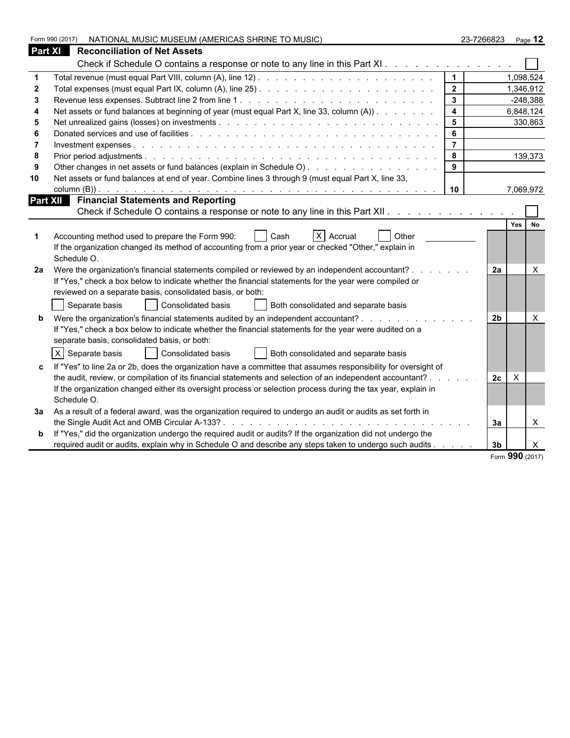|                | NATIONAL MUSIC MUSEUM (AMERICAS SHRINE TO MUSIC)<br>Form 990 (2017)                                            |                         | 23-7266823     | Page 12      |
|----------------|----------------------------------------------------------------------------------------------------------------|-------------------------|----------------|--------------|
| <b>Part XI</b> | <b>Reconciliation of Net Assets</b>                                                                            |                         |                |              |
|                | Check if Schedule O contains a response or note to any line in this Part XI.                                   |                         |                |              |
|                |                                                                                                                | $\mathbf{1}$            |                | 1,098,524    |
|                |                                                                                                                | $\overline{2}$          |                | 1,346,912    |
|                |                                                                                                                | $\mathbf{3}$            |                | $-248,388$   |
|                | Net assets or fund balances at beginning of year (must equal Part X, line 33, column (A))                      | $\overline{\mathbf{4}}$ |                | 6,848,124    |
| 5              |                                                                                                                | 5                       |                | 330,863      |
|                |                                                                                                                | 6                       |                |              |
|                |                                                                                                                | $\overline{7}$          |                |              |
| -8             |                                                                                                                | 8                       |                | 139,373      |
|                | Other changes in net assets or fund balances (explain in Schedule O)                                           | 9                       |                |              |
| 10             | Net assets or fund balances at end of year. Combine lines 3 through 9 (must equal Part X, line 33,             |                         |                |              |
|                |                                                                                                                | 10                      |                | 7,069,972    |
|                | Part XII Financial Statements and Reporting                                                                    |                         |                |              |
|                | Check if Schedule O contains a response or note to any line in this Part XII.                                  |                         |                |              |
|                |                                                                                                                |                         |                | Yes No       |
|                | $X$ Accrual<br>Other<br>Accounting method used to prepare the Form 990:<br>Cash                                |                         |                |              |
|                | If the organization changed its method of accounting from a prior year or checked "Other," explain in          |                         |                |              |
|                | Schedule O.                                                                                                    |                         |                |              |
| 2a             | Were the organization's financial statements compiled or reviewed by an independent accountant? .              |                         | <b>2a</b>      | $\times$     |
|                | If "Yes," check a box below to indicate whether the financial statements for the year were compiled or         |                         |                |              |
|                | reviewed on a separate basis, consolidated basis, or both:                                                     |                         |                |              |
|                | Consolidated basis<br>Separate basis<br>Both consolidated and separate basis                                   |                         |                |              |
|                | Were the organization's financial statements audited by an independent accountant?                             |                         | 2 <sub>b</sub> | $\times$     |
|                | If "Yes," check a box below to indicate whether the financial statements for the year were audited on a        |                         |                |              |
|                | separate basis, consolidated basis, or both:                                                                   |                         |                |              |
|                | $X$ Separate basis<br>Consolidated basis<br>Both consolidated and separate basis                               |                         |                |              |
|                |                                                                                                                |                         |                |              |
|                | If "Yes" to line 2a or 2b, does the organization have a committee that assumes responsibility for oversight of |                         |                |              |
|                | the audit, review, or compilation of its financial statements and selection of an independent accountant?.     |                         | $\times$<br>2c |              |
|                | If the organization changed either its oversight process or selection process during the tax year, explain in  |                         |                |              |
|                | Schedule O.                                                                                                    |                         |                |              |
| За             | As a result of a federal award, was the organization required to undergo an audit or audits as set forth in    |                         |                |              |
|                |                                                                                                                |                         | За             | $\mathsf{X}$ |
|                | If "Yes," did the organization undergo the required audit or audits? If the organization did not undergo the   |                         |                |              |
|                | required audit or audits, explain why in Schedule O and describe any steps taken to undergo such audits        |                         | 3 <sub>b</sub> | $\times$     |

Form **990** (2017)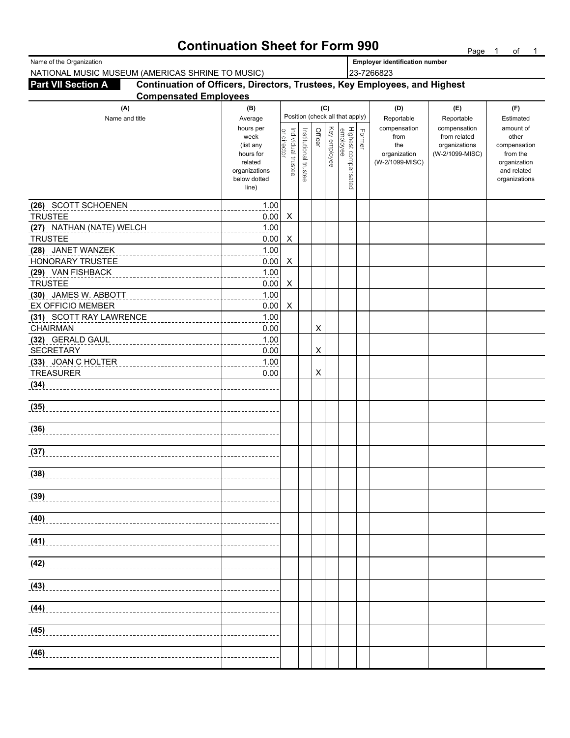# **Continuation Sheet for Form 990** Page 1 of 1

| Name of the Organization                                                                               |                      | <b>Employer identification number</b> |                                 |         |              |                                 |        |                                 |                              |                          |  |  |  |
|--------------------------------------------------------------------------------------------------------|----------------------|---------------------------------------|---------------------------------|---------|--------------|---------------------------------|--------|---------------------------------|------------------------------|--------------------------|--|--|--|
| NATIONAL MUSIC MUSEUM (AMERICAS SHRINE TO MUSIC)                                                       |                      | 23-7266823                            |                                 |         |              |                                 |        |                                 |                              |                          |  |  |  |
| Continuation of Officers, Directors, Trustees, Key Employees, and Highest<br><b>Part VII Section A</b> |                      |                                       |                                 |         |              |                                 |        |                                 |                              |                          |  |  |  |
| <b>Compensated Employees</b>                                                                           |                      |                                       |                                 |         |              |                                 |        |                                 |                              |                          |  |  |  |
| (A)                                                                                                    | (C)                  |                                       |                                 |         |              |                                 | (D)    | (E)                             | (F)                          |                          |  |  |  |
| Name and title                                                                                         | Average              |                                       | Position (check all that apply) |         |              |                                 |        | Reportable                      | Reportable                   | Estimated                |  |  |  |
|                                                                                                        | hours per<br>week    |                                       |                                 | Officer | Key employee |                                 | Former | compensation<br>from            | compensation<br>from related | amount of<br>other       |  |  |  |
|                                                                                                        | (list any            |                                       |                                 |         |              |                                 |        | the                             | organizations                | compensation             |  |  |  |
|                                                                                                        | hours for<br>related |                                       |                                 |         |              |                                 |        | organization<br>(W-2/1099-MISC) | (W-2/1099-MISC)              | from the<br>organization |  |  |  |
|                                                                                                        | organizations        | Individual trustee<br>or director     | Institutional trustee           |         |              | Highest compensated<br>employee |        |                                 |                              | and related              |  |  |  |
|                                                                                                        | below dotted         |                                       |                                 |         |              |                                 |        |                                 |                              | organizations            |  |  |  |
|                                                                                                        | line)                |                                       |                                 |         |              |                                 |        |                                 |                              |                          |  |  |  |
| (26) SCOTT SCHOENEN                                                                                    | 1.00                 |                                       |                                 |         |              |                                 |        |                                 |                              |                          |  |  |  |
| <b>TRUSTEE</b>                                                                                         | 0.00                 | $\boldsymbol{\mathsf{X}}$             |                                 |         |              |                                 |        |                                 |                              |                          |  |  |  |
| (27) NATHAN (NATE) WELCH                                                                               | 1.00                 |                                       |                                 |         |              |                                 |        |                                 |                              |                          |  |  |  |
| <b>TRUSTEE</b>                                                                                         | 0.00                 | X                                     |                                 |         |              |                                 |        |                                 |                              |                          |  |  |  |
| (28) JANET WANZEK<br>___________________________                                                       | 1.00                 |                                       |                                 |         |              |                                 |        |                                 |                              |                          |  |  |  |
| HONORARY TRUSTEE                                                                                       | 0.00                 | X                                     |                                 |         |              |                                 |        |                                 |                              |                          |  |  |  |
| (29) VAN FISHBACK                                                                                      | 1.00                 |                                       |                                 |         |              |                                 |        |                                 |                              |                          |  |  |  |
| <b>TRUSTEE</b>                                                                                         | 0.00                 | X                                     |                                 |         |              |                                 |        |                                 |                              |                          |  |  |  |
| (30) JAMES W. ABBOTT<br>________ <b>___________</b><br><b>EX OFFICIO MEMBER</b>                        | 1.00<br>0.00         | X                                     |                                 |         |              |                                 |        |                                 |                              |                          |  |  |  |
| (31) SCOTT RAY LAWRENCE                                                                                | 1.00                 |                                       |                                 |         |              |                                 |        |                                 |                              |                          |  |  |  |
| ________________<br><b>CHAIRMAN</b>                                                                    | 0.00                 |                                       |                                 | Χ       |              |                                 |        |                                 |                              |                          |  |  |  |
| (32) GERALD GAUL<br>______________________                                                             | 1.00                 |                                       |                                 |         |              |                                 |        |                                 |                              |                          |  |  |  |
| <b>SECRETARY</b>                                                                                       | 0.00                 |                                       |                                 | X       |              |                                 |        |                                 |                              |                          |  |  |  |
| (33) JOAN C HOLTER<br>---------------------------                                                      | 1.00                 |                                       |                                 |         |              |                                 |        |                                 |                              |                          |  |  |  |
| <b>TREASURER</b>                                                                                       | 0.00                 |                                       |                                 | X       |              |                                 |        |                                 |                              |                          |  |  |  |
| (34)                                                                                                   |                      |                                       |                                 |         |              |                                 |        |                                 |                              |                          |  |  |  |
|                                                                                                        |                      |                                       |                                 |         |              |                                 |        |                                 |                              |                          |  |  |  |
| (35)                                                                                                   |                      |                                       |                                 |         |              |                                 |        |                                 |                              |                          |  |  |  |
|                                                                                                        |                      |                                       |                                 |         |              |                                 |        |                                 |                              |                          |  |  |  |
| (36)                                                                                                   |                      |                                       |                                 |         |              |                                 |        |                                 |                              |                          |  |  |  |
| (37)                                                                                                   |                      |                                       |                                 |         |              |                                 |        |                                 |                              |                          |  |  |  |
|                                                                                                        |                      |                                       |                                 |         |              |                                 |        |                                 |                              |                          |  |  |  |
| (38)                                                                                                   |                      |                                       |                                 |         |              |                                 |        |                                 |                              |                          |  |  |  |
|                                                                                                        |                      |                                       |                                 |         |              |                                 |        |                                 |                              |                          |  |  |  |
| (39)                                                                                                   |                      |                                       |                                 |         |              |                                 |        |                                 |                              |                          |  |  |  |
|                                                                                                        |                      |                                       |                                 |         |              |                                 |        |                                 |                              |                          |  |  |  |
| (40)                                                                                                   |                      |                                       |                                 |         |              |                                 |        |                                 |                              |                          |  |  |  |
|                                                                                                        |                      |                                       |                                 |         |              |                                 |        |                                 |                              |                          |  |  |  |
| (41)                                                                                                   |                      |                                       |                                 |         |              |                                 |        |                                 |                              |                          |  |  |  |
|                                                                                                        |                      |                                       |                                 |         |              |                                 |        |                                 |                              |                          |  |  |  |
| (42)                                                                                                   |                      |                                       |                                 |         |              |                                 |        |                                 |                              |                          |  |  |  |
| (43)                                                                                                   |                      |                                       |                                 |         |              |                                 |        |                                 |                              |                          |  |  |  |
|                                                                                                        |                      |                                       |                                 |         |              |                                 |        |                                 |                              |                          |  |  |  |
| $\overline{(44)}$                                                                                      |                      |                                       |                                 |         |              |                                 |        |                                 |                              |                          |  |  |  |
|                                                                                                        |                      |                                       |                                 |         |              |                                 |        |                                 |                              |                          |  |  |  |
| (45)                                                                                                   |                      |                                       |                                 |         |              |                                 |        |                                 |                              |                          |  |  |  |
|                                                                                                        |                      |                                       |                                 |         |              |                                 |        |                                 |                              |                          |  |  |  |
| $\overline{(46)}$                                                                                      |                      |                                       |                                 |         |              |                                 |        |                                 |                              |                          |  |  |  |
|                                                                                                        |                      |                                       |                                 |         |              |                                 |        |                                 |                              |                          |  |  |  |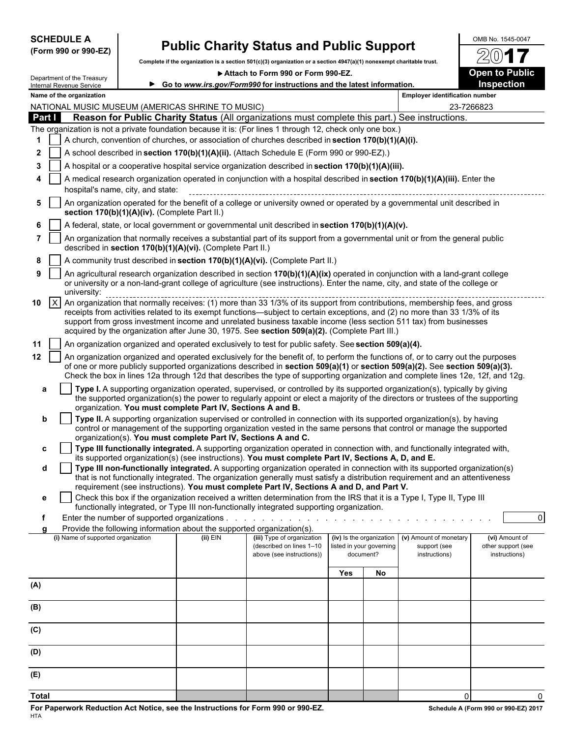| <b>SCHEDULE A</b> |  |                      |
|-------------------|--|----------------------|
|                   |  | (Form 990 or 990-EZ) |

 $\mathcal{L}$  be the Treasury  $\mathcal{L}$ 

# **Public Charity Status and Public Support**  $\frac{\text{OMB No. 1545-0047}}{90}$

**Complete if the organization is a section 501(c)(3) organization or a section 4947(a)(1) nonexempt charitable trust.**

▶ Attach to Form 990 or Form 990-EZ. **Demand Strategie Public** Open to Public

/2

|              |                                                                                                  | Department of the Treasury<br>Internal Revenue Service |                                               |                                                                                      | Go to www.irs.gov/Form990 for instructions and the latest information.                                                                                                                                                                                                                                                                                                                                                                                                           |            |                                       |                                       | Inspection                          |  |  |
|--------------|--------------------------------------------------------------------------------------------------|--------------------------------------------------------|-----------------------------------------------|--------------------------------------------------------------------------------------|----------------------------------------------------------------------------------------------------------------------------------------------------------------------------------------------------------------------------------------------------------------------------------------------------------------------------------------------------------------------------------------------------------------------------------------------------------------------------------|------------|---------------------------------------|---------------------------------------|-------------------------------------|--|--|
|              |                                                                                                  | Name of the organization                               |                                               |                                                                                      |                                                                                                                                                                                                                                                                                                                                                                                                                                                                                  |            |                                       | <b>Employer identification number</b> |                                     |  |  |
|              |                                                                                                  |                                                        |                                               | NATIONAL MUSIC MUSEUM (AMERICAS SHRINE TO MUSIC)                                     |                                                                                                                                                                                                                                                                                                                                                                                                                                                                                  |            |                                       |                                       | 23-7266823                          |  |  |
|              | <b>Part I</b>                                                                                    |                                                        |                                               |                                                                                      | Reason for Public Charity Status (All organizations must complete this part.) See instructions.<br>The organization is not a private foundation because it is: (For lines 1 through 12, check only one box.)                                                                                                                                                                                                                                                                     |            |                                       |                                       |                                     |  |  |
|              |                                                                                                  |                                                        |                                               |                                                                                      | A church, convention of churches, or association of churches described in section 170(b)(1)(A)(i).                                                                                                                                                                                                                                                                                                                                                                               |            |                                       |                                       |                                     |  |  |
| $\mathbf{2}$ |                                                                                                  |                                                        |                                               |                                                                                      | A school described in section 170(b)(1)(A)(ii). (Attach Schedule E (Form 990 or 990-EZ).)                                                                                                                                                                                                                                                                                                                                                                                        |            |                                       |                                       |                                     |  |  |
| 3            |                                                                                                  |                                                        |                                               |                                                                                      | A hospital or a cooperative hospital service organization described in section 170(b)(1)(A)(iii).                                                                                                                                                                                                                                                                                                                                                                                |            |                                       |                                       |                                     |  |  |
| 4            |                                                                                                  |                                                        |                                               |                                                                                      | A medical research organization operated in conjunction with a hospital described in section 170(b)(1)(A)(iii). Enter the                                                                                                                                                                                                                                                                                                                                                        |            |                                       |                                       |                                     |  |  |
|              |                                                                                                  |                                                        | hospital's name, city, and state:             |                                                                                      |                                                                                                                                                                                                                                                                                                                                                                                                                                                                                  |            |                                       |                                       |                                     |  |  |
| 5            |                                                                                                  |                                                        | section 170(b)(1)(A)(iv). (Complete Part II.) |                                                                                      | An organization operated for the benefit of a college or university owned or operated by a governmental unit described in                                                                                                                                                                                                                                                                                                                                                        |            |                                       |                                       |                                     |  |  |
|              | A federal, state, or local government or governmental unit described in section 170(b)(1)(A)(v). |                                                        |                                               |                                                                                      |                                                                                                                                                                                                                                                                                                                                                                                                                                                                                  |            |                                       |                                       |                                     |  |  |
|              |                                                                                                  |                                                        |                                               | described in section 170(b)(1)(A)(vi). (Complete Part II.)                           | An organization that normally receives a substantial part of its support from a governmental unit or from the general public                                                                                                                                                                                                                                                                                                                                                     |            |                                       |                                       |                                     |  |  |
| 8            |                                                                                                  |                                                        |                                               |                                                                                      | A community trust described in section 170(b)(1)(A)(vi). (Complete Part II.)                                                                                                                                                                                                                                                                                                                                                                                                     |            |                                       |                                       |                                     |  |  |
| 9            |                                                                                                  | university:                                            |                                               |                                                                                      | An agricultural research organization described in section 170(b)(1)(A)(ix) operated in conjunction with a land-grant college<br>or university or a non-land-grant college of agriculture (see instructions). Enter the name, city, and state of the college or                                                                                                                                                                                                                  |            |                                       |                                       |                                     |  |  |
| 10           | $\vert x \vert$                                                                                  |                                                        |                                               |                                                                                      | An organization that normally receives: (1) more than 33 1/3% of its support from contributions, membership fees, and gross<br>receipts from activities related to its exempt functions—subject to certain exceptions, and (2) no more than 33 1/3% of its<br>support from gross investment income and unrelated business taxable income (less section 511 tax) from businesses<br>acquired by the organization after June 30, 1975. See section 509(a)(2). (Complete Part III.) |            |                                       |                                       |                                     |  |  |
| 11           |                                                                                                  |                                                        |                                               |                                                                                      | An organization organized and operated exclusively to test for public safety. See section 509(a)(4).                                                                                                                                                                                                                                                                                                                                                                             |            |                                       |                                       |                                     |  |  |
| $12 \,$      |                                                                                                  |                                                        |                                               |                                                                                      | An organization organized and operated exclusively for the benefit of, to perform the functions of, or to carry out the purposes<br>of one or more publicly supported organizations described in section 509(a)(1) or section 509(a)(2). See section 509(a)(3).<br>Check the box in lines 12a through 12d that describes the type of supporting organization and complete lines 12e, 12f, and 12g.                                                                               |            |                                       |                                       |                                     |  |  |
| a            |                                                                                                  |                                                        |                                               | organization. You must complete Part IV, Sections A and B.                           | Type I. A supporting organization operated, supervised, or controlled by its supported organization(s), typically by giving<br>the supported organization(s) the power to regularly appoint or elect a majority of the directors or trustees of the supporting                                                                                                                                                                                                                   |            |                                       |                                       |                                     |  |  |
| b            |                                                                                                  |                                                        |                                               | organization(s). You must complete Part IV, Sections A and C.                        | Type II. A supporting organization supervised or controlled in connection with its supported organization(s), by having<br>control or management of the supporting organization vested in the same persons that control or manage the supported                                                                                                                                                                                                                                  |            |                                       |                                       |                                     |  |  |
| c            |                                                                                                  |                                                        |                                               |                                                                                      | Type III functionally integrated. A supporting organization operated in connection with, and functionally integrated with,                                                                                                                                                                                                                                                                                                                                                       |            |                                       |                                       |                                     |  |  |
|              |                                                                                                  |                                                        |                                               |                                                                                      | its supported organization(s) (see instructions). You must complete Part IV, Sections A, D, and E.                                                                                                                                                                                                                                                                                                                                                                               |            |                                       |                                       |                                     |  |  |
| d            |                                                                                                  |                                                        |                                               |                                                                                      | Type III non-functionally integrated. A supporting organization operated in connection with its supported organization(s)<br>that is not functionally integrated. The organization generally must satisfy a distribution requirement and an attentiveness<br>requirement (see instructions). You must complete Part IV, Sections A and D, and Part V.                                                                                                                            |            |                                       |                                       |                                     |  |  |
| е            |                                                                                                  |                                                        |                                               |                                                                                      | Check this box if the organization received a written determination from the IRS that it is a Type I, Type II, Type III                                                                                                                                                                                                                                                                                                                                                          |            |                                       |                                       |                                     |  |  |
|              |                                                                                                  |                                                        |                                               |                                                                                      | functionally integrated, or Type III non-functionally integrated supporting organization.                                                                                                                                                                                                                                                                                                                                                                                        |            |                                       |                                       |                                     |  |  |
|              |                                                                                                  |                                                        |                                               |                                                                                      |                                                                                                                                                                                                                                                                                                                                                                                                                                                                                  |            |                                       |                                       | $\overline{0}$                      |  |  |
| a            |                                                                                                  | (i) Name of supported organization                     |                                               | Provide the following information about the supported organization(s).<br>$(ii)$ EIN | (iii) Type of organization                                                                                                                                                                                                                                                                                                                                                                                                                                                       |            | (iv) Is the organization              | (v) Amount of monetary                | (vi) Amount of                      |  |  |
|              |                                                                                                  |                                                        |                                               |                                                                                      | (described on lines 1-10<br>above (see instructions))                                                                                                                                                                                                                                                                                                                                                                                                                            |            | listed in your governing<br>document? | support (see<br>instructions)         | other support (see<br>instructions) |  |  |
|              |                                                                                                  |                                                        |                                               |                                                                                      |                                                                                                                                                                                                                                                                                                                                                                                                                                                                                  | <b>Yes</b> | No                                    |                                       |                                     |  |  |
| (A)          |                                                                                                  |                                                        |                                               |                                                                                      |                                                                                                                                                                                                                                                                                                                                                                                                                                                                                  |            |                                       |                                       |                                     |  |  |
| (B)          |                                                                                                  |                                                        |                                               |                                                                                      |                                                                                                                                                                                                                                                                                                                                                                                                                                                                                  |            |                                       |                                       |                                     |  |  |
| (C)          |                                                                                                  |                                                        |                                               |                                                                                      |                                                                                                                                                                                                                                                                                                                                                                                                                                                                                  |            |                                       |                                       |                                     |  |  |
| (D)          |                                                                                                  |                                                        |                                               |                                                                                      |                                                                                                                                                                                                                                                                                                                                                                                                                                                                                  |            |                                       |                                       |                                     |  |  |
| (E)          |                                                                                                  |                                                        |                                               |                                                                                      |                                                                                                                                                                                                                                                                                                                                                                                                                                                                                  |            |                                       |                                       |                                     |  |  |
|              |                                                                                                  |                                                        |                                               |                                                                                      |                                                                                                                                                                                                                                                                                                                                                                                                                                                                                  |            |                                       |                                       |                                     |  |  |

**Total** 0 0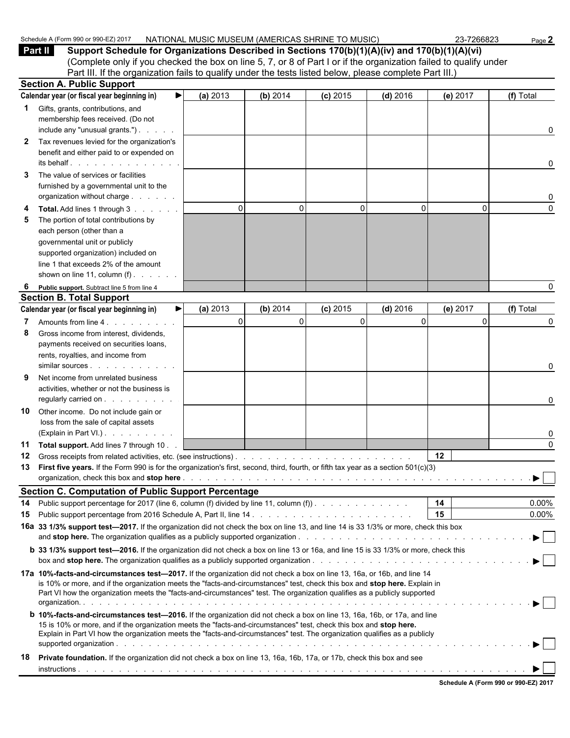|    | <b>Part II</b><br>Support Schedule for Organizations Described in Sections 170(b)(1)(A)(iv) and 170(b)(1)(A)(vi)                                                                                                                                                                                                                                                                   |              |          |            |              |          |           |
|----|------------------------------------------------------------------------------------------------------------------------------------------------------------------------------------------------------------------------------------------------------------------------------------------------------------------------------------------------------------------------------------|--------------|----------|------------|--------------|----------|-----------|
|    | (Complete only if you checked the box on line 5, 7, or 8 of Part I or if the organization failed to qualify under                                                                                                                                                                                                                                                                  |              |          |            |              |          |           |
|    | Part III. If the organization fails to qualify under the tests listed below, please complete Part III.)<br><b>Section A. Public Support</b>                                                                                                                                                                                                                                        |              |          |            |              |          |           |
|    | Calendar year (or fiscal year beginning in)                                                                                                                                                                                                                                                                                                                                        | (a) 2013     | (b) 2014 | $(c)$ 2015 | $(d)$ 2016   | (e) 2017 | (f) Total |
|    |                                                                                                                                                                                                                                                                                                                                                                                    |              |          |            |              |          |           |
| 1. | Gifts, grants, contributions, and<br>membership fees received. (Do not                                                                                                                                                                                                                                                                                                             |              |          |            |              |          |           |
|    | include any "unusual grants.")                                                                                                                                                                                                                                                                                                                                                     |              |          |            |              |          | 0         |
| 2  | Tax revenues levied for the organization's                                                                                                                                                                                                                                                                                                                                         |              |          |            |              |          |           |
|    | benefit and either paid to or expended on                                                                                                                                                                                                                                                                                                                                          |              |          |            |              |          |           |
|    | its behalf entitled and the set of the set of the set of the set of the set of the set of the set of the set of the set of the set of the set of the set of the set of the set of the set of the set of the set of the set of                                                                                                                                                      |              |          |            |              |          | 0         |
| 3  | The value of services or facilities                                                                                                                                                                                                                                                                                                                                                |              |          |            |              |          |           |
|    | furnished by a governmental unit to the                                                                                                                                                                                                                                                                                                                                            |              |          |            |              |          |           |
|    | organization without charge                                                                                                                                                                                                                                                                                                                                                        |              |          |            |              |          | 0         |
|    | Total. Add lines 1 through 3                                                                                                                                                                                                                                                                                                                                                       | $\mathbf{0}$ | $\Omega$ | 0          | $\mathbf{0}$ | $\Omega$ | $\Omega$  |
|    | The portion of total contributions by                                                                                                                                                                                                                                                                                                                                              |              |          |            |              |          |           |
|    | each person (other than a                                                                                                                                                                                                                                                                                                                                                          |              |          |            |              |          |           |
|    | governmental unit or publicly                                                                                                                                                                                                                                                                                                                                                      |              |          |            |              |          |           |
|    | supported organization) included on                                                                                                                                                                                                                                                                                                                                                |              |          |            |              |          |           |
|    | line 1 that exceeds 2% of the amount                                                                                                                                                                                                                                                                                                                                               |              |          |            |              |          |           |
|    | shown on line 11, column $(f)$ .                                                                                                                                                                                                                                                                                                                                                   |              |          |            |              |          |           |
| 6  | Public support. Subtract line 5 from line 4                                                                                                                                                                                                                                                                                                                                        |              |          |            |              |          | 0         |
|    | <b>Section B. Total Support</b>                                                                                                                                                                                                                                                                                                                                                    |              |          |            |              |          |           |
|    | Calendar year (or fiscal year beginning in)                                                                                                                                                                                                                                                                                                                                        | (a) 2013     | (b) 2014 | $(c)$ 2015 | $(d)$ 2016   | (e) 2017 | (f) Total |
|    | Amounts from line 4.                                                                                                                                                                                                                                                                                                                                                               | $\mathbf{0}$ | $\Omega$ | 0          | $\mathbf 0$  |          | 0         |
| 8  | Gross income from interest, dividends,                                                                                                                                                                                                                                                                                                                                             |              |          |            |              |          |           |
|    | payments received on securities loans,                                                                                                                                                                                                                                                                                                                                             |              |          |            |              |          |           |
|    | rents, royalties, and income from                                                                                                                                                                                                                                                                                                                                                  |              |          |            |              |          |           |
|    | Net income from unrelated business                                                                                                                                                                                                                                                                                                                                                 |              |          |            |              |          | 0         |
|    | activities, whether or not the business is                                                                                                                                                                                                                                                                                                                                         |              |          |            |              |          |           |
|    | regularly carried on                                                                                                                                                                                                                                                                                                                                                               |              |          |            |              |          | 0         |
| 10 | Other income. Do not include gain or                                                                                                                                                                                                                                                                                                                                               |              |          |            |              |          |           |
|    | loss from the sale of capital assets                                                                                                                                                                                                                                                                                                                                               |              |          |            |              |          |           |
|    | (Explain in Part VI.)                                                                                                                                                                                                                                                                                                                                                              |              |          |            |              |          | 0         |
| 11 | Total support. Add lines 7 through 10.                                                                                                                                                                                                                                                                                                                                             |              |          |            |              |          | $\Omega$  |
|    | 12 Gross receipts from related activities, etc. (see instructions).                                                                                                                                                                                                                                                                                                                |              |          |            |              | $12 \,$  |           |
| 13 | First five years. If the Form 990 is for the organization's first, second, third, fourth, or fifth tax year as a section 501(c)(3)                                                                                                                                                                                                                                                 |              |          |            |              |          |           |
|    | organization, check this box and <b>stop here</b> enterpresent and the state of the state of the state of the state of the state of the state of the state of the state of the state of the state of the state of the state of the                                                                                                                                                 |              |          |            |              |          | ▶         |
|    | <b>Section C. Computation of Public Support Percentage</b>                                                                                                                                                                                                                                                                                                                         |              |          |            |              |          |           |
| 14 | Public support percentage for 2017 (line 6, column (f) divided by line 11, column (f)).                                                                                                                                                                                                                                                                                            |              |          |            |              | 14       | $0.00\%$  |
| 15 |                                                                                                                                                                                                                                                                                                                                                                                    |              |          |            |              | 15       | $0.00\%$  |
|    | 16a 33 1/3% support test-2017. If the organization did not check the box on line 13, and line 14 is 33 1/3% or more, check this box                                                                                                                                                                                                                                                |              |          |            |              |          |           |
|    |                                                                                                                                                                                                                                                                                                                                                                                    |              |          |            |              |          |           |
|    | <b>b</b> 33 1/3% support test-2016. If the organization did not check a box on line 13 or 16a, and line 15 is 33 1/3% or more, check this                                                                                                                                                                                                                                          |              |          |            |              |          |           |
|    | 17a 10%-facts-and-circumstances test-2017. If the organization did not check a box on line 13, 16a, or 16b, and line 14<br>is 10% or more, and if the organization meets the "facts-and-circumstances" test, check this box and stop here. Explain in<br>Part VI how the organization meets the "facts-and-circumstances" test. The organization qualifies as a publicly supported |              |          |            |              |          |           |
|    | <b>b 10%-facts-and-circumstances test-2016.</b> If the organization did not check a box on line 13, 16a, 16b, or 17a, and line<br>15 is 10% or more, and if the organization meets the "facts-and-circumstances" test, check this box and stop here.<br>Explain in Part VI how the organization meets the "facts-and-circumstances" test. The organization qualifies as a publicly |              |          |            |              |          |           |
| 18 | Private foundation. If the organization did not check a box on line 13, 16a, 16b, 17a, or 17b, check this box and see                                                                                                                                                                                                                                                              |              |          |            |              |          |           |
|    |                                                                                                                                                                                                                                                                                                                                                                                    |              |          |            |              |          |           |
|    |                                                                                                                                                                                                                                                                                                                                                                                    |              |          |            |              |          |           |

Schedule A (Form 990 or 990-EZ) 2017 NATIONAL MUSIC MUSEUM (AMERICAS SHRINE TO MUSIC) 23-7266823 Page 2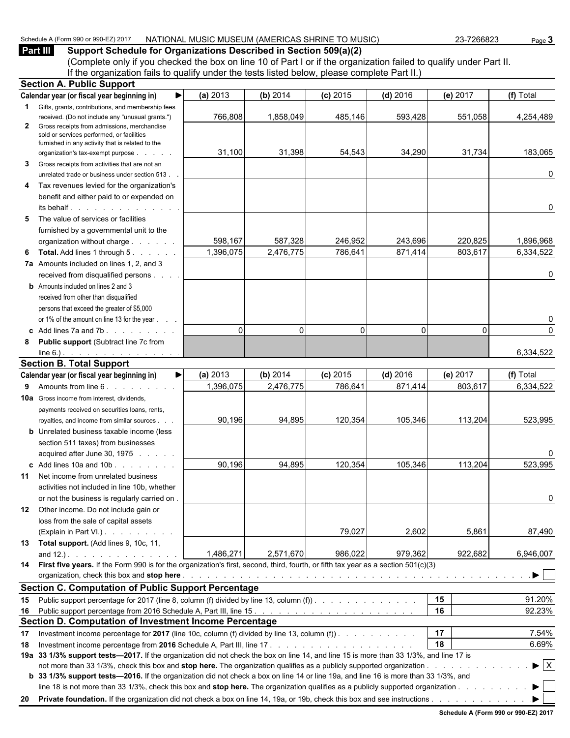#### Schedule A (Form 990 or 990-EZ) 2017 NATIONAL MUSIC MUSEUM (AMERICAS SHRINE TO MUSIC) 23-7266823 Page 3

**Part III** Support Schedule for Organizations Described in Section 509(a)(2) (Complete only if you checked the box on line 10 of Part I or if the organization failed to qualify under Part II. If the organization fails to qualify under the tests listed below, please complete Part II.)

| <b>Section A. Public Support</b> |                                                                                                                                              |           |           |            |              |          |                                |  |  |  |  |
|----------------------------------|----------------------------------------------------------------------------------------------------------------------------------------------|-----------|-----------|------------|--------------|----------|--------------------------------|--|--|--|--|
|                                  | Calendar year (or fiscal year beginning in)<br>▶                                                                                             | (a) 2013  | (b) 2014  | $(c)$ 2015 | $(d)$ 2016   | (e) 2017 | (f) Total                      |  |  |  |  |
|                                  | <b>1</b> Gifts, grants, contributions, and membership fees                                                                                   |           |           |            |              |          |                                |  |  |  |  |
|                                  | received. (Do not include any "unusual grants.")                                                                                             | 766,808   | 1,858,049 | 485,146    | 593,428      | 551,058  | 4,254,489                      |  |  |  |  |
| $\mathbf{2}$                     | Gross receipts from admissions, merchandise<br>sold or services performed, or facilities<br>furnished in any activity that is related to the |           |           |            |              |          |                                |  |  |  |  |
|                                  | organization's tax-exempt purpose                                                                                                            | 31,100    | 31,398    | 54,543     | 34,290       | 31,734   | 183,065                        |  |  |  |  |
| 3                                | Gross receipts from activities that are not an                                                                                               |           |           |            |              |          |                                |  |  |  |  |
|                                  | unrelated trade or business under section 513.                                                                                               |           |           |            |              |          | 0                              |  |  |  |  |
| 4                                | Tax revenues levied for the organization's                                                                                                   |           |           |            |              |          |                                |  |  |  |  |
|                                  | benefit and either paid to or expended on<br>$its$ behalf $\qquad \qquad \ldots \qquad \qquad \ldots$                                        |           |           |            |              |          | 0                              |  |  |  |  |
| 5                                | The value of services or facilities                                                                                                          |           |           |            |              |          |                                |  |  |  |  |
|                                  | furnished by a governmental unit to the                                                                                                      |           |           |            |              |          |                                |  |  |  |  |
|                                  | organization without charge                                                                                                                  | 598,167   | 587,328   | 246,952    | 243,696      | 220,825  | 1,896,968                      |  |  |  |  |
| 6                                | <b>Total.</b> Add lines 1 through 5.                                                                                                         | 1,396,075 | 2,476,775 | 786,641    | 871,414      | 803,617  | 6,334,522                      |  |  |  |  |
|                                  | 7a Amounts included on lines 1, 2, and 3                                                                                                     |           |           |            |              |          |                                |  |  |  |  |
|                                  | received from disqualified persons                                                                                                           |           |           |            |              |          | 0                              |  |  |  |  |
|                                  | <b>b</b> Amounts included on lines 2 and 3                                                                                                   |           |           |            |              |          |                                |  |  |  |  |
|                                  | received from other than disqualified                                                                                                        |           |           |            |              |          |                                |  |  |  |  |
|                                  | persons that exceed the greater of \$5,000                                                                                                   |           |           |            |              |          |                                |  |  |  |  |
|                                  | or 1% of the amount on line 13 for the year                                                                                                  |           |           |            |              |          | 0                              |  |  |  |  |
|                                  | c Add lines $7a$ and $7b$ .                                                                                                                  | $\Omega$  | $\Omega$  | $\Omega$   | $\mathbf{0}$ | $\Omega$ | $\Omega$                       |  |  |  |  |
| 8                                | <b>Public support (Subtract line 7c from</b>                                                                                                 |           |           |            |              |          |                                |  |  |  |  |
|                                  | line 6.) $\cdots$ $\cdots$ $\cdots$ $\cdots$                                                                                                 |           |           |            |              |          | 6,334,522                      |  |  |  |  |
|                                  | <b>Section B. Total Support</b>                                                                                                              |           |           |            |              |          |                                |  |  |  |  |
|                                  | Calendar year (or fiscal year beginning in)<br>▶                                                                                             | (a) 2013  | (b) 2014  | $(c)$ 2015 | $(d)$ 2016   | (e) 2017 | (f) Total                      |  |  |  |  |
|                                  | 9 Amounts from line 6.                                                                                                                       | 1,396,075 | 2,476,775 | 786,641    | 871,414      | 803,617  | 6,334,522                      |  |  |  |  |
|                                  | <b>10a</b> Gross income from interest, dividends,                                                                                            |           |           |            |              |          |                                |  |  |  |  |
|                                  | payments received on securities loans, rents,                                                                                                |           |           |            |              |          |                                |  |  |  |  |
|                                  | royalties, and income from similar sources.                                                                                                  | 90,196    | 94,895    | 120,354    | 105,346      | 113,204  | 523,995                        |  |  |  |  |
|                                  | <b>b</b> Unrelated business taxable income (less                                                                                             |           |           |            |              |          |                                |  |  |  |  |
|                                  | section 511 taxes) from businesses                                                                                                           |           |           |            |              |          |                                |  |  |  |  |
|                                  | acquired after June 30, 1975                                                                                                                 |           |           |            |              |          | 0                              |  |  |  |  |
|                                  | c Add lines 10a and 10b                                                                                                                      | 90,196    | 94,895    | 120,354    | 105,346      | 113,204  | 523,995                        |  |  |  |  |
|                                  | 11 Net income from unrelated business                                                                                                        |           |           |            |              |          |                                |  |  |  |  |
|                                  | activities not included in line 10b, whether                                                                                                 |           |           |            |              |          |                                |  |  |  |  |
|                                  | or not the business is regularly carried on.                                                                                                 |           |           |            |              |          | 0                              |  |  |  |  |
|                                  | 12 Other income. Do not include gain or                                                                                                      |           |           |            |              |          |                                |  |  |  |  |
|                                  | loss from the sale of capital assets                                                                                                         |           |           |            |              |          |                                |  |  |  |  |
|                                  | (Explain in Part VI.)                                                                                                                        |           |           | 79,027     | 2,602        | 5,861    | 87,490                         |  |  |  |  |
|                                  | 13 Total support. (Add lines 9, 10c, 11,                                                                                                     |           |           |            |              |          |                                |  |  |  |  |
|                                  | and $12.$ ). $\qquad \qquad \qquad$                                                                                                          | 1,486,271 | 2,571,670 | 986,022    | 979,362      | 922,682  | 6,946,007                      |  |  |  |  |
|                                  | 14 First five years. If the Form 990 is for the organization's first, second, third, fourth, or fifth tax year as a section 501(c)(3)        |           |           |            |              |          |                                |  |  |  |  |
|                                  |                                                                                                                                              |           |           |            |              |          | ▶                              |  |  |  |  |
|                                  | <b>Section C. Computation of Public Support Percentage</b>                                                                                   |           |           |            |              |          |                                |  |  |  |  |
|                                  | 15 Public support percentage for 2017 (line 8, column (f) divided by line 13, column (f).                                                    |           |           |            |              | 15       | 91.20%                         |  |  |  |  |
|                                  |                                                                                                                                              |           |           |            |              | 16       | 92.23%                         |  |  |  |  |
|                                  | Section D. Computation of Investment Income Percentage                                                                                       |           |           |            |              |          |                                |  |  |  |  |
| 17                               | Investment income percentage for 2017 (line 10c, column (f) divided by line 13, column (f)).                                                 |           |           |            |              | 17       | 7.54%                          |  |  |  |  |
| 18                               |                                                                                                                                              |           |           |            |              | 18       | 6.69%                          |  |  |  |  |
|                                  | 19a 33 1/3% support tests-2017. If the organization did not check the box on line 14, and line 15 is more than 33 1/3%, and line 17 is       |           |           |            |              |          |                                |  |  |  |  |
|                                  |                                                                                                                                              |           |           |            |              |          | $\blacktriangleright$ $\mid$ X |  |  |  |  |
|                                  | b 33 1/3% support tests—2016. If the organization did not check a box on line 14 or line 19a, and line 16 is more than 33 1/3%, and          |           |           |            |              |          |                                |  |  |  |  |
|                                  | line 18 is not more than 33 1/3%, check this box and stop here. The organization qualifies as a publicly supported organization              |           |           |            |              |          | ▶                              |  |  |  |  |
|                                  |                                                                                                                                              |           |           |            |              |          |                                |  |  |  |  |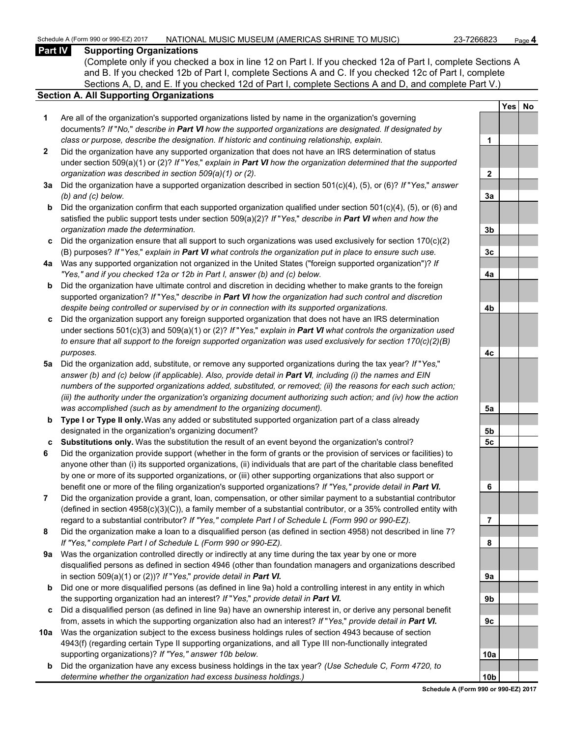#### **Part IV Supporting Organizations**

(Complete only if you checked a box in line 12 on Part I. If you checked 12a of Part I, complete Sections A and B. If you checked 12b of Part I, complete Sections A and C. If you checked 12c of Part I, complete Sections A, D, and E. If you checked 12d of Part I, complete Sections A and D, and complete Part V.)

#### **Section A. All Supporting Organizations**

- **1** Are all of the organization's supported organizations listed by name in the organization's governing documents? *If* "*No,*" *describe in Part VI how the supported organizations are designated. If designated by class or purpose, describe the designation. If historic and continuing relationship, explain.* **1**
- **2** Did the organization have any supported organization that does not have an IRS determination of status under section 509(a)(1) or (2)? *If* "*Yes,*" *explain in Part VI how the organization determined that the supported organization was described in section 509(a)(1) or (2).*
- **3a** Did the organization have a supported organization described in section 501(c)(4), (5), or (6)? *If* "*Yes,*" *answer (b) and (c) below.* **3a**
- **b** Did the organization confirm that each supported organization qualified under section 501(c)(4), (5), or (6) and satisfied the public support tests under section 509(a)(2)? *If* "*Yes,*" *describe in Part VI when and how the organization made the determination.* **3b**
- **c** Did the organization ensure that all support to such organizations was used exclusively for section 170(c)(2) (B) purposes? *If* "*Yes,*" *explain in Part VI what controls the organization put in place to ensure such use.* **3c**
- **4a** Was any supported organization not organized in the United States ("foreign supported organization")? *If "Yes," and if you checked 12a or 12b in Part I, answer (b) and (c) below.* **4a**
- **b** Did the organization have ultimate control and discretion in deciding whether to make grants to the foreign supported organization? *If* "*Yes,*" *describe in Part VI how the organization had such control and discretion despite being controlled or supervised by or in connection with its supported organizations.* **4b**
- **c** Did the organization support any foreign supported organization that does not have an IRS determination under sections 501(c)(3) and 509(a)(1) or (2)? *If* "*Yes,*" *explain in Part VI what controls the organization used to ensure that all support to the foreign supported organization was used exclusively for section 170(c)(2)(B) purposes.* **4c**
- **5a** Did the organization add, substitute, or remove any supported organizations during the tax year? *If* "*Yes,*" *answer (b) and (c) below (if applicable). Also, provide detail in Part VI, including (i) the names and EIN numbers of the supported organizations added, substituted, or removed; (ii) the reasons for each such action; (iii) the authority under the organization's organizing document authorizing such action; and (iv) how the action was accomplished (such as by amendment to the organizing document).* **5a**
- **b Type I or Type II only.** Was any added or substituted supported organization part of a class already designated in the organization's organizing document? **5b**
- **c Substitutions only.** Was the substitution the result of an event beyond the organization's control? **5c**
- **6** Did the organization provide support (whether in the form of grants or the provision of services or facilities) to anyone other than (i) its supported organizations, (ii) individuals that are part of the charitable class benefited by one or more of its supported organizations, or (iii) other supporting organizations that also support or benefit one or more of the filing organization's supported organizations? *If "Yes," provide detail in Part VI.* **6**
- **7** Did the organization provide a grant, loan, compensation, or other similar payment to a substantial contributor (defined in section 4958(c)(3)(C)), a family member of a substantial contributor, or a 35% controlled entity with regard to a substantial contributor? *If "Yes," complete Part I of Schedule L (Form 990 or 990-EZ).* **7**
- **8** Did the organization make a loan to a disqualified person (as defined in section 4958) not described in line 7? *If "Yes," complete Part I of Schedule L (Form 990 or 990-EZ).* **8**
- **9a** Was the organization controlled directly or indirectly at any time during the tax year by one or more disqualified persons as defined in section 4946 (other than foundation managers and organizations described in section 509(a)(1) or (2))? *If* "*Yes*," *provide detail in Part VI.*
- **b** Did one or more disqualified persons (as defined in line 9a) hold a controlling interest in any entity in which the supporting organization had an interest? *If* "*Yes,*" *provide detail in Part VI.* **9b**
- **c** Did a disqualified person (as defined in line 9a) have an ownership interest in, or derive any personal benefit from, assets in which the supporting organization also had an interest? *If* "*Yes,*" *provide detail in Part VI.* **9c**
- **10a** Was the organization subject to the excess business holdings rules of section 4943 because of section 4943(f) (regarding certain Type II supporting organizations, and all Type III non-functionally integrated supporting organizations)? If "Yes," answer 10b below.
	- **b** Did the organization have any excess business holdings in the tax year? *(Use Schedule C, Form 4720, to determine whether the organization had excess business holdings.)* **10b**

|                | Yes | <u>No</u> |
|----------------|-----|-----------|
|                |     |           |
| 1              |     |           |
|                |     |           |
| $\overline{2}$ |     |           |
|                |     |           |
| <u>3a</u>      |     |           |
|                |     |           |
| <u>3b</u>      |     |           |
| <u>3c</u>      |     |           |
|                |     |           |
| <u>4a</u>      |     |           |
|                |     |           |
|                |     |           |
| <u>4b</u>      |     |           |
|                |     |           |
| <u>4c</u>      |     |           |
|                |     |           |
| <u>5a</u>      |     |           |
| <u>5b</u>      |     |           |
| <u>5c</u>      |     |           |
|                |     |           |
| 6              |     |           |
|                |     |           |
| ŗ<br>i         |     |           |
|                |     |           |
| 8              |     |           |
|                |     |           |
| ţ<br>Jа        |     |           |
|                |     |           |
|                |     |           |
|                |     |           |
|                |     |           |
| ŋ<br>E<br>1    |     |           |
|                |     |           |
| 0b             |     |           |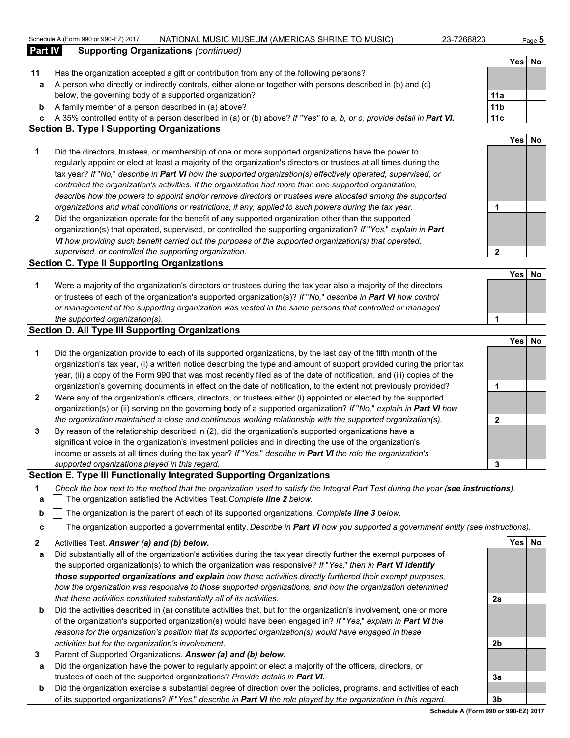|                | Schedule A (Form 990 or 990-EZ) 2017<br>NATIONAL MUSIC MUSEUM (AMERICAS SHRINE TO MUSIC)<br>23-7266823                                                                                                                     |                        |        | Page $5$ |
|----------------|----------------------------------------------------------------------------------------------------------------------------------------------------------------------------------------------------------------------------|------------------------|--------|----------|
| <b>Part IV</b> | <b>Supporting Organizations (continued)</b>                                                                                                                                                                                |                        |        |          |
|                |                                                                                                                                                                                                                            |                        | Yes No |          |
| 11             | Has the organization accepted a gift or contribution from any of the following persons?                                                                                                                                    |                        |        |          |
| a              | A person who directly or indirectly controls, either alone or together with persons described in (b) and (c)                                                                                                               |                        |        |          |
|                | below, the governing body of a supported organization?                                                                                                                                                                     | 11a                    |        |          |
| b              | A family member of a person described in (a) above?                                                                                                                                                                        | 11 <sub>b</sub><br>11c |        |          |
| с              | A 35% controlled entity of a person described in (a) or (b) above? If "Yes" to a, b, or c, provide detail in Part VI.<br><b>Section B. Type I Supporting Organizations</b>                                                 |                        |        |          |
|                |                                                                                                                                                                                                                            |                        | Yes No |          |
| 1              | Did the directors, trustees, or membership of one or more supported organizations have the power to                                                                                                                        |                        |        |          |
|                | regularly appoint or elect at least a majority of the organization's directors or trustees at all times during the                                                                                                         |                        |        |          |
|                | tax year? If "No," describe in Part VI how the supported organization(s) effectively operated, supervised, or                                                                                                              |                        |        |          |
|                | controlled the organization's activities. If the organization had more than one supported organization,                                                                                                                    |                        |        |          |
|                | describe how the powers to appoint and/or remove directors or trustees were allocated among the supported                                                                                                                  |                        |        |          |
|                | organizations and what conditions or restrictions, if any, applied to such powers during the tax year.                                                                                                                     | 1                      |        |          |
| $\mathbf{2}$   | Did the organization operate for the benefit of any supported organization other than the supported                                                                                                                        |                        |        |          |
|                | organization(s) that operated, supervised, or controlled the supporting organization? If "Yes," explain in Part                                                                                                            |                        |        |          |
|                | VI how providing such benefit carried out the purposes of the supported organization(s) that operated,                                                                                                                     |                        |        |          |
|                | supervised, or controlled the supporting organization.                                                                                                                                                                     | $\mathbf{2}$           |        |          |
|                | <b>Section C. Type II Supporting Organizations</b>                                                                                                                                                                         |                        |        |          |
|                | Were a majority of the organization's directors or trustees during the tax year also a majority of the directors                                                                                                           |                        | Yes No |          |
| 1              | or trustees of each of the organization's supported organization(s)? If "No," describe in Part VI how control                                                                                                              |                        |        |          |
|                | or management of the supporting organization was vested in the same persons that controlled or managed                                                                                                                     |                        |        |          |
|                | the supported organization(s).                                                                                                                                                                                             | 1                      |        |          |
|                | <b>Section D. All Type III Supporting Organizations</b>                                                                                                                                                                    |                        |        |          |
|                |                                                                                                                                                                                                                            |                        | Yes No |          |
| 1              | Did the organization provide to each of its supported organizations, by the last day of the fifth month of the                                                                                                             |                        |        |          |
|                | organization's tax year, (i) a written notice describing the type and amount of support provided during the prior tax                                                                                                      |                        |        |          |
|                | year, (ii) a copy of the Form 990 that was most recently filed as of the date of notification, and (iii) copies of the                                                                                                     |                        |        |          |
|                | organization's governing documents in effect on the date of notification, to the extent not previously provided?                                                                                                           | 1                      |        |          |
| $\mathbf{2}$   | Were any of the organization's officers, directors, or trustees either (i) appointed or elected by the supported                                                                                                           |                        |        |          |
|                | organization(s) or (ii) serving on the governing body of a supported organization? If "No," explain in Part VI how                                                                                                         |                        |        |          |
|                | the organization maintained a close and continuous working relationship with the supported organization(s).                                                                                                                | $\mathbf{2}$           |        |          |
| 3              | By reason of the relationship described in (2), did the organization's supported organizations have a                                                                                                                      |                        |        |          |
|                | significant voice in the organization's investment policies and in directing the use of the organization's<br>income or assets at all times during the tax year? If "Yes," describe in Part VI the role the organization's |                        |        |          |
|                | supported organizations played in this regard.                                                                                                                                                                             | 3                      |        |          |
|                | Section E. Type III Functionally Integrated Supporting Organizations                                                                                                                                                       |                        |        |          |
| 1              | Check the box next to the method that the organization used to satisfy the Integral Part Test during the year (see instructions).                                                                                          |                        |        |          |
| а              | The organization satisfied the Activities Test. Complete line 2 below.                                                                                                                                                     |                        |        |          |
|                | The organization is the parent of each of its supported organizations. Complete line 3 below.                                                                                                                              |                        |        |          |
| b              |                                                                                                                                                                                                                            |                        |        |          |
| c              | The organization supported a governmental entity. Describe in Part VI how you supported a government entity (see instructions).                                                                                            |                        |        |          |
| 2              | Activities Test. Answer (a) and (b) below.                                                                                                                                                                                 |                        | Yes No |          |

- **a** Did substantially all of the organization's activities during the tax year directly further the exempt purposes of the supported organization(s) to which the organization was responsive? *If* "*Yes,*" *then in Part VI identify those supported organizations and explain how these activities directly furthered their exempt purposes, how the organization was responsive to those supported organizations, and how the organization determined that these activities constituted substantially all of its activities.* **2a**
- **b** Did the activities described in (a) constitute activities that, but for the organization's involvement, one or more of the organization's supported organization(s) would have been engaged in? *If* "*Yes,*" *explain in Part VI the reasons for the organization's position that its supported organization(s) would have engaged in these activities but for the organization's involvement.* **2b**
- **3** Parent of Supported Organizations. *Answer (a) and (b) below.*
- **a** Did the organization have the power to regularly appoint or elect a majority of the officers, directors, or trustees of each of the supported organizations? *Provide details in Part VI.* **3a**
- **b** Did the organization exercise a substantial degree of direction over the policies, programs, and activities of each of its supported organizations? *If* "*Yes,*" *describe in Part VI the role played by the organization in this regard.* **3b**

**Schedule A (Form 990 or 990-EZ) 2017**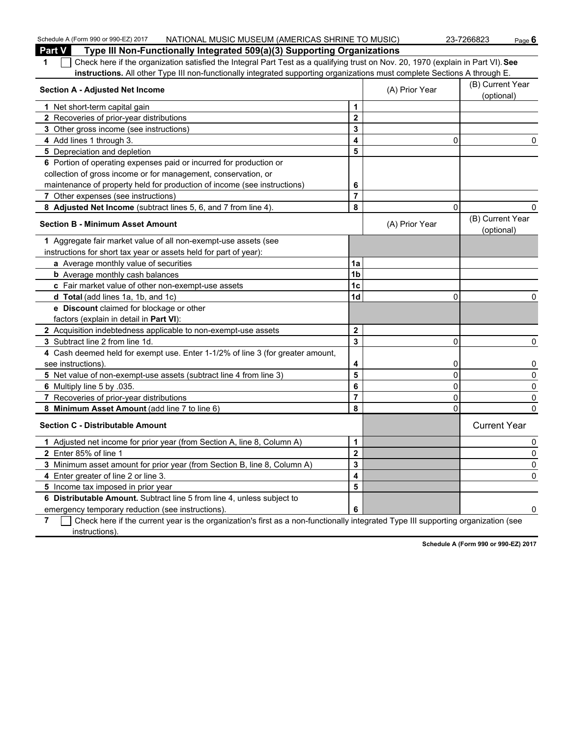| Schedule A (Form 990 or 990-EZ) 2017<br>NATIONAL MUSIC MUSEUM (AMERICAS SHRINE TO MUSIC)                                              |                         |                | 23-7266823<br>Page $6$         |
|---------------------------------------------------------------------------------------------------------------------------------------|-------------------------|----------------|--------------------------------|
| <b>Part V</b><br>Type III Non-Functionally Integrated 509(a)(3) Supporting Organizations                                              |                         |                |                                |
| Check here if the organization satisfied the Integral Part Test as a qualifying trust on Nov. 20, 1970 (explain in Part VI). See<br>1 |                         |                |                                |
| instructions. All other Type III non-functionally integrated supporting organizations must complete Sections A through E.             |                         |                |                                |
| <b>Section A - Adjusted Net Income</b>                                                                                                |                         | (A) Prior Year | (B) Current Year<br>(optional) |
| 1 Net short-term capital gain                                                                                                         | 1                       |                |                                |
| 2 Recoveries of prior-year distributions                                                                                              | $\overline{\mathbf{2}}$ |                |                                |
| 3 Other gross income (see instructions)                                                                                               | 3                       |                |                                |
| 4 Add lines 1 through 3.                                                                                                              | 4                       | 0              | 0                              |
| 5 Depreciation and depletion                                                                                                          | 5                       |                |                                |
| 6 Portion of operating expenses paid or incurred for production or                                                                    |                         |                |                                |
| collection of gross income or for management, conservation, or                                                                        |                         |                |                                |
| maintenance of property held for production of income (see instructions)                                                              | 6                       |                |                                |
| 7 Other expenses (see instructions)                                                                                                   | $\overline{7}$          |                |                                |
| 8 Adjusted Net Income (subtract lines 5, 6, and 7 from line 4).                                                                       | 8                       | $\mathbf 0$    | 0                              |
| <b>Section B - Minimum Asset Amount</b>                                                                                               |                         | (A) Prior Year | (B) Current Year<br>(optional) |
| 1 Aggregate fair market value of all non-exempt-use assets (see                                                                       |                         |                |                                |
| instructions for short tax year or assets held for part of year):                                                                     |                         |                |                                |
| a Average monthly value of securities                                                                                                 | 1a                      |                |                                |
| <b>b</b> Average monthly cash balances                                                                                                | 1 <sub>b</sub>          |                |                                |
| c Fair market value of other non-exempt-use assets                                                                                    | 1c                      |                |                                |
| d Total (add lines 1a, 1b, and 1c)                                                                                                    | 1d                      | 0              | 0                              |
| e Discount claimed for blockage or other                                                                                              |                         |                |                                |
| factors (explain in detail in Part VI):                                                                                               |                         |                |                                |
| 2 Acquisition indebtedness applicable to non-exempt-use assets                                                                        | $\mathbf{2}$            |                |                                |
| 3 Subtract line 2 from line 1d.                                                                                                       | 3                       | 0              | 0                              |
| 4 Cash deemed held for exempt use. Enter 1-1/2% of line 3 (for greater amount,                                                        |                         |                |                                |
| see instructions).                                                                                                                    | 4                       | 0              | 0                              |
| 5 Net value of non-exempt-use assets (subtract line 4 from line 3)                                                                    | 5                       | 0              | 0                              |
| 6 Multiply line 5 by .035.                                                                                                            | 6                       | 0              | $\pmb{0}$                      |
| 7 Recoveries of prior-year distributions                                                                                              | $\overline{7}$          | 0              | 0                              |
| 8 Minimum Asset Amount (add line 7 to line 6)                                                                                         | 8                       | $\mathbf 0$    | $\Omega$                       |
| <b>Section C - Distributable Amount</b>                                                                                               |                         |                | <b>Current Year</b>            |
| 1 Adjusted net income for prior year (from Section A, line 8, Column A)                                                               | $\mathbf{1}$            |                | 0                              |
| 2 Enter 85% of line 1                                                                                                                 | $\overline{2}$          |                | 0                              |
| 3 Minimum asset amount for prior year (from Section B, line 8, Column A)                                                              | 3                       |                | 0                              |
| 4 Enter greater of line 2 or line 3.                                                                                                  | $\overline{\mathbf{4}}$ |                | 0                              |
| 5 Income tax imposed in prior year                                                                                                    | 5                       |                |                                |
| 6 Distributable Amount. Subtract line 5 from line 4, unless subject to                                                                |                         |                |                                |
| emergency temporary reduction (see instructions).                                                                                     | 6                       |                | 0                              |
| Check have if the ourse were in the essenization's first as a near functionally integrated Type III our partiage essenization (each   |                         |                |                                |

**7** Check here if the current year is the organization's first as a non-functionally integrated Type III supporting organization (see instructions).

**Schedule A (Form 990 or 990-EZ) 2017**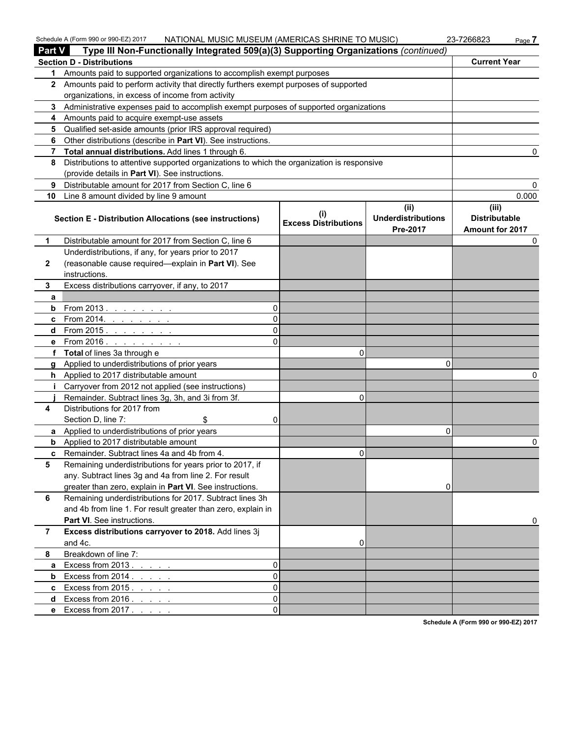| <b>Part V</b> | NATIONAL MUSIC MUSEUM (AMERICAS SHRINE TO MUSIC)<br>Schedule A (Form 990 or 990-EZ) 2017<br>Type III Non-Functionally Integrated 509(a)(3) Supporting Organizations (continued) |                             |                                               | 23-7266823<br>Page 7                             |
|---------------|---------------------------------------------------------------------------------------------------------------------------------------------------------------------------------|-----------------------------|-----------------------------------------------|--------------------------------------------------|
|               | <b>Section D - Distributions</b>                                                                                                                                                |                             |                                               | <b>Current Year</b>                              |
|               | 1 Amounts paid to supported organizations to accomplish exempt purposes                                                                                                         |                             |                                               |                                                  |
|               | 2 Amounts paid to perform activity that directly furthers exempt purposes of supported                                                                                          |                             |                                               |                                                  |
|               | organizations, in excess of income from activity                                                                                                                                |                             |                                               |                                                  |
|               | 3 Administrative expenses paid to accomplish exempt purposes of supported organizations                                                                                         |                             |                                               |                                                  |
|               | 4 Amounts paid to acquire exempt-use assets                                                                                                                                     |                             |                                               |                                                  |
| 5.            | Qualified set-aside amounts (prior IRS approval required)                                                                                                                       |                             |                                               |                                                  |
| 6             | Other distributions (describe in Part VI). See instructions.                                                                                                                    |                             |                                               |                                                  |
| $7^{\circ}$   | Total annual distributions. Add lines 1 through 6.                                                                                                                              |                             |                                               |                                                  |
| 8             | Distributions to attentive supported organizations to which the organization is responsive                                                                                      |                             |                                               |                                                  |
|               | (provide details in Part VI). See instructions.                                                                                                                                 |                             |                                               |                                                  |
| 9             | Distributable amount for 2017 from Section C, line 6                                                                                                                            |                             |                                               |                                                  |
| 10            | Line 8 amount divided by line 9 amount                                                                                                                                          |                             |                                               | 0.000                                            |
|               | <b>Section E - Distribution Allocations (see instructions)</b>                                                                                                                  | <b>Excess Distributions</b> | (ii)<br><b>Underdistributions</b><br>Pre-2017 | (iii)<br><b>Distributable</b><br>Amount for 2017 |
| $\mathbf 1$   | Distributable amount for 2017 from Section C, line 6                                                                                                                            |                             |                                               | 0                                                |
|               | Underdistributions, if any, for years prior to 2017                                                                                                                             |                             |                                               |                                                  |
| $\mathbf{2}$  | (reasonable cause required-explain in Part VI). See                                                                                                                             |                             |                                               |                                                  |
|               | instructions.                                                                                                                                                                   |                             |                                               |                                                  |
| 3             | Excess distributions carryover, if any, to 2017                                                                                                                                 |                             |                                               |                                                  |
| a             |                                                                                                                                                                                 |                             |                                               |                                                  |
|               | <b>b</b> From 2013.<br>$\Omega$                                                                                                                                                 |                             |                                               |                                                  |
|               | $\Omega$<br><b>c</b> From 2014.                                                                                                                                                 |                             |                                               |                                                  |
|               | $\Omega$<br>d From 2015.                                                                                                                                                        |                             |                                               |                                                  |
|               | e From 2016.<br>$\Omega$<br>the contract of the contract of                                                                                                                     |                             |                                               |                                                  |
|               | f Total of lines 3a through e                                                                                                                                                   | 0                           |                                               |                                                  |
| q             | Applied to underdistributions of prior years                                                                                                                                    |                             | $\Omega$                                      |                                                  |
|               | h Applied to 2017 distributable amount                                                                                                                                          |                             |                                               |                                                  |
|               | Carryover from 2012 not applied (see instructions)                                                                                                                              |                             |                                               |                                                  |
|               | Remainder. Subtract lines 3g, 3h, and 3i from 3f.                                                                                                                               | $\Omega$                    |                                               |                                                  |
| 4             | Distributions for 2017 from                                                                                                                                                     |                             |                                               |                                                  |
|               | Section D, line 7:<br>\$<br>0                                                                                                                                                   |                             |                                               |                                                  |
|               | a Applied to underdistributions of prior years                                                                                                                                  |                             | 0                                             |                                                  |
|               | <b>b</b> Applied to 2017 distributable amount                                                                                                                                   |                             |                                               | 0                                                |
| C.            | Remainder. Subtract lines 4a and 4b from 4.                                                                                                                                     | $\overline{0}$              |                                               |                                                  |
| 5             | Remaining underdistributions for years prior to 2017, if                                                                                                                        |                             |                                               |                                                  |
|               | any. Subtract lines 3g and 4a from line 2. For result                                                                                                                           |                             |                                               |                                                  |
| 6             | greater than zero, explain in Part VI. See instructions.<br>Remaining underdistributions for 2017. Subtract lines 3h                                                            |                             | 0                                             |                                                  |
|               | and 4b from line 1. For result greater than zero, explain in                                                                                                                    |                             |                                               |                                                  |
|               | Part VI. See instructions.                                                                                                                                                      |                             |                                               | 0                                                |
| 7             | Excess distributions carryover to 2018. Add lines 3j                                                                                                                            |                             |                                               |                                                  |
|               | and 4c.                                                                                                                                                                         | 0                           |                                               |                                                  |
| 8             | Breakdown of line 7:                                                                                                                                                            |                             |                                               |                                                  |
| a             | Excess from 2013.<br>$\Omega$                                                                                                                                                   |                             |                                               |                                                  |
|               | and the state of<br>$\Omega$<br><b>b</b> Excess from $2014$ .                                                                                                                   |                             |                                               |                                                  |
|               | $\Omega$<br>c Excess from $2015.$                                                                                                                                               |                             |                                               |                                                  |
|               | $\Omega$<br>d Excess from $2016.$ $\ldots$ $\ldots$                                                                                                                             |                             |                                               |                                                  |
|               |                                                                                                                                                                                 |                             |                                               |                                                  |

**e** Excess from 2017 . . . . . . . . . . . . . . . . . . . . . . . . . . . . . . . . . . . . . . . . . . . . . . . . . . . . . . . . . 0

**Schedule A (Form 990 or 990-EZ) 2017**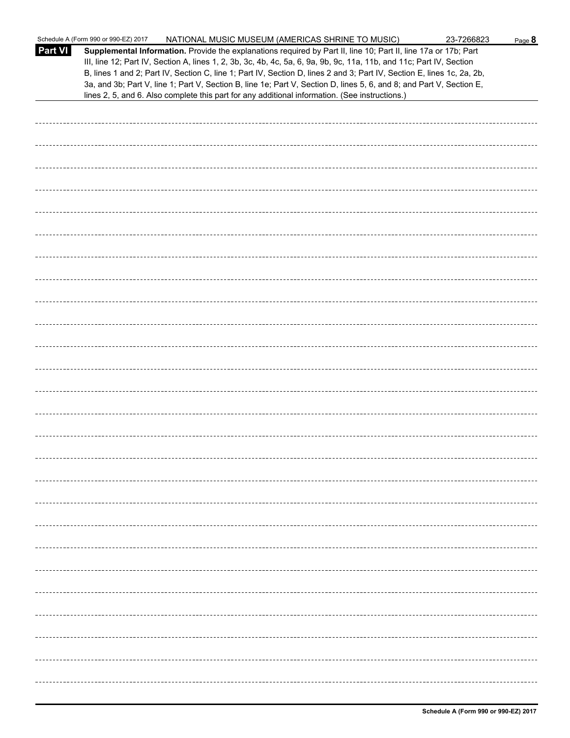|                | Schedule A (Form 990 or 990-EZ) 2017<br>NATIONAL MUSIC MUSEUM (AMERICAS SHRINE TO MUSIC)                                                                                                                                                                                                                                                                                                                                                                                                                                                                                                    | 23-7266823 | Page 8 |
|----------------|---------------------------------------------------------------------------------------------------------------------------------------------------------------------------------------------------------------------------------------------------------------------------------------------------------------------------------------------------------------------------------------------------------------------------------------------------------------------------------------------------------------------------------------------------------------------------------------------|------------|--------|
| <b>Part VI</b> | Supplemental Information. Provide the explanations required by Part II, line 10; Part II, line 17a or 17b; Part<br>III, line 12; Part IV, Section A, lines 1, 2, 3b, 3c, 4b, 4c, 5a, 6, 9a, 9b, 9c, 11a, 11b, and 11c; Part IV, Section<br>B, lines 1 and 2; Part IV, Section C, line 1; Part IV, Section D, lines 2 and 3; Part IV, Section E, lines 1c, 2a, 2b,<br>3a, and 3b; Part V, line 1; Part V, Section B, line 1e; Part V, Section D, lines 5, 6, and 8; and Part V, Section E,<br>lines 2, 5, and 6. Also complete this part for any additional information. (See instructions.) |            |        |
|                |                                                                                                                                                                                                                                                                                                                                                                                                                                                                                                                                                                                             |            |        |
|                |                                                                                                                                                                                                                                                                                                                                                                                                                                                                                                                                                                                             |            |        |
|                |                                                                                                                                                                                                                                                                                                                                                                                                                                                                                                                                                                                             |            |        |
|                |                                                                                                                                                                                                                                                                                                                                                                                                                                                                                                                                                                                             |            |        |
|                |                                                                                                                                                                                                                                                                                                                                                                                                                                                                                                                                                                                             |            |        |
|                |                                                                                                                                                                                                                                                                                                                                                                                                                                                                                                                                                                                             |            |        |
|                |                                                                                                                                                                                                                                                                                                                                                                                                                                                                                                                                                                                             |            |        |
|                |                                                                                                                                                                                                                                                                                                                                                                                                                                                                                                                                                                                             |            |        |
|                |                                                                                                                                                                                                                                                                                                                                                                                                                                                                                                                                                                                             |            |        |
|                |                                                                                                                                                                                                                                                                                                                                                                                                                                                                                                                                                                                             |            |        |
|                |                                                                                                                                                                                                                                                                                                                                                                                                                                                                                                                                                                                             |            |        |
|                |                                                                                                                                                                                                                                                                                                                                                                                                                                                                                                                                                                                             |            |        |
|                |                                                                                                                                                                                                                                                                                                                                                                                                                                                                                                                                                                                             |            |        |
|                |                                                                                                                                                                                                                                                                                                                                                                                                                                                                                                                                                                                             |            |        |
|                |                                                                                                                                                                                                                                                                                                                                                                                                                                                                                                                                                                                             |            |        |
|                |                                                                                                                                                                                                                                                                                                                                                                                                                                                                                                                                                                                             |            |        |
|                |                                                                                                                                                                                                                                                                                                                                                                                                                                                                                                                                                                                             |            |        |
|                |                                                                                                                                                                                                                                                                                                                                                                                                                                                                                                                                                                                             |            |        |
|                |                                                                                                                                                                                                                                                                                                                                                                                                                                                                                                                                                                                             |            |        |
|                |                                                                                                                                                                                                                                                                                                                                                                                                                                                                                                                                                                                             |            |        |
|                |                                                                                                                                                                                                                                                                                                                                                                                                                                                                                                                                                                                             |            |        |
|                |                                                                                                                                                                                                                                                                                                                                                                                                                                                                                                                                                                                             |            |        |
|                |                                                                                                                                                                                                                                                                                                                                                                                                                                                                                                                                                                                             |            |        |
|                |                                                                                                                                                                                                                                                                                                                                                                                                                                                                                                                                                                                             |            |        |
|                |                                                                                                                                                                                                                                                                                                                                                                                                                                                                                                                                                                                             |            |        |
|                |                                                                                                                                                                                                                                                                                                                                                                                                                                                                                                                                                                                             |            |        |
|                |                                                                                                                                                                                                                                                                                                                                                                                                                                                                                                                                                                                             |            |        |
|                |                                                                                                                                                                                                                                                                                                                                                                                                                                                                                                                                                                                             |            |        |
|                |                                                                                                                                                                                                                                                                                                                                                                                                                                                                                                                                                                                             |            |        |
|                |                                                                                                                                                                                                                                                                                                                                                                                                                                                                                                                                                                                             |            |        |
|                |                                                                                                                                                                                                                                                                                                                                                                                                                                                                                                                                                                                             |            |        |
|                |                                                                                                                                                                                                                                                                                                                                                                                                                                                                                                                                                                                             |            |        |
|                |                                                                                                                                                                                                                                                                                                                                                                                                                                                                                                                                                                                             |            |        |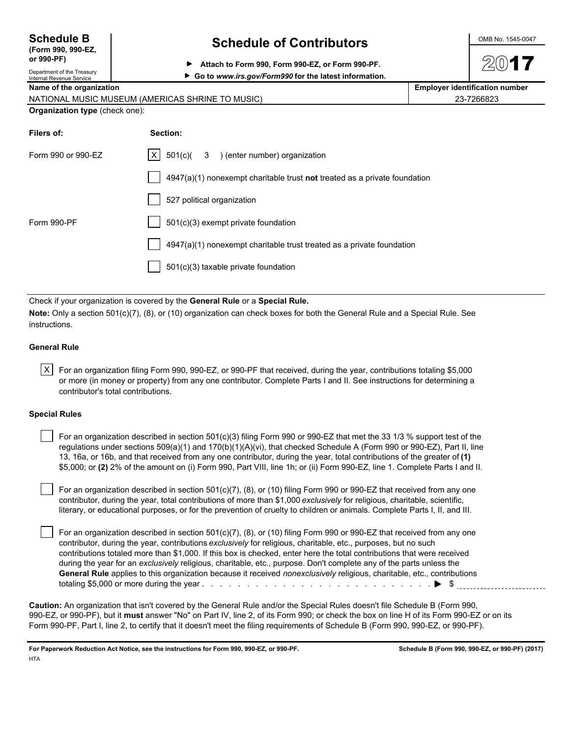| <b>Schedule B</b>                 |  |  |
|-----------------------------------|--|--|
| $T_{\text{max}}$ and and $\Gamma$ |  |  |

#### **(Form 990, 990) or 990-PF)**

### Department of the Treasury

### **Schedule of Contributors CONS NO. 1545-0047**

**▶ Go to www.irs.gov/Form990 for the latest information.** 

**Attach to Form 990, Form 990-EZ, or Form 990-PF.**

| Internal Revenue Service              | <u>00 to mmm.ii.g.gov/romisso for the latest implifiation.</u>              |                                       |
|---------------------------------------|-----------------------------------------------------------------------------|---------------------------------------|
| Name of the organization              |                                                                             | <b>Employer identification number</b> |
|                                       | NATIONAL MUSIC MUSEUM (AMERICAS SHRINE TO MUSIC)                            | 23-7266823                            |
| <b>Organization type (check one):</b> |                                                                             |                                       |
| Filers of:                            | Section:                                                                    |                                       |
| Form 990 or 990-EZ                    | $X = 501(c)$<br>3 ) (enter number) organization                             |                                       |
|                                       | $4947(a)(1)$ nonexempt charitable trust not treated as a private foundation |                                       |
|                                       | 527 political organization                                                  |                                       |
| Form 990-PF                           | 501(c)(3) exempt private foundation                                         |                                       |
|                                       | 4947(a)(1) nonexempt charitable trust treated as a private foundation       |                                       |
|                                       | $501(c)(3)$ taxable private foundation                                      |                                       |

Check if your organization is covered by the **General Rule** or a **Special Rule.**

**Note:** Only a section 501(c)(7), (8), or (10) organization can check boxes for both the General Rule and a Special Rule. See instructions.

#### **General Rule**

 $X$  For an organization filing Form 990, 990-EZ, or 990-PF that received, during the year, contributions totaling \$5,000 or more (in money or property) from any one contributor. Complete Parts I and II. See instructions for determining a contributor's total contributions.

#### **Special Rules**

| For an organization described in section $501(c)(3)$ filing Form 990 or 990-EZ that met the 33 1/3 % support test of the    |
|-----------------------------------------------------------------------------------------------------------------------------|
| regulations under sections $509(a)(1)$ and $170(b)(1)(A)(vi)$ , that checked Schedule A (Form 990 or 990-EZ), Part II, line |
| 13, 16a, or 16b, and that received from any one contributor, during the year, total contributions of the greater of (1)     |
| \$5,000; or (2) 2% of the amount on (i) Form 990, Part VIII, line 1h; or (ii) Form 990-EZ, line 1. Complete Parts I and II. |

For an organization described in section 501(c)(7), (8), or (10) filing Form 990 or 990-EZ that received from any one contributor, during the year, total contributions of more than \$1,000 *exclusively* for religious, charitable, scientific, literary, or educational purposes, or for the prevention of cruelty to children or animals. Complete Parts I, II, and III.

 For an organization described in section 501(c)(7), (8), or (10) filing Form 990 or 990-EZ that received from any one contributor, during the year, contributions *exclusively* for religious, charitable, etc., purposes, but no such contributions totaled more than \$1,000. If this box is checked, enter here the total contributions that were received during the year for an *exclusively* religious, charitable, etc., purpose. Don't complete any of the parts unless the **General Rule** applies to this organization because it received *nonexclusively* religious, charitable, etc., contributions totaling \$5,000 or more during the year . . . . . . . . . . . . . . . . . . . . . . . . . . . . . . . . . . . . . . . . . . . . . . . . . . . \$

**Caution:** An organization that isn't covered by the General Rule and/or the Special Rules doesn't file Schedule B (Form 990, 990-EZ, or 990-PF), but it **must** answer "No" on Part IV, line 2, of its Form 990; or check the box on line H of its Form 990-EZ or on its Form 990-PF, Part I, line 2, to certify that it doesn't meet the filing requirements of Schedule B (Form 990, 990-EZ, or 990-PF).

**For Paperwork Reduction Act Notice, see the instructions for Form 990, 990-EZ, or 990-PF. Schedule B (Form 990, 990-EZ, or 990-PF) (2017) HTA**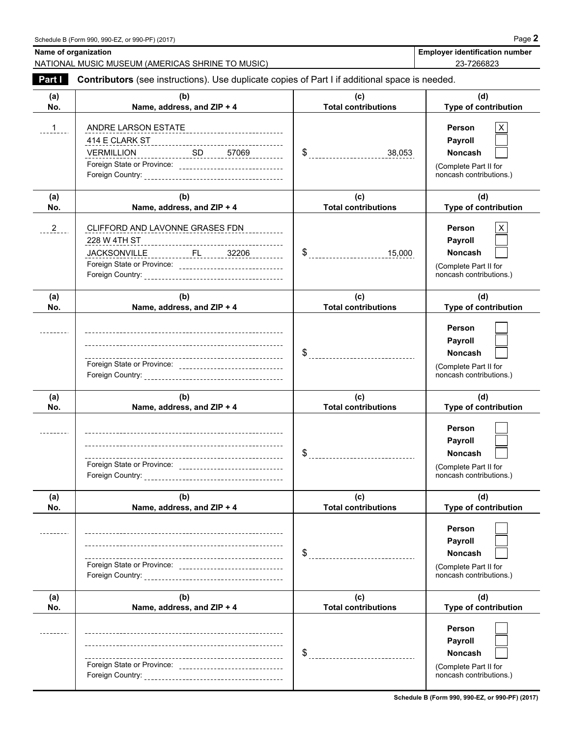| Name of organization | NATIONAL MUSIC MUSEUM (AMERICAS SHRINE TO MUSIC)                                                         |                                   | <b>Employer identification number</b><br>23-7266823                                     |
|----------------------|----------------------------------------------------------------------------------------------------------|-----------------------------------|-----------------------------------------------------------------------------------------|
| Part I               | <b>Contributors</b> (see instructions). Use duplicate copies of Part I if additional space is needed.    |                                   |                                                                                         |
| (a)                  | (b)                                                                                                      | (c)                               | (d)                                                                                     |
| No.                  | Name, address, and ZIP + 4                                                                               | <b>Total contributions</b>        | <b>Type of contribution</b>                                                             |
| <u>. 1</u>           | ANDRE LARSON ESTATE<br><b>VERMILLION</b><br>Foreign State or Province: _________________________________ |                                   | Person<br>Payroll<br><b>Noncash</b><br>(Complete Part II for<br>noncash contributions.) |
| (a)<br>No.           | (b)<br>Name, address, and ZIP + 4                                                                        | (c)<br><b>Total contributions</b> | (d)<br>Type of contribution                                                             |
| $-2$                 | CLIFFORD AND LAVONNE GRASES FDN<br>228 W 4TH ST                                                          | $\frac{15,000}{15,000}$           | Person<br>Payroll<br><b>Noncash</b><br>(Complete Part II for<br>noncash contributions.) |
| (a)<br>No.           | (b)<br>Name, address, and ZIP + 4                                                                        | (c)<br><b>Total contributions</b> | (d)<br>Type of contribution                                                             |
|                      |                                                                                                          |                                   | Person<br><b>Payroll</b><br>Noncash<br>(Complete Part II for<br>noncash contributions.) |
| (a)<br>No.           | (b)<br>Name, address, and ZIP + 4                                                                        | (c)<br><b>Total contributions</b> | (d)<br>Type of contribution                                                             |
|                      | Foreign State or Province: _______________________________                                               |                                   | Person<br>Payroll<br><b>Noncash</b><br>(Complete Part II for<br>noncash contributions.) |
| (a)<br>No.           | (b)<br>Name, address, and ZIP + 4                                                                        | (c)<br><b>Total contributions</b> | (d)<br>Type of contribution                                                             |
|                      |                                                                                                          |                                   | Person<br>Payroll<br><b>Noncash</b><br>(Complete Part II for<br>noncash contributions.) |
| (a)<br>No.           | (b)<br>Name, address, and ZIP + 4                                                                        | (c)<br><b>Total contributions</b> | (d)<br>Type of contribution                                                             |
|                      |                                                                                                          |                                   | Person<br>Payroll<br>Noncash<br>(Complete Part II for<br>noncash contributions.)        |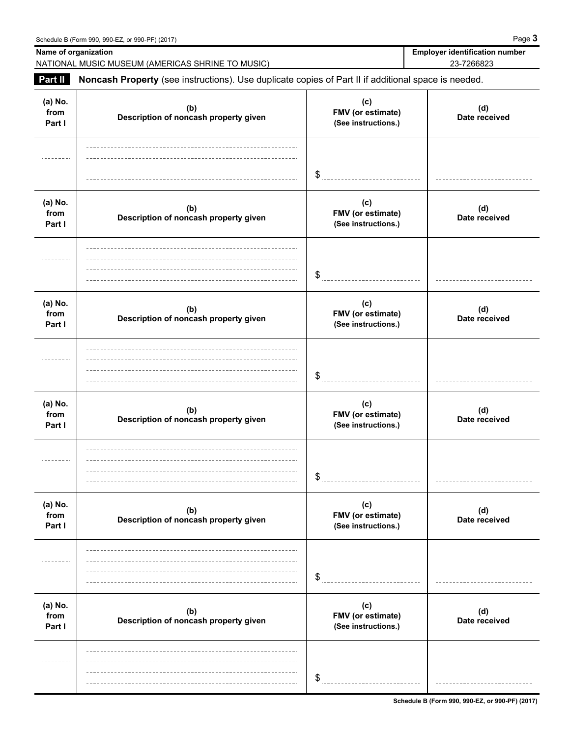| Name of organization      | NATIONAL MUSIC MUSEUM (AMERICAS SHRINE TO MUSIC)                                                    |                                                 | <b>Employer identification number</b><br>23-7266823 |
|---------------------------|-----------------------------------------------------------------------------------------------------|-------------------------------------------------|-----------------------------------------------------|
| Part II                   | Noncash Property (see instructions). Use duplicate copies of Part II if additional space is needed. |                                                 |                                                     |
| (a) No.<br>from<br>Part I | (b)<br>Description of noncash property given                                                        | (c)<br>FMV (or estimate)<br>(See instructions.) | (d)<br>Date received                                |
|                           |                                                                                                     | \$                                              |                                                     |
| (a) No.<br>from<br>Part I | (b)<br>Description of noncash property given                                                        | (c)<br>FMV (or estimate)<br>(See instructions.) | (d)<br>Date received                                |
|                           |                                                                                                     | \$                                              |                                                     |
| (a) No.<br>from<br>Part I | (b)<br>Description of noncash property given                                                        | (c)<br>FMV (or estimate)<br>(See instructions.) | (d)<br>Date received                                |
|                           |                                                                                                     | \$                                              |                                                     |
| (a) No.<br>from<br>Part I | (b)<br>Description of noncash property given                                                        | (c)<br>FMV (or estimate)<br>(See instructions.) | (d)<br>Date received                                |
|                           |                                                                                                     | \$                                              |                                                     |
| (a) No.<br>from<br>Part I | (b)<br>Description of noncash property given                                                        | (c)<br>FMV (or estimate)<br>(See instructions.) | (d)<br>Date received                                |
|                           |                                                                                                     | S                                               |                                                     |
| (a) No.<br>from<br>Part I | (b)<br>Description of noncash property given                                                        | (c)<br>FMV (or estimate)<br>(See instructions.) | (d)<br>Date received                                |
|                           |                                                                                                     | \$                                              |                                                     |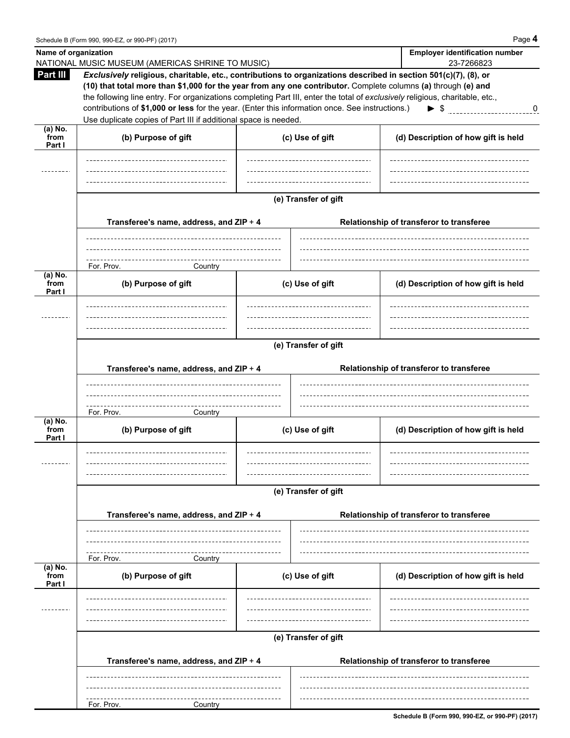| Name of organization      | NATIONAL MUSIC MUSEUM (AMERICAS SHRINE TO MUSIC)                                                                                                                                                                                                                                                                                                                                                                                                                                                                                       |                      | <b>Employer identification number</b><br>23-7266823 |
|---------------------------|----------------------------------------------------------------------------------------------------------------------------------------------------------------------------------------------------------------------------------------------------------------------------------------------------------------------------------------------------------------------------------------------------------------------------------------------------------------------------------------------------------------------------------------|----------------------|-----------------------------------------------------|
| Part III                  | Exclusively religious, charitable, etc., contributions to organizations described in section 501(c)(7), (8), or<br>(10) that total more than \$1,000 for the year from any one contributor. Complete columns (a) through (e) and<br>the following line entry. For organizations completing Part III, enter the total of exclusively religious, charitable, etc.,<br>contributions of \$1,000 or less for the year. (Enter this information once. See instructions.)<br>Use duplicate copies of Part III if additional space is needed. |                      | $\blacktriangleright$ \$<br>0                       |
| (a) No.<br>from<br>Part I | (b) Purpose of gift                                                                                                                                                                                                                                                                                                                                                                                                                                                                                                                    | (c) Use of gift      | (d) Description of how gift is held                 |
|                           |                                                                                                                                                                                                                                                                                                                                                                                                                                                                                                                                        |                      |                                                     |
|                           | Transferee's name, address, and ZIP + 4                                                                                                                                                                                                                                                                                                                                                                                                                                                                                                | (e) Transfer of gift | Relationship of transferor to transferee            |
|                           | For. Prov.<br>Country                                                                                                                                                                                                                                                                                                                                                                                                                                                                                                                  |                      |                                                     |
| (a) No.<br>from<br>Part I | (b) Purpose of gift                                                                                                                                                                                                                                                                                                                                                                                                                                                                                                                    | (c) Use of gift      | (d) Description of how gift is held                 |
|                           |                                                                                                                                                                                                                                                                                                                                                                                                                                                                                                                                        |                      |                                                     |
|                           |                                                                                                                                                                                                                                                                                                                                                                                                                                                                                                                                        | (e) Transfer of gift |                                                     |
|                           | Transferee's name, address, and ZIP + 4<br>For. Prov.<br>Country                                                                                                                                                                                                                                                                                                                                                                                                                                                                       |                      | Relationship of transferor to transferee            |
| (a) No.<br>from<br>Part I | (b) Purpose of gift                                                                                                                                                                                                                                                                                                                                                                                                                                                                                                                    | (c) Use of gift      | (d) Description of how gift is held                 |
|                           |                                                                                                                                                                                                                                                                                                                                                                                                                                                                                                                                        | (e) Transfer of gift |                                                     |
|                           | Transferee's name, address, and ZIP + 4                                                                                                                                                                                                                                                                                                                                                                                                                                                                                                |                      | Relationship of transferor to transferee            |
|                           |                                                                                                                                                                                                                                                                                                                                                                                                                                                                                                                                        |                      |                                                     |
| (a) No.<br>from           | For. Prov.<br>Country<br>(b) Purpose of gift                                                                                                                                                                                                                                                                                                                                                                                                                                                                                           | (c) Use of gift      | (d) Description of how gift is held                 |
| Part I                    |                                                                                                                                                                                                                                                                                                                                                                                                                                                                                                                                        |                      |                                                     |
|                           | Transferee's name, address, and ZIP + 4                                                                                                                                                                                                                                                                                                                                                                                                                                                                                                | (e) Transfer of gift | Relationship of transferor to transferee            |
|                           |                                                                                                                                                                                                                                                                                                                                                                                                                                                                                                                                        |                      |                                                     |
|                           | For. Prov.<br>Country                                                                                                                                                                                                                                                                                                                                                                                                                                                                                                                  |                      |                                                     |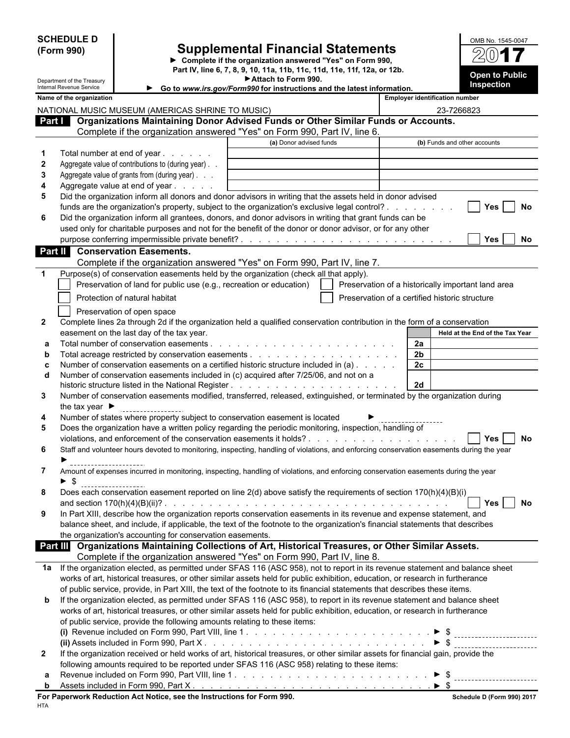|                    | <b>SCHEDULE D</b>                                      |                                                                                                                                                              |                                                                                                 |                                                    |                |                                       | OMB No. 1545-0047               |
|--------------------|--------------------------------------------------------|--------------------------------------------------------------------------------------------------------------------------------------------------------------|-------------------------------------------------------------------------------------------------|----------------------------------------------------|----------------|---------------------------------------|---------------------------------|
|                    | (Form 990)                                             |                                                                                                                                                              | <b>Supplemental Financial Statements</b>                                                        |                                                    |                |                                       |                                 |
|                    |                                                        |                                                                                                                                                              | Complete if the organization answered "Yes" on Form 990,                                        |                                                    |                |                                       |                                 |
|                    |                                                        |                                                                                                                                                              | Part IV, line 6, 7, 8, 9, 10, 11a, 11b, 11c, 11d, 11e, 11f, 12a, or 12b.<br>Attach to Form 990. |                                                    |                |                                       | <b>Open to Public</b>           |
|                    | Department of the Treasury<br>Internal Revenue Service |                                                                                                                                                              | Go to www.irs.gov/Form990 for instructions and the latest information.                          |                                                    |                |                                       | <b>Inspection</b>               |
|                    | Name of the organization                               |                                                                                                                                                              |                                                                                                 |                                                    |                | <b>Employer identification number</b> |                                 |
|                    |                                                        | NATIONAL MUSIC MUSEUM (AMERICAS SHRINE TO MUSIC)                                                                                                             |                                                                                                 |                                                    |                |                                       | 23-7266823                      |
|                    |                                                        | Part   Organizations Maintaining Donor Advised Funds or Other Similar Funds or Accounts.                                                                     |                                                                                                 |                                                    |                |                                       |                                 |
|                    |                                                        | Complete if the organization answered "Yes" on Form 990, Part IV, line 6.                                                                                    |                                                                                                 |                                                    |                |                                       |                                 |
|                    |                                                        |                                                                                                                                                              | (a) Donor advised funds                                                                         |                                                    |                |                                       | (b) Funds and other accounts    |
| -1<br>$\mathbf{2}$ |                                                        | Total number at end of year<br>Aggregate value of contributions to (during year).                                                                            |                                                                                                 |                                                    |                |                                       |                                 |
| 3                  |                                                        | Aggregate value of grants from (during year)                                                                                                                 |                                                                                                 |                                                    |                |                                       |                                 |
| 4                  |                                                        | Aggregate value at end of year                                                                                                                               |                                                                                                 |                                                    |                |                                       |                                 |
| 5                  |                                                        | Did the organization inform all donors and donor advisors in writing that the assets held in donor advised                                                   |                                                                                                 |                                                    |                |                                       |                                 |
|                    |                                                        | funds are the organization's property, subject to the organization's exclusive legal control?                                                                |                                                                                                 |                                                    |                |                                       | <b>Yes</b><br>No                |
| 6                  |                                                        | Did the organization inform all grantees, donors, and donor advisors in writing that grant funds can be                                                      |                                                                                                 |                                                    |                |                                       |                                 |
|                    |                                                        | used only for charitable purposes and not for the benefit of the donor or donor advisor, or for any other                                                    |                                                                                                 |                                                    |                |                                       |                                 |
|                    |                                                        |                                                                                                                                                              |                                                                                                 |                                                    |                |                                       | Yes<br>No.                      |
|                    |                                                        | <b>Part II</b> Conservation Easements.                                                                                                                       |                                                                                                 |                                                    |                |                                       |                                 |
|                    |                                                        | Complete if the organization answered "Yes" on Form 990, Part IV, line 7.                                                                                    |                                                                                                 |                                                    |                |                                       |                                 |
| $\mathbf 1$        |                                                        | Purpose(s) of conservation easements held by the organization (check all that apply).<br>Preservation of land for public use (e.g., recreation or education) |                                                                                                 | Preservation of a historically important land area |                |                                       |                                 |
|                    |                                                        |                                                                                                                                                              |                                                                                                 |                                                    |                |                                       |                                 |
|                    |                                                        | Protection of natural habitat                                                                                                                                |                                                                                                 | Preservation of a certified historic structure     |                |                                       |                                 |
|                    |                                                        | Preservation of open space                                                                                                                                   |                                                                                                 |                                                    |                |                                       |                                 |
| $\mathbf{2}$       |                                                        | Complete lines 2a through 2d if the organization held a qualified conservation contribution in the form of a conservation                                    |                                                                                                 |                                                    |                |                                       |                                 |
|                    |                                                        | easement on the last day of the tax year.                                                                                                                    |                                                                                                 |                                                    | 2a             |                                       | Held at the End of the Tax Year |
| а<br>$\mathbf b$   |                                                        |                                                                                                                                                              |                                                                                                 |                                                    | 2 <sub>b</sub> |                                       |                                 |
| C                  |                                                        | Number of conservation easements on a certified historic structure included in (a)                                                                           |                                                                                                 |                                                    | 2 <sub>c</sub> |                                       |                                 |
| d                  |                                                        | Number of conservation easements included in (c) acquired after 7/25/06, and not on a                                                                        |                                                                                                 |                                                    |                |                                       |                                 |
|                    |                                                        |                                                                                                                                                              |                                                                                                 |                                                    | <b>2d</b>      |                                       |                                 |
| 3                  |                                                        | Number of conservation easements modified, transferred, released, extinguished, or terminated by the organization during                                     |                                                                                                 |                                                    |                |                                       |                                 |
|                    | the tax year $\blacktriangleright$                     |                                                                                                                                                              |                                                                                                 |                                                    |                |                                       |                                 |
| 4                  |                                                        | Number of states where property subject to conservation easement is located                                                                                  |                                                                                                 |                                                    |                |                                       |                                 |
| 5                  |                                                        | Does the organization have a written policy regarding the periodic monitoring, inspection, handling of                                                       |                                                                                                 |                                                    |                |                                       |                                 |
|                    |                                                        |                                                                                                                                                              |                                                                                                 |                                                    |                |                                       | No<br>Yes                       |
| 6                  |                                                        | Staff and volunteer hours devoted to monitoring, inspecting, handling of violations, and enforcing conservation easements during the year                    |                                                                                                 |                                                    |                |                                       |                                 |
| 7                  |                                                        | Amount of expenses incurred in monitoring, inspecting, handling of violations, and enforcing conservation easements during the year                          |                                                                                                 |                                                    |                |                                       |                                 |
|                    | ► \$                                                   |                                                                                                                                                              |                                                                                                 |                                                    |                |                                       |                                 |
| 8                  |                                                        | Does each conservation easement reported on line 2(d) above satisfy the requirements of section 170(h)(4)(B)(i)                                              |                                                                                                 |                                                    |                |                                       |                                 |
|                    |                                                        |                                                                                                                                                              |                                                                                                 |                                                    |                |                                       | Yes I<br>No                     |
| 9                  |                                                        | In Part XIII, describe how the organization reports conservation easements in its revenue and expense statement, and                                         |                                                                                                 |                                                    |                |                                       |                                 |
|                    |                                                        | balance sheet, and include, if applicable, the text of the footnote to the organization's financial statements that describes                                |                                                                                                 |                                                    |                |                                       |                                 |
|                    |                                                        | the organization's accounting for conservation easements.                                                                                                    |                                                                                                 |                                                    |                |                                       |                                 |
|                    |                                                        | Part III Organizations Maintaining Collections of Art, Historical Treasures, or Other Similar Assets.                                                        |                                                                                                 |                                                    |                |                                       |                                 |
|                    |                                                        | Complete if the organization answered "Yes" on Form 990, Part IV, line 8.                                                                                    |                                                                                                 |                                                    |                |                                       |                                 |
| 1a                 |                                                        | If the organization elected, as permitted under SFAS 116 (ASC 958), not to report in its revenue statement and balance sheet                                 |                                                                                                 |                                                    |                |                                       |                                 |
|                    |                                                        | works of art, historical treasures, or other similar assets held for public exhibition, education, or research in furtherance                                |                                                                                                 |                                                    |                |                                       |                                 |
|                    |                                                        | of public service, provide, in Part XIII, the text of the footnote to its financial statements that describes these items.                                   |                                                                                                 |                                                    |                |                                       |                                 |
| b                  |                                                        | If the organization elected, as permitted under SFAS 116 (ASC 958), to report in its revenue statement and balance sheet                                     |                                                                                                 |                                                    |                |                                       |                                 |
|                    |                                                        | works of art, historical treasures, or other similar assets held for public exhibition, education, or research in furtherance                                |                                                                                                 |                                                    |                |                                       |                                 |
|                    |                                                        | of public service, provide the following amounts relating to these items:                                                                                    |                                                                                                 |                                                    |                |                                       |                                 |
|                    |                                                        |                                                                                                                                                              |                                                                                                 |                                                    |                |                                       |                                 |
| $\mathbf{2}$       |                                                        | If the organization received or held works of art, historical treasures, or other similar assets for financial gain, provide the                             |                                                                                                 |                                                    |                |                                       |                                 |
|                    |                                                        | following amounts required to be reported under SFAS 116 (ASC 958) relating to these items:                                                                  |                                                                                                 |                                                    |                |                                       |                                 |
| а                  |                                                        |                                                                                                                                                              |                                                                                                 |                                                    |                |                                       |                                 |
| b                  |                                                        |                                                                                                                                                              |                                                                                                 |                                                    |                |                                       |                                 |
|                    |                                                        | For Paperwork Reduction Act Notice, see the Instructions for Form 990.                                                                                       |                                                                                                 |                                                    |                |                                       | Schedule D (Form 990) 2017      |

HTA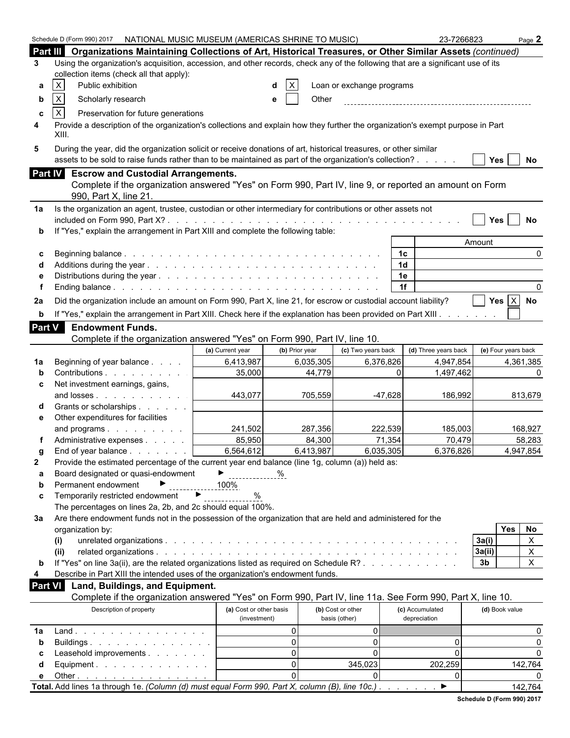|               | Schedule D (Form 990) 2017 NATIONAL MUSIC MUSEUM (AMERICAS SHRINE TO MUSIC)                                                             |                         |                |                           |                | 23-7266823           |                     | Page 2       |
|---------------|-----------------------------------------------------------------------------------------------------------------------------------------|-------------------------|----------------|---------------------------|----------------|----------------------|---------------------|--------------|
|               | Part III Organizations Maintaining Collections of Art, Historical Treasures, or Other Similar Assets (continued)                        |                         |                |                           |                |                      |                     |              |
| 3             | Using the organization's acquisition, accession, and other records, check any of the following that are a significant use of its        |                         |                |                           |                |                      |                     |              |
|               | collection items (check all that apply):                                                                                                |                         |                |                           |                |                      |                     |              |
| а             | X<br>Public exhibition                                                                                                                  |                         |                | Loan or exchange programs |                |                      |                     |              |
| b             | X<br>Scholarly research                                                                                                                 |                         | Other<br>e     |                           |                |                      |                     |              |
|               | $\mathsf X$                                                                                                                             |                         |                |                           |                |                      |                     |              |
| c             | Preservation for future generations                                                                                                     |                         |                |                           |                |                      |                     |              |
| 4             | Provide a description of the organization's collections and explain how they further the organization's exempt purpose in Part<br>XIII. |                         |                |                           |                |                      |                     |              |
| 5             | During the year, did the organization solicit or receive donations of art, historical treasures, or other similar                       |                         |                |                           |                |                      |                     |              |
|               | assets to be sold to raise funds rather than to be maintained as part of the organization's collection?                                 |                         |                |                           |                |                      | <b>Yes</b>          | No           |
|               | Part IV Escrow and Custodial Arrangements.                                                                                              |                         |                |                           |                |                      |                     |              |
|               | Complete if the organization answered "Yes" on Form 990, Part IV, line 9, or reported an amount on Form                                 |                         |                |                           |                |                      |                     |              |
|               | 990, Part X, line 21.                                                                                                                   |                         |                |                           |                |                      |                     |              |
|               |                                                                                                                                         |                         |                |                           |                |                      |                     |              |
| 1a            | Is the organization an agent, trustee, custodian or other intermediary for contributions or other assets not                            |                         |                |                           |                |                      |                     |              |
|               | If "Yes," explain the arrangement in Part XIII and complete the following table:                                                        |                         |                |                           |                |                      | Yes                 | No           |
|               |                                                                                                                                         |                         |                |                           |                |                      | Amount              |              |
| c             |                                                                                                                                         |                         |                |                           | 1c             |                      |                     | $\Omega$     |
|               |                                                                                                                                         |                         |                |                           | 1 <sub>d</sub> |                      |                     |              |
|               |                                                                                                                                         |                         |                |                           | 1e             |                      |                     |              |
|               |                                                                                                                                         |                         |                |                           | 1f             |                      |                     | $\Omega$     |
| 2a            | Did the organization include an amount on Form 990, Part X, line 21, for escrow or custodial account liability?                         |                         |                |                           |                |                      | Yes $X$ No          |              |
|               |                                                                                                                                         |                         |                |                           |                |                      |                     |              |
| $\mathbf b$   | If "Yes," explain the arrangement in Part XIII. Check here if the explanation has been provided on Part XIII.                           |                         |                |                           |                |                      |                     |              |
| <b>Part V</b> | <b>Endowment Funds.</b>                                                                                                                 |                         |                |                           |                |                      |                     |              |
|               | Complete if the organization answered "Yes" on Form 990, Part IV, line 10.                                                              |                         |                |                           |                |                      |                     |              |
|               |                                                                                                                                         | (a) Current year        | (b) Prior year | (c) Two years back        |                | (d) Three years back | (e) Four years back |              |
| 1a            | Beginning of year balance                                                                                                               | 6,413,987               | 6,035,305      |                           | 6,376,826      | 4,947,854            |                     | 4,361,385    |
|               | Contributions<br>Net investment earnings, gains,                                                                                        | 35,000                  | 44,779         |                           | $\Omega$       | 1,497,462            |                     | <sup>0</sup> |
| c             | and losses                                                                                                                              | 443,077                 | 705,559        |                           | $-47,628$      | 186,992              |                     | 813,679      |
|               | Grants or scholarships                                                                                                                  |                         |                |                           |                |                      |                     |              |
| е             | Other expenditures for facilities                                                                                                       |                         |                |                           |                |                      |                     |              |
|               | and programs                                                                                                                            | 241,502                 | 287,356        |                           | 222,539        | 185.003              |                     | 168,927      |
|               | Administrative expenses                                                                                                                 | 85,950                  | 84,300         |                           | 71,354         | 70,479               |                     | 58,283       |
| g             | End of year balance                                                                                                                     | 6,564,612               | 6,413,987      |                           | 6,035,305      | 6,376,826            |                     | 4.947.854    |
| $\mathbf{2}$  | Provide the estimated percentage of the current year end balance (line 1g, column (a)) held as:                                         |                         |                |                           |                |                      |                     |              |
| a             | Board designated or quasi-endowment                                                                                                     | $\triangleright$ %      |                |                           |                |                      |                     |              |
| b             | Permanent endowment                                                                                                                     | 100%                    |                |                           |                |                      |                     |              |
| c             | $\blacktriangleright$<br>Temporarily restricted endowment                                                                               | %                       |                |                           |                |                      |                     |              |
|               | The percentages on lines 2a, 2b, and 2c should equal 100%.                                                                              |                         |                |                           |                |                      |                     |              |
| За            | Are there endowment funds not in the possession of the organization that are held and administered for the                              |                         |                |                           |                |                      |                     |              |
|               | organization by:                                                                                                                        |                         |                |                           |                |                      | <b>Yes</b>          | No           |
|               | (i)                                                                                                                                     |                         |                |                           |                |                      | 3a(i)               | $\mathsf{X}$ |
|               | (ii)                                                                                                                                    |                         |                |                           |                |                      | 3a(ii)              | $\mathsf{X}$ |
| b             | If "Yes" on line 3a(ii), are the related organizations listed as required on Schedule R?                                                |                         |                |                           |                |                      | 3 <sub>b</sub>      | $\mathsf{X}$ |
| 4             | Describe in Part XIII the intended uses of the organization's endowment funds.                                                          |                         |                |                           |                |                      |                     |              |
| Part VI       | Land, Buildings, and Equipment.                                                                                                         |                         |                |                           |                |                      |                     |              |
|               | Complete if the organization answered "Yes" on Form 990, Part IV, line 11a. See Form 990, Part X, line 10.                              |                         |                |                           |                |                      |                     |              |
|               | Description of property                                                                                                                 | (a) Cost or other basis |                | (b) Cost or other         |                | (c) Accumulated      | (d) Book value      |              |
|               |                                                                                                                                         | (investment)            |                | basis (other)             |                | depreciation         |                     |              |
| 1a            |                                                                                                                                         |                         | $\overline{0}$ | 01                        |                |                      |                     | 0            |
| b             | Buildings                                                                                                                               |                         | $\Omega$       | $\overline{0}$            |                | 0                    |                     | $\Omega$     |
| С             | Leasehold improvements                                                                                                                  |                         | $\Omega$       | $\Omega$                  |                | 0                    |                     | $\Omega$     |
| d             | Equipment. $\ldots$ $\ldots$ $\ldots$ $\ldots$ $\ldots$                                                                                 |                         | $\Omega$       | 345,023                   |                | 202,259              |                     | 142,764      |
| е             | Other $\ldots$ $\ldots$ $\ldots$ $\ldots$ $\ldots$ $\ldots$ $\ldots$                                                                    |                         | $\Omega$       | $\Omega$                  |                | 0<br>▶               |                     |              |
|               | Total. Add lines 1a through 1e. (Column (d) must equal Form 990, Part X, column (B), line 10c.).                                        |                         |                |                           |                |                      |                     | 142,764      |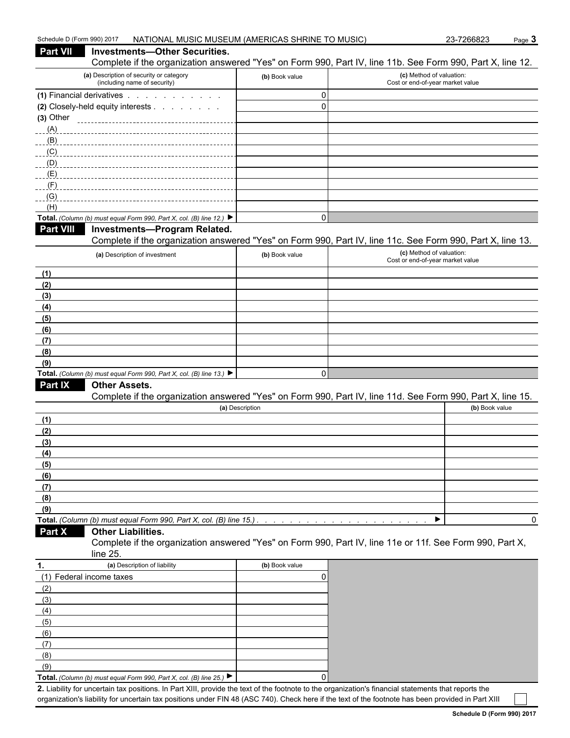| Schedule D (Form 990) 2017 |                                                                                                                                                    | NATIONAL MUSIC MUSEUM (AMERICAS SHRINE TO MUSIC) |                                                              | 23-7266823<br>Page 3 |          |
|----------------------------|----------------------------------------------------------------------------------------------------------------------------------------------------|--------------------------------------------------|--------------------------------------------------------------|----------------------|----------|
| <b>Part VII</b>            | <b>Investments-Other Securities.</b><br>Complete if the organization answered "Yes" on Form 990, Part IV, line 11b. See Form 990, Part X, line 12. |                                                  |                                                              |                      |          |
|                            | (a) Description of security or category<br>(including name of security)                                                                            | (b) Book value                                   | (c) Method of valuation:<br>Cost or end-of-year market value |                      |          |
|                            | (1) Financial derivatives                                                                                                                          | $\pmb{0}$                                        |                                                              |                      |          |
|                            | (2) Closely-held equity interests                                                                                                                  | $\mathbf 0$                                      |                                                              |                      |          |
| $(3)$ Other                |                                                                                                                                                    |                                                  |                                                              |                      |          |
|                            |                                                                                                                                                    |                                                  |                                                              |                      |          |
|                            |                                                                                                                                                    |                                                  |                                                              |                      |          |
| (C)                        |                                                                                                                                                    |                                                  |                                                              |                      |          |
| (D)                        |                                                                                                                                                    |                                                  |                                                              |                      |          |
| (E)                        |                                                                                                                                                    |                                                  |                                                              |                      |          |
| (F)                        |                                                                                                                                                    |                                                  |                                                              |                      |          |
| (G)                        |                                                                                                                                                    |                                                  |                                                              |                      |          |
| (H)                        | Total. (Column (b) must equal Form 990, Part X, col. (B) line 12.) $\blacktriangleright$                                                           | $\pmb{0}$                                        |                                                              |                      |          |
| <b>Part VIII</b>           | <b>Investments-Program Related.</b>                                                                                                                |                                                  |                                                              |                      |          |
|                            | Complete if the organization answered "Yes" on Form 990, Part IV, line 11c. See Form 990, Part X, line 13.                                         |                                                  |                                                              |                      |          |
|                            | (a) Description of investment                                                                                                                      | (b) Book value                                   | (c) Method of valuation:                                     |                      |          |
|                            |                                                                                                                                                    |                                                  | Cost or end-of-year market value                             |                      |          |
| (1)                        |                                                                                                                                                    |                                                  |                                                              |                      |          |
| (2)                        |                                                                                                                                                    |                                                  |                                                              |                      |          |
| (3)                        |                                                                                                                                                    |                                                  |                                                              |                      |          |
| (4)                        |                                                                                                                                                    |                                                  |                                                              |                      |          |
| (5)                        |                                                                                                                                                    |                                                  |                                                              |                      |          |
| (6)                        |                                                                                                                                                    |                                                  |                                                              |                      |          |
| (7)                        |                                                                                                                                                    |                                                  |                                                              |                      |          |
| (8)                        |                                                                                                                                                    |                                                  |                                                              |                      |          |
| (9)                        |                                                                                                                                                    |                                                  |                                                              |                      |          |
|                            | Total. (Column (b) must equal Form 990, Part X, col. (B) line 13.) $\blacktriangleright$                                                           | $\mathbf 0$                                      |                                                              |                      |          |
| Part IX                    | <b>Other Assets.</b><br>Complete if the organization answered "Yes" on Form 990, Part IV, line 11d. See Form 990, Part X, line 15.                 |                                                  |                                                              |                      |          |
|                            |                                                                                                                                                    | (a) Description                                  |                                                              | (b) Book value       |          |
|                            |                                                                                                                                                    |                                                  |                                                              |                      |          |
| (1)<br>(2)                 |                                                                                                                                                    |                                                  |                                                              |                      |          |
| (3)                        |                                                                                                                                                    |                                                  |                                                              |                      |          |
| (4)                        |                                                                                                                                                    |                                                  |                                                              |                      |          |
| (5)                        |                                                                                                                                                    |                                                  |                                                              |                      |          |
| (6)                        |                                                                                                                                                    |                                                  |                                                              |                      |          |
| (7)                        |                                                                                                                                                    |                                                  |                                                              |                      |          |
| (8)                        |                                                                                                                                                    |                                                  |                                                              |                      |          |
| (9)                        |                                                                                                                                                    |                                                  |                                                              |                      |          |
|                            |                                                                                                                                                    |                                                  |                                                              |                      | $\Omega$ |
| Part X                     | <b>Other Liabilities.</b>                                                                                                                          |                                                  |                                                              |                      |          |
|                            | Complete if the organization answered "Yes" on Form 990, Part IV, line 11e or 11f. See Form 990, Part X,<br>line 25.                               |                                                  |                                                              |                      |          |
| 1.                         | (a) Description of liability                                                                                                                       | (b) Book value                                   |                                                              |                      |          |
|                            | (1) Federal income taxes                                                                                                                           | 0                                                |                                                              |                      |          |
| (2)                        |                                                                                                                                                    |                                                  |                                                              |                      |          |
| (3)                        |                                                                                                                                                    |                                                  |                                                              |                      |          |
| (4)                        |                                                                                                                                                    |                                                  |                                                              |                      |          |
| (5)                        |                                                                                                                                                    |                                                  |                                                              |                      |          |
| (6)                        |                                                                                                                                                    |                                                  |                                                              |                      |          |
| (7)                        |                                                                                                                                                    |                                                  |                                                              |                      |          |
| (8)                        |                                                                                                                                                    |                                                  |                                                              |                      |          |

**Total.** *(Column (b) must equal Form 990, Part X, col. (B) line 25.)* 0 **2.** Liability for uncertain tax positions. In Part XIII, provide the text of the footnote to the organization's financial statements that reports the organization's liability for uncertain tax positions under FIN 48 (ASC 740). Check here if the text of the footnote has been provided in Part XIII

(9)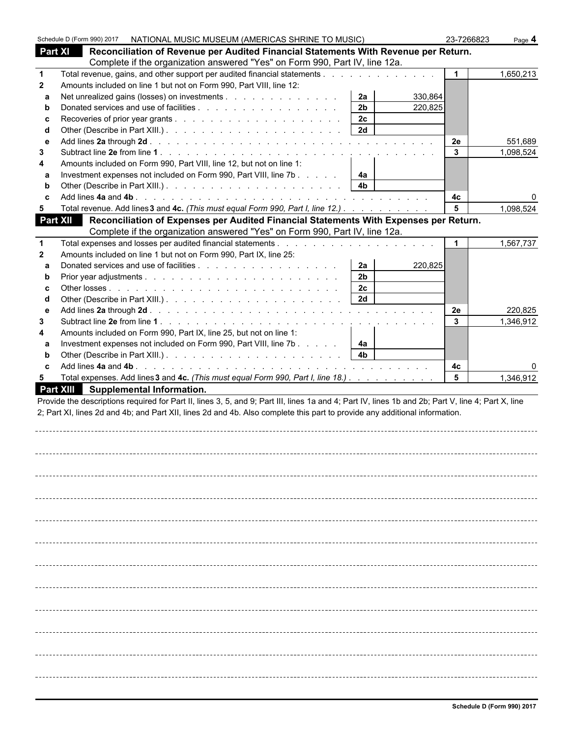|              | Schedule D (Form 990) 2017 |                                                                      | NATIONAL MUSIC MUSEUM (AMERICAS SHRINE TO MUSIC)                                                                                                   |                           | 23-7266823   | Page 4    |
|--------------|----------------------------|----------------------------------------------------------------------|----------------------------------------------------------------------------------------------------------------------------------------------------|---------------------------|--------------|-----------|
| Part XI      |                            |                                                                      | Reconciliation of Revenue per Audited Financial Statements With Revenue per Return.                                                                |                           |              |           |
|              |                            |                                                                      | Complete if the organization answered "Yes" on Form 990, Part IV, line 12a.                                                                        |                           |              |           |
| $\mathbf{1}$ |                            |                                                                      | Total revenue, gains, and other support per audited financial statements                                                                           |                           |              | 1,650,213 |
| $\mathbf{2}$ |                            | Amounts included on line 1 but not on Form 990, Part VIII, line 12:  |                                                                                                                                                    |                           |              |           |
| a            |                            |                                                                      | Net unrealized gains (losses) on investments                                                                                                       | 2a<br>330,864             |              |           |
| b            |                            |                                                                      |                                                                                                                                                    | 2 <sub>b</sub><br>220,825 |              |           |
| C            |                            |                                                                      |                                                                                                                                                    | 2c                        |              |           |
| d            |                            |                                                                      |                                                                                                                                                    |                           |              |           |
| $\mathbf{e}$ |                            |                                                                      |                                                                                                                                                    |                           | 2e           | 551,689   |
| 3            |                            |                                                                      |                                                                                                                                                    |                           | $\mathbf{3}$ | 1,098,524 |
| 4            |                            | Amounts included on Form 990, Part VIII, line 12, but not on line 1: |                                                                                                                                                    |                           |              |           |
| a            |                            |                                                                      | Investment expenses not included on Form 990, Part VIII, line 7b                                                                                   | 4a                        |              |           |
| b            |                            |                                                                      |                                                                                                                                                    |                           |              |           |
| C            |                            |                                                                      |                                                                                                                                                    |                           | 4c<br>5      |           |
| 5            |                            |                                                                      | Total revenue. Add lines 3 and 4c. (This must equal Form 990, Part I, line 12.)                                                                    |                           |              | 1,098,524 |
| Part XII     |                            |                                                                      | Reconciliation of Expenses per Audited Financial Statements With Expenses per Return.                                                              |                           |              |           |
| $\mathbf{1}$ |                            |                                                                      | Complete if the organization answered "Yes" on Form 990, Part IV, line 12a.                                                                        |                           |              | 1,567,737 |
| $\mathbf{2}$ |                            | Amounts included on line 1 but not on Form 990, Part IX, line 25:    |                                                                                                                                                    |                           |              |           |
| a            |                            |                                                                      |                                                                                                                                                    | 2a<br>220,825             |              |           |
| b            |                            |                                                                      |                                                                                                                                                    | 2 <sub>b</sub>            |              |           |
| C            |                            |                                                                      |                                                                                                                                                    | 2c                        |              |           |
| d            |                            |                                                                      |                                                                                                                                                    | 2d                        |              |           |
| е            |                            |                                                                      |                                                                                                                                                    |                           | 2e           | 220,825   |
| 3            |                            |                                                                      |                                                                                                                                                    |                           | $\mathbf{3}$ | 1,346,912 |
| 4            |                            | Amounts included on Form 990, Part IX, line 25, but not on line 1:   |                                                                                                                                                    |                           |              |           |
| a            |                            |                                                                      | Investment expenses not included on Form 990, Part VIII, line 7b                                                                                   | 4а                        |              |           |
| b            |                            |                                                                      |                                                                                                                                                    | 4 <sub>b</sub>            |              |           |
| C            |                            |                                                                      |                                                                                                                                                    |                           | 4c           |           |
| 5            |                            |                                                                      | Total expenses. Add lines 3 and 4c. (This must equal Form 990, Part I, line 18.)                                                                   |                           | 5            | 1,346,912 |
|              |                            | Part XIII Supplemental Information.                                  |                                                                                                                                                    |                           |              |           |
|              |                            |                                                                      | Provide the descriptions required for Part II, lines 3, 5, and 9; Part III, lines 1a and 4; Part IV, lines 1b and 2b; Part V, line 4; Part X, line |                           |              |           |
|              |                            |                                                                      | 2; Part XI, lines 2d and 4b; and Part XII, lines 2d and 4b. Also complete this part to provide any additional information.                         |                           |              |           |
|              |                            |                                                                      |                                                                                                                                                    |                           |              |           |
|              |                            |                                                                      |                                                                                                                                                    |                           |              |           |
|              |                            |                                                                      |                                                                                                                                                    |                           |              |           |
|              |                            |                                                                      |                                                                                                                                                    |                           |              |           |
|              |                            |                                                                      |                                                                                                                                                    |                           |              |           |
|              |                            |                                                                      |                                                                                                                                                    |                           |              |           |
|              |                            |                                                                      |                                                                                                                                                    |                           |              |           |
|              |                            |                                                                      |                                                                                                                                                    |                           |              |           |
|              |                            |                                                                      |                                                                                                                                                    |                           |              |           |
|              |                            |                                                                      |                                                                                                                                                    |                           |              |           |
|              |                            |                                                                      |                                                                                                                                                    |                           |              |           |
|              |                            |                                                                      |                                                                                                                                                    |                           |              |           |
|              |                            |                                                                      |                                                                                                                                                    |                           |              |           |
|              |                            |                                                                      |                                                                                                                                                    |                           |              |           |
|              |                            |                                                                      |                                                                                                                                                    |                           |              |           |
|              |                            |                                                                      |                                                                                                                                                    |                           |              |           |
|              |                            |                                                                      |                                                                                                                                                    |                           |              |           |
|              |                            |                                                                      |                                                                                                                                                    |                           |              |           |
|              |                            |                                                                      |                                                                                                                                                    |                           |              |           |
|              |                            |                                                                      |                                                                                                                                                    |                           |              |           |
|              |                            |                                                                      |                                                                                                                                                    |                           |              |           |
|              |                            |                                                                      |                                                                                                                                                    |                           |              |           |
|              |                            |                                                                      |                                                                                                                                                    |                           |              |           |
|              |                            |                                                                      |                                                                                                                                                    |                           |              |           |
|              |                            |                                                                      |                                                                                                                                                    |                           |              |           |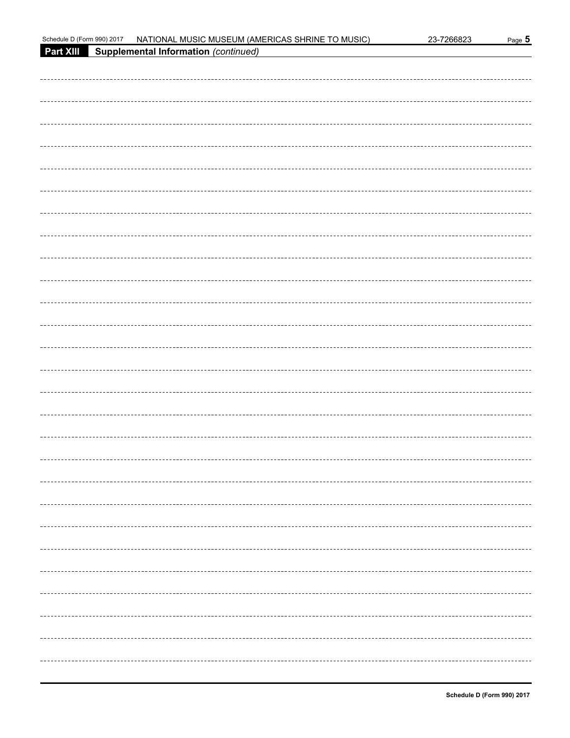| Schedule D (Form 990) 2017 | NATIONAL MUSIC MUSEUM (AMERICAS SHRINE TO MUSIC) | 23-7266823 | Page 5 |
|----------------------------|--------------------------------------------------|------------|--------|
| <b>Part XIII</b>           | Supplemental Information (continued)             |            |        |
|                            |                                                  |            |        |
|                            |                                                  |            |        |
|                            |                                                  |            |        |
|                            |                                                  |            |        |
|                            |                                                  |            |        |
|                            |                                                  |            |        |
|                            |                                                  |            |        |
|                            |                                                  |            |        |
|                            |                                                  |            |        |
|                            |                                                  |            |        |
|                            |                                                  |            |        |
|                            |                                                  |            |        |
|                            |                                                  |            |        |
|                            |                                                  |            |        |
|                            |                                                  |            |        |
|                            |                                                  |            |        |
|                            |                                                  |            |        |
|                            |                                                  |            |        |
|                            |                                                  |            |        |
|                            |                                                  |            |        |
|                            |                                                  |            |        |
|                            |                                                  |            |        |
|                            |                                                  |            |        |
|                            |                                                  |            |        |
|                            |                                                  |            |        |
|                            |                                                  |            |        |
|                            |                                                  |            |        |
|                            |                                                  |            |        |
|                            |                                                  |            |        |
|                            |                                                  |            |        |
|                            |                                                  |            |        |
|                            |                                                  |            |        |
|                            |                                                  |            |        |
|                            |                                                  |            |        |
|                            |                                                  |            |        |
|                            |                                                  |            |        |
|                            |                                                  |            |        |
|                            |                                                  |            |        |
|                            |                                                  |            |        |
|                            |                                                  |            |        |
|                            |                                                  |            |        |
|                            |                                                  |            |        |
|                            |                                                  |            |        |
|                            |                                                  |            |        |
|                            |                                                  |            |        |
|                            |                                                  |            |        |
|                            |                                                  |            |        |
|                            |                                                  |            |        |
|                            |                                                  |            |        |
|                            |                                                  |            |        |
|                            |                                                  |            |        |
|                            |                                                  |            |        |
|                            |                                                  |            |        |
|                            |                                                  |            |        |
|                            |                                                  |            |        |
|                            |                                                  |            |        |
|                            |                                                  |            |        |
|                            |                                                  |            |        |
|                            |                                                  |            |        |
|                            |                                                  |            |        |
|                            |                                                  |            |        |
|                            |                                                  |            |        |
|                            |                                                  |            |        |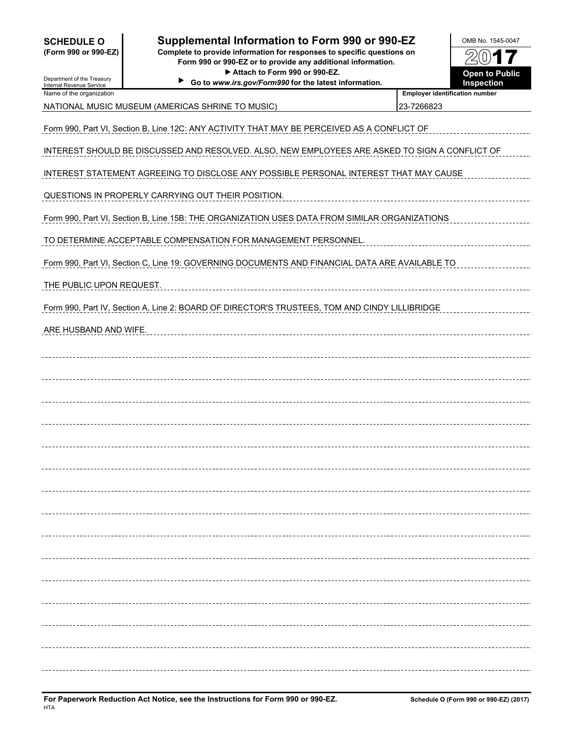| <b>SCHEDULE O</b><br>(Form 990 or 990-EZ)              | Supplemental Information to Form 990 or 990-EZ<br>Complete to provide information for responses to specific questions on<br>Form 990 or 990-EZ or to provide any additional information.<br>Attach to Form 990 or 990-EZ. |                                                     |                                     |  |
|--------------------------------------------------------|---------------------------------------------------------------------------------------------------------------------------------------------------------------------------------------------------------------------------|-----------------------------------------------------|-------------------------------------|--|
| Department of the Treasury<br>Internal Revenue Service | Go to www.irs.gov/Form990 for the latest information.                                                                                                                                                                     |                                                     | <b>Open to Public</b><br>Inspection |  |
| Name of the organization                               | NATIONAL MUSIC MUSEUM (AMERICAS SHRINE TO MUSIC)                                                                                                                                                                          | <b>Employer identification number</b><br>23-7266823 |                                     |  |
|                                                        | Form 990, Part VI, Section B, Line 12C: ANY ACTIVITY THAT MAY BE PERCEIVED AS A CONFLICT OF                                                                                                                               |                                                     |                                     |  |
|                                                        | INTEREST SHOULD BE DISCUSSED AND RESOLVED. ALSO, NEW EMPLOYEES ARE ASKED TO SIGN A CONFLICT OF                                                                                                                            |                                                     |                                     |  |
|                                                        | INTEREST STATEMENT AGREEING TO DISCLOSE ANY POSSIBLE PERSONAL INTEREST THAT MAY CAUSE                                                                                                                                     |                                                     |                                     |  |
|                                                        | QUESTIONS IN PROPERLY CARRYING OUT THEIR POSITION.                                                                                                                                                                        |                                                     |                                     |  |
|                                                        | Form 990, Part VI, Section B, Line 15B: THE ORGANIZATION USES DATA FROM SIMILAR ORGANIZATIONS                                                                                                                             |                                                     |                                     |  |
|                                                        | TO DETERMINE ACCEPTABLE COMPENSATION FOR MANAGEMENT PERSONNEL.                                                                                                                                                            |                                                     |                                     |  |
|                                                        | Form 990, Part VI, Section C, Line 19: GOVERNING DOCUMENTS AND FINANCIAL DATA ARE AVAILABLE TO                                                                                                                            |                                                     |                                     |  |
| THE PUBLIC UPON REQUEST.                               |                                                                                                                                                                                                                           |                                                     |                                     |  |
|                                                        | Form 990, Part IV, Section A, Line 2: BOARD OF DIRECTOR'S TRUSTEES, TOM AND CINDY LILLIBRIDGE                                                                                                                             |                                                     |                                     |  |
| ARE HUSBAND AND WIFE.                                  |                                                                                                                                                                                                                           |                                                     |                                     |  |
|                                                        |                                                                                                                                                                                                                           |                                                     |                                     |  |
|                                                        |                                                                                                                                                                                                                           |                                                     |                                     |  |
|                                                        |                                                                                                                                                                                                                           |                                                     |                                     |  |
|                                                        |                                                                                                                                                                                                                           |                                                     |                                     |  |
|                                                        |                                                                                                                                                                                                                           |                                                     |                                     |  |
|                                                        |                                                                                                                                                                                                                           |                                                     |                                     |  |
|                                                        |                                                                                                                                                                                                                           |                                                     |                                     |  |
|                                                        |                                                                                                                                                                                                                           |                                                     |                                     |  |
|                                                        |                                                                                                                                                                                                                           |                                                     |                                     |  |
|                                                        |                                                                                                                                                                                                                           |                                                     |                                     |  |
|                                                        |                                                                                                                                                                                                                           |                                                     |                                     |  |
|                                                        |                                                                                                                                                                                                                           |                                                     |                                     |  |
|                                                        |                                                                                                                                                                                                                           |                                                     |                                     |  |
|                                                        |                                                                                                                                                                                                                           |                                                     |                                     |  |
|                                                        |                                                                                                                                                                                                                           |                                                     |                                     |  |